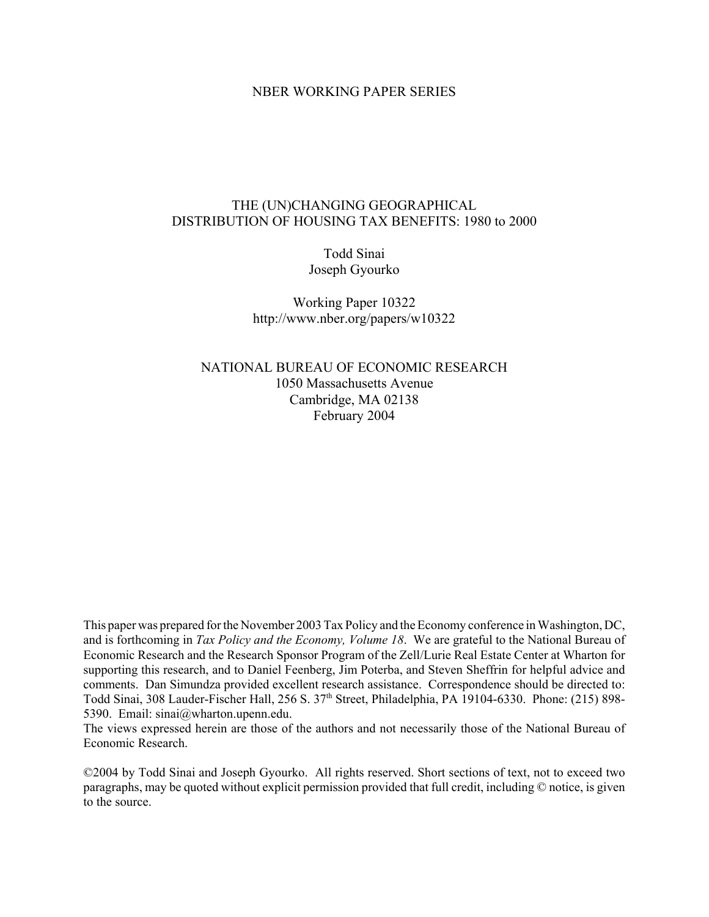## NBER WORKING PAPER SERIES

## THE (UN)CHANGING GEOGRAPHICAL DISTRIBUTION OF HOUSING TAX BENEFITS: 1980 to 2000

# Todd Sinai Joseph Gyourko

Working Paper 10322 http://www.nber.org/papers/w10322

## NATIONAL BUREAU OF ECONOMIC RESEARCH 1050 Massachusetts Avenue Cambridge, MA 02138 February 2004

This paper was prepared for the November 2003 Tax Policy and the Economy conference in Washington, DC, and is forthcoming in *Tax Policy and the Economy, Volume 18*. We are grateful to the National Bureau of Economic Research and the Research Sponsor Program of the Zell/Lurie Real Estate Center at Wharton for supporting this research, and to Daniel Feenberg, Jim Poterba, and Steven Sheffrin for helpful advice and comments. Dan Simundza provided excellent research assistance. Correspondence should be directed to: Todd Sinai, 308 Lauder-Fischer Hall, 256 S. 37<sup>th</sup> Street, Philadelphia, PA 19104-6330. Phone: (215) 898-5390. Email: sinai@wharton.upenn.edu.

The views expressed herein are those of the authors and not necessarily those of the National Bureau of Economic Research.

©2004 by Todd Sinai and Joseph Gyourko. All rights reserved. Short sections of text, not to exceed two paragraphs, may be quoted without explicit permission provided that full credit, including © notice, is given to the source.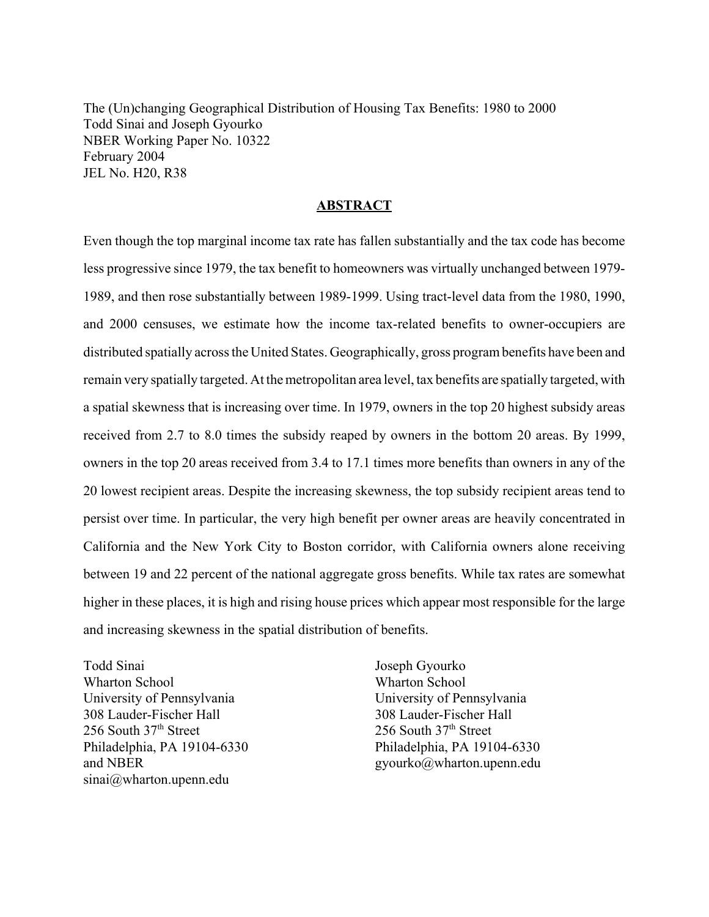The (Un)changing Geographical Distribution of Housing Tax Benefits: 1980 to 2000 Todd Sinai and Joseph Gyourko NBER Working Paper No. 10322 February 2004 JEL No. H20, R38

## **ABSTRACT**

Even though the top marginal income tax rate has fallen substantially and the tax code has become less progressive since 1979, the tax benefit to homeowners was virtually unchanged between 1979- 1989, and then rose substantially between 1989-1999. Using tract-level data from the 1980, 1990, and 2000 censuses, we estimate how the income tax-related benefits to owner-occupiers are distributed spatially across the United States. Geographically, gross program benefits have been and remain very spatially targeted. At the metropolitan area level, tax benefits are spatially targeted, with a spatial skewness that is increasing over time. In 1979, owners in the top 20 highest subsidy areas received from 2.7 to 8.0 times the subsidy reaped by owners in the bottom 20 areas. By 1999, owners in the top 20 areas received from 3.4 to 17.1 times more benefits than owners in any of the 20 lowest recipient areas. Despite the increasing skewness, the top subsidy recipient areas tend to persist over time. In particular, the very high benefit per owner areas are heavily concentrated in California and the New York City to Boston corridor, with California owners alone receiving between 19 and 22 percent of the national aggregate gross benefits. While tax rates are somewhat higher in these places, it is high and rising house prices which appear most responsible for the large and increasing skewness in the spatial distribution of benefits.

Todd Sinai Wharton School University of Pennsylvania 308 Lauder-Fischer Hall 256 South 37th Street Philadelphia, PA 19104-6330 and NBER sinai@wharton.upenn.edu

Joseph Gyourko Wharton School University of Pennsylvania 308 Lauder-Fischer Hall 256 South 37th Street Philadelphia, PA 19104-6330 gyourko@wharton.upenn.edu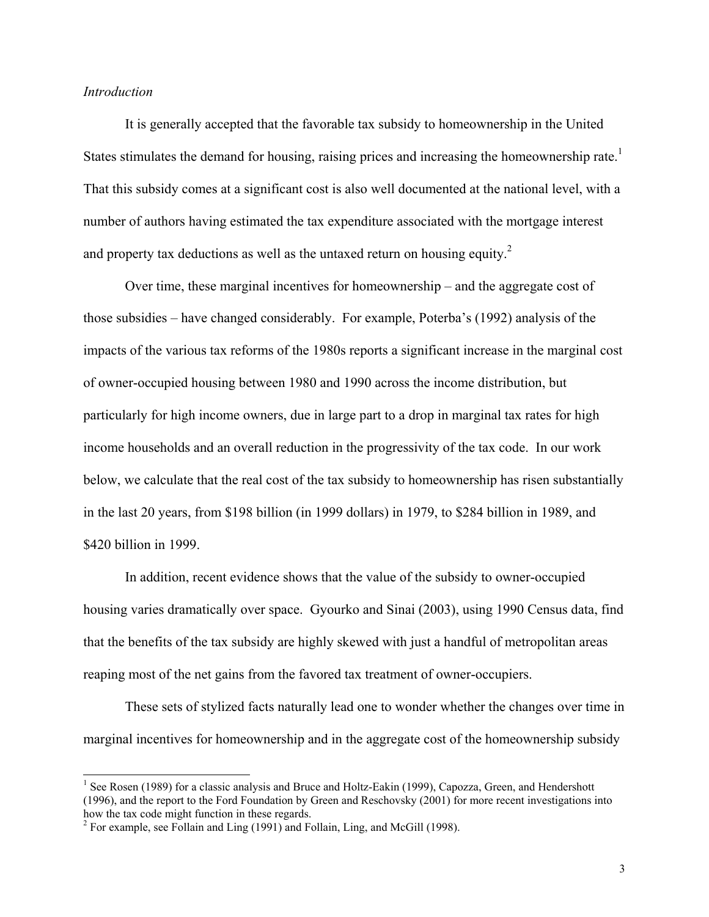## *Introduction*

 $\overline{a}$ 

It is generally accepted that the favorable tax subsidy to homeownership in the United States stimulates the demand for housing, raising prices and increasing the homeownership rate.<sup>1</sup> That this subsidy comes at a significant cost is also well documented at the national level, with a number of authors having estimated the tax expenditure associated with the mortgage interest and property tax deductions as well as the untaxed return on housing equity.<sup>2</sup>

Over time, these marginal incentives for homeownership – and the aggregate cost of those subsidies – have changed considerably. For example, Poterba's (1992) analysis of the impacts of the various tax reforms of the 1980s reports a significant increase in the marginal cost of owner-occupied housing between 1980 and 1990 across the income distribution, but particularly for high income owners, due in large part to a drop in marginal tax rates for high income households and an overall reduction in the progressivity of the tax code. In our work below, we calculate that the real cost of the tax subsidy to homeownership has risen substantially in the last 20 years, from \$198 billion (in 1999 dollars) in 1979, to \$284 billion in 1989, and \$420 billion in 1999.

In addition, recent evidence shows that the value of the subsidy to owner-occupied housing varies dramatically over space. Gyourko and Sinai (2003), using 1990 Census data, find that the benefits of the tax subsidy are highly skewed with just a handful of metropolitan areas reaping most of the net gains from the favored tax treatment of owner-occupiers.

These sets of stylized facts naturally lead one to wonder whether the changes over time in marginal incentives for homeownership and in the aggregate cost of the homeownership subsidy

<sup>&</sup>lt;sup>1</sup> See Rosen (1989) for a classic analysis and Bruce and Holtz-Eakin (1999), Capozza, Green, and Hendershott (1996), and the report to the Ford Foundation by Green and Reschovsky (2001) for more recent investigations into how the tax code might function in these regards.

<sup>&</sup>lt;sup>2</sup> For example, see Follain and Ling (1991) and Follain, Ling, and McGill (1998).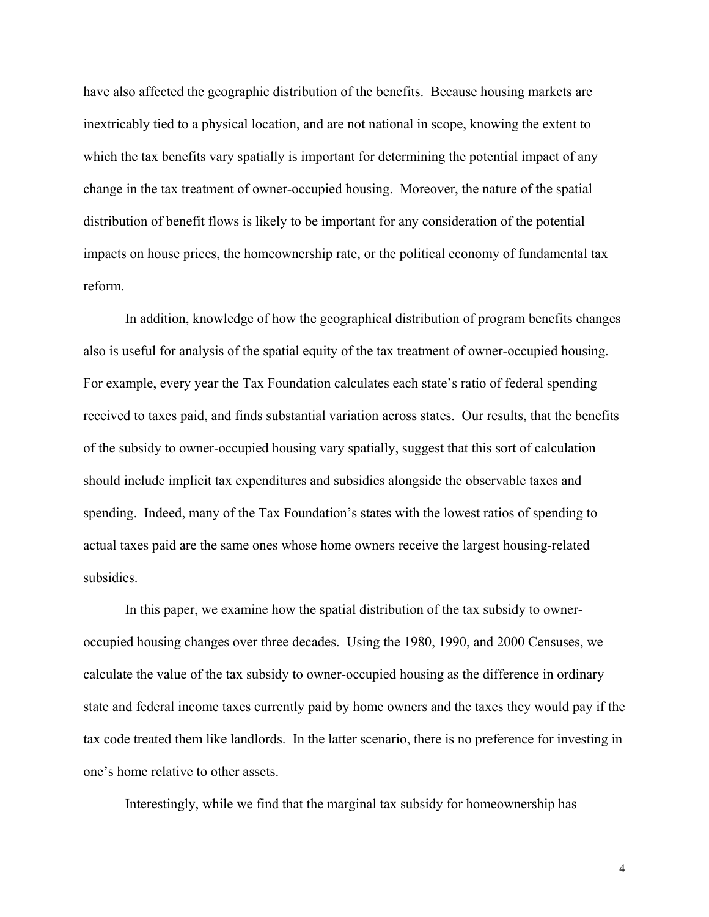have also affected the geographic distribution of the benefits. Because housing markets are inextricably tied to a physical location, and are not national in scope, knowing the extent to which the tax benefits vary spatially is important for determining the potential impact of any change in the tax treatment of owner-occupied housing. Moreover, the nature of the spatial distribution of benefit flows is likely to be important for any consideration of the potential impacts on house prices, the homeownership rate, or the political economy of fundamental tax reform.

In addition, knowledge of how the geographical distribution of program benefits changes also is useful for analysis of the spatial equity of the tax treatment of owner-occupied housing. For example, every year the Tax Foundation calculates each state's ratio of federal spending received to taxes paid, and finds substantial variation across states. Our results, that the benefits of the subsidy to owner-occupied housing vary spatially, suggest that this sort of calculation should include implicit tax expenditures and subsidies alongside the observable taxes and spending. Indeed, many of the Tax Foundation's states with the lowest ratios of spending to actual taxes paid are the same ones whose home owners receive the largest housing-related subsidies.

In this paper, we examine how the spatial distribution of the tax subsidy to owneroccupied housing changes over three decades. Using the 1980, 1990, and 2000 Censuses, we calculate the value of the tax subsidy to owner-occupied housing as the difference in ordinary state and federal income taxes currently paid by home owners and the taxes they would pay if the tax code treated them like landlords. In the latter scenario, there is no preference for investing in one's home relative to other assets.

Interestingly, while we find that the marginal tax subsidy for homeownership has

4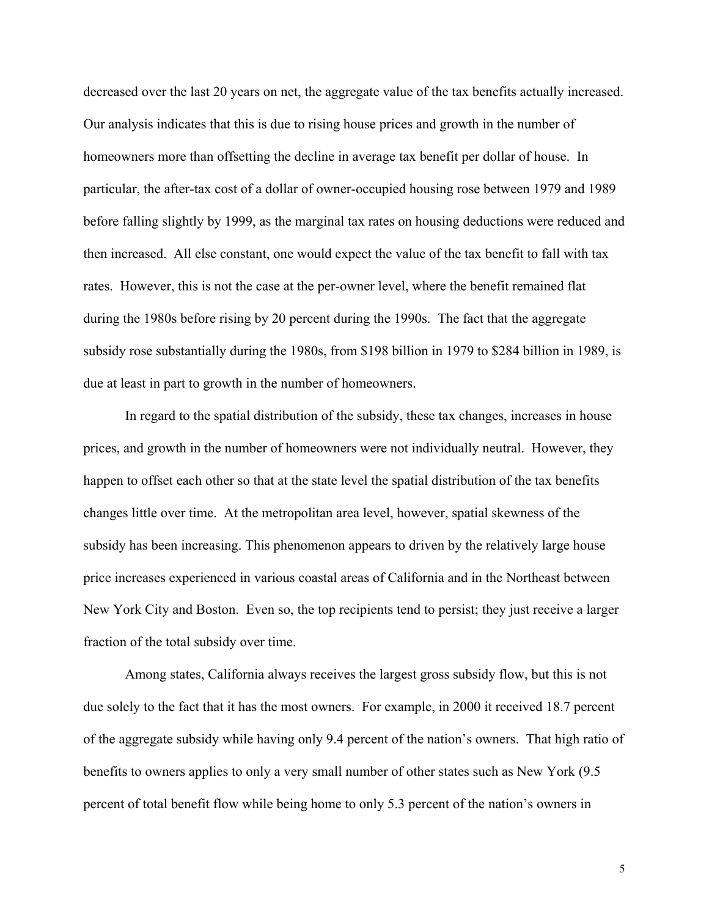decreased over the last 20 years on net, the aggregate value of the tax benefits actually increased. Our analysis indicates that this is due to rising house prices and growth in the number of homeowners more than offsetting the decline in average tax benefit per dollar of house. In particular, the after-tax cost of a dollar of owner-occupied housing rose between 1979 and 1989 before falling slightly by 1999, as the marginal tax rates on housing deductions were reduced and then increased. All else constant, one would expect the value of the tax benefit to fall with tax rates. However, this is not the case at the per-owner level, where the benefit remained flat during the 1980s before rising by 20 percent during the 1990s. The fact that the aggregate subsidy rose substantially during the 1980s, from \$198 billion in 1979 to \$284 billion in 1989, is due at least in part to growth in the number of homeowners.

In regard to the spatial distribution of the subsidy, these tax changes, increases in house prices, and growth in the number of homeowners were not individually neutral. However, they happen to offset each other so that at the state level the spatial distribution of the tax benefits changes little over time. At the metropolitan area level, however, spatial skewness of the subsidy has been increasing. This phenomenon appears to driven by the relatively large house price increases experienced in various coastal areas of California and in the Northeast between New York City and Boston. Even so, the top recipients tend to persist; they just receive a larger fraction of the total subsidy over time.

Among states, California always receives the largest gross subsidy flow, but this is not due solely to the fact that it has the most owners. For example, in 2000 it received 18.7 percent of the aggregate subsidy while having only 9.4 percent of the nation's owners. That high ratio of benefits to owners applies to only a very small number of other states such as New York (9.5 percent of total benefit flow while being home to only 5.3 percent of the nation's owners in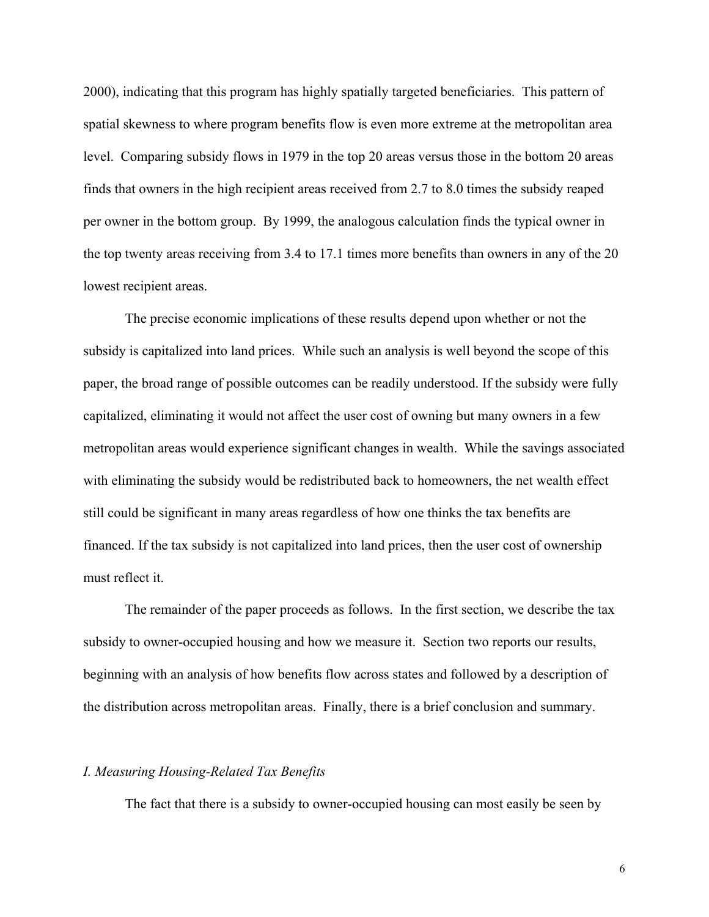2000), indicating that this program has highly spatially targeted beneficiaries. This pattern of spatial skewness to where program benefits flow is even more extreme at the metropolitan area level. Comparing subsidy flows in 1979 in the top 20 areas versus those in the bottom 20 areas finds that owners in the high recipient areas received from 2.7 to 8.0 times the subsidy reaped per owner in the bottom group. By 1999, the analogous calculation finds the typical owner in the top twenty areas receiving from 3.4 to 17.1 times more benefits than owners in any of the 20 lowest recipient areas.

The precise economic implications of these results depend upon whether or not the subsidy is capitalized into land prices. While such an analysis is well beyond the scope of this paper, the broad range of possible outcomes can be readily understood. If the subsidy were fully capitalized, eliminating it would not affect the user cost of owning but many owners in a few metropolitan areas would experience significant changes in wealth. While the savings associated with eliminating the subsidy would be redistributed back to homeowners, the net wealth effect still could be significant in many areas regardless of how one thinks the tax benefits are financed. If the tax subsidy is not capitalized into land prices, then the user cost of ownership must reflect it.

The remainder of the paper proceeds as follows. In the first section, we describe the tax subsidy to owner-occupied housing and how we measure it. Section two reports our results, beginning with an analysis of how benefits flow across states and followed by a description of the distribution across metropolitan areas. Finally, there is a brief conclusion and summary.

## *I. Measuring Housing-Related Tax Benefits*

The fact that there is a subsidy to owner-occupied housing can most easily be seen by

6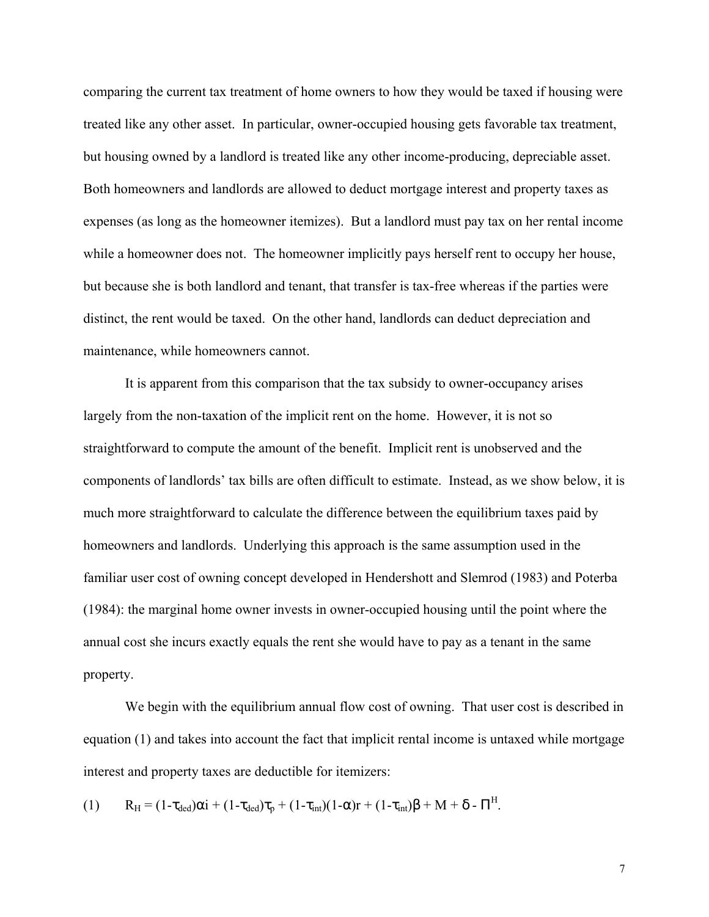comparing the current tax treatment of home owners to how they would be taxed if housing were treated like any other asset. In particular, owner-occupied housing gets favorable tax treatment, but housing owned by a landlord is treated like any other income-producing, depreciable asset. Both homeowners and landlords are allowed to deduct mortgage interest and property taxes as expenses (as long as the homeowner itemizes). But a landlord must pay tax on her rental income while a homeowner does not. The homeowner implicitly pays herself rent to occupy her house, but because she is both landlord and tenant, that transfer is tax-free whereas if the parties were distinct, the rent would be taxed. On the other hand, landlords can deduct depreciation and maintenance, while homeowners cannot.

It is apparent from this comparison that the tax subsidy to owner-occupancy arises largely from the non-taxation of the implicit rent on the home. However, it is not so straightforward to compute the amount of the benefit. Implicit rent is unobserved and the components of landlords' tax bills are often difficult to estimate. Instead, as we show below, it is much more straightforward to calculate the difference between the equilibrium taxes paid by homeowners and landlords. Underlying this approach is the same assumption used in the familiar user cost of owning concept developed in Hendershott and Slemrod (1983) and Poterba (1984): the marginal home owner invests in owner-occupied housing until the point where the annual cost she incurs exactly equals the rent she would have to pay as a tenant in the same property.

We begin with the equilibrium annual flow cost of owning. That user cost is described in equation (1) and takes into account the fact that implicit rental income is untaxed while mortgage interest and property taxes are deductible for itemizers:

$$
(1) \qquad R_H = (1-\tau_{ded})\alpha i + (1-\tau_{ded})\tau_p + (1-\tau_{int})(1-\alpha)r + (1-\tau_{int})\beta + M + \delta - \Pi^H.
$$

7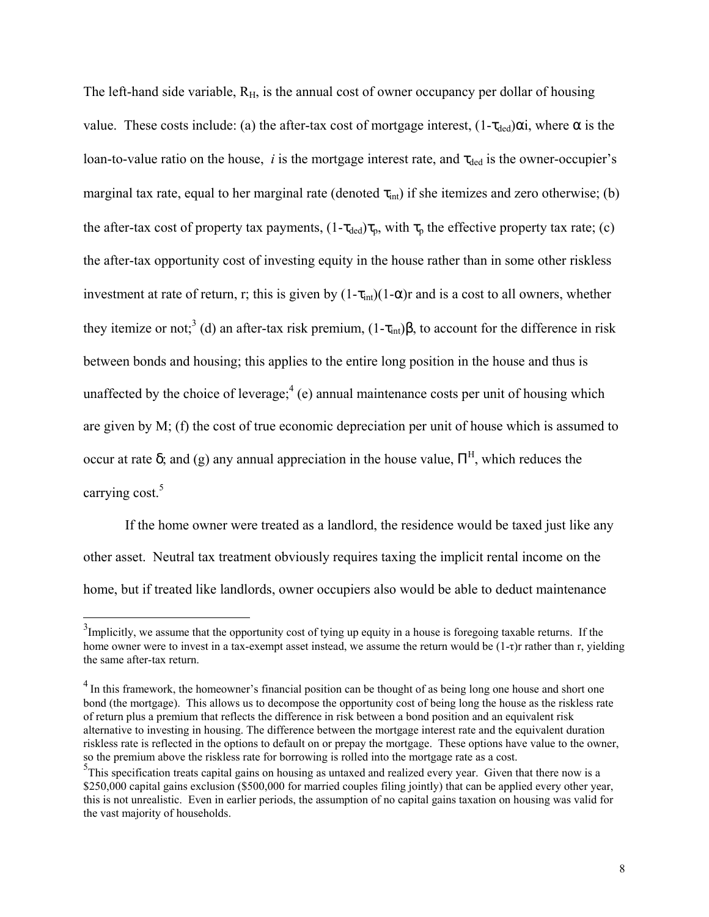The left-hand side variable,  $R_H$ , is the annual cost of owner occupancy per dollar of housing value. These costs include: (a) the after-tax cost of mortgage interest,  $(1-\tau_{\text{ded}})\alpha i$ , where  $\alpha$  is the loan-to-value ratio on the house,  $i$  is the mortgage interest rate, and  $\tau_{\text{ded}}$  is the owner-occupier's marginal tax rate, equal to her marginal rate (denoted  $\tau_{int}$ ) if she itemizes and zero otherwise; (b) the after-tax cost of property tax payments,  $(1-\tau_{ded})\tau_p$ , with  $\tau_p$  the effective property tax rate; (c) the after-tax opportunity cost of investing equity in the house rather than in some other riskless investment at rate of return, r; this is given by  $(1-\tau_{int})(1-\alpha)r$  and is a cost to all owners, whether they itemize or not;<sup>3</sup> (d) an after-tax risk premium,  $(1-\tau_{int})\beta$ , to account for the difference in risk between bonds and housing; this applies to the entire long position in the house and thus is unaffected by the choice of leverage; $^{4}$  (e) annual maintenance costs per unit of housing which are given by M; (f) the cost of true economic depreciation per unit of house which is assumed to occur at rate δ; and (g) any annual appreciation in the house value,  $\Pi^H$ , which reduces the carrying cost.<sup>5</sup>

 If the home owner were treated as a landlord, the residence would be taxed just like any other asset. Neutral tax treatment obviously requires taxing the implicit rental income on the home, but if treated like landlords, owner occupiers also would be able to deduct maintenance

 $3$ Implicitly, we assume that the opportunity cost of tying up equity in a house is foregoing taxable returns. If the home owner were to invest in a tax-exempt asset instead, we assume the return would be (1-τ)r rather than r, yielding the same after-tax return.

<sup>&</sup>lt;sup>4</sup> In this framework, the homeowner's financial position can be thought of as being long one house and short one bond (the mortgage). This allows us to decompose the opportunity cost of being long the house as the riskless rate of return plus a premium that reflects the difference in risk between a bond position and an equivalent risk alternative to investing in housing. The difference between the mortgage interest rate and the equivalent duration riskless rate is reflected in the options to default on or prepay the mortgage. These options have value to the owner, so the premium above the riskless rate for borrowing is rolled into the mortgage rate as a cost.

<sup>&</sup>lt;sup>5</sup>This specification treats capital gains on housing as untaxed and realized every year. Given that there now is a \$250,000 capital gains exclusion (\$500,000 for married couples filing jointly) that can be applied every other year, this is not unrealistic. Even in earlier periods, the assumption of no capital gains taxation on housing was valid for the vast majority of households.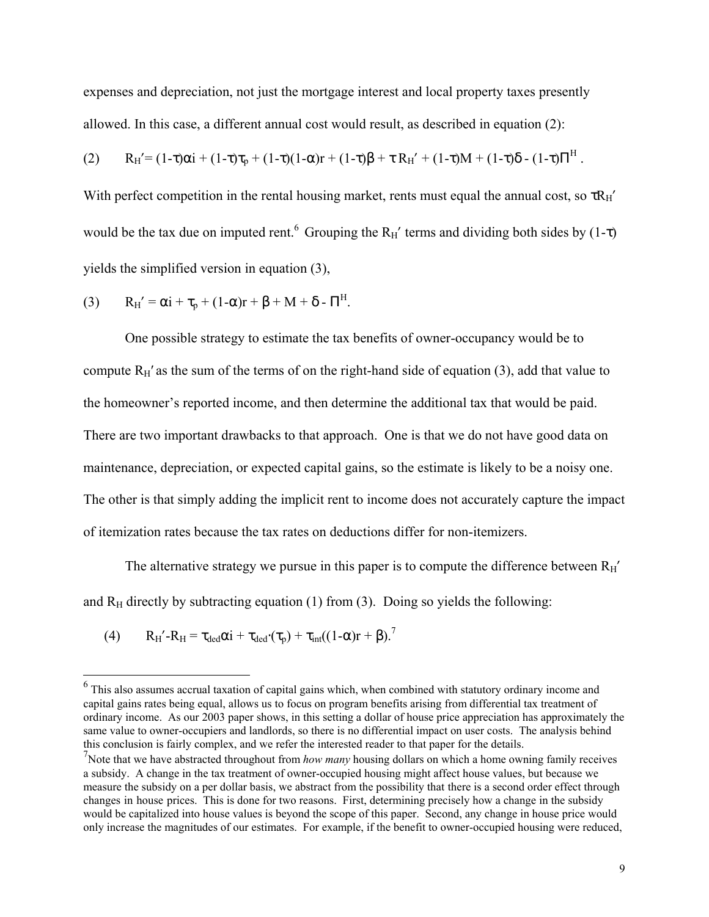expenses and depreciation, not just the mortgage interest and local property taxes presently allowed. In this case, a different annual cost would result, as described in equation (2):

$$
(2) \qquad R_H' = (1-\tau)\alpha i + (1-\tau)\tau_p + (1-\tau)(1-\alpha)r + (1-\tau)\beta + \tau R_H' + (1-\tau)M + (1-\tau)\delta - (1-\tau)\Pi^H.
$$

With perfect competition in the rental housing market, rents must equal the annual cost, so  $\tau R_H'$ would be the tax due on imputed rent.<sup>6</sup> Grouping the R<sub>H</sub>' terms and dividing both sides by (1-τ) yields the simplified version in equation (3),

(3) 
$$
R_H' = \alpha i + \tau_p + (1-\alpha)r + \beta + M + \delta - \Pi^H.
$$

 One possible strategy to estimate the tax benefits of owner-occupancy would be to compute  $R_H'$  as the sum of the terms of on the right-hand side of equation (3), add that value to the homeowner's reported income, and then determine the additional tax that would be paid. There are two important drawbacks to that approach. One is that we do not have good data on maintenance, depreciation, or expected capital gains, so the estimate is likely to be a noisy one. The other is that simply adding the implicit rent to income does not accurately capture the impact of itemization rates because the tax rates on deductions differ for non-itemizers.

The alternative strategy we pursue in this paper is to compute the difference between  $R_H'$ and  $R_H$  directly by subtracting equation (1) from (3). Doing so yields the following:

(4) 
$$
R_H' - R_H = \tau_{ded}\alpha i + \tau_{ded'}(\tau_p) + \tau_{int}((1-\alpha)r + \beta)^2
$$

<sup>&</sup>lt;sup>6</sup> This also assumes accrual taxation of capital gains which, when combined with statutory ordinary income and capital gains rates being equal, allows us to focus on program benefits arising from differential tax treatment of ordinary income. As our 2003 paper shows, in this setting a dollar of house price appreciation has approximately the same value to owner-occupiers and landlords, so there is no differential impact on user costs. The analysis behind this conclusion is fairly complex, and we refer the interested reader to that paper for the details.

<sup>7</sup> Note that we have abstracted throughout from *how many* housing dollars on which a home owning family receives a subsidy. A change in the tax treatment of owner-occupied housing might affect house values, but because we measure the subsidy on a per dollar basis, we abstract from the possibility that there is a second order effect through changes in house prices. This is done for two reasons. First, determining precisely how a change in the subsidy would be capitalized into house values is beyond the scope of this paper. Second, any change in house price would only increase the magnitudes of our estimates. For example, if the benefit to owner-occupied housing were reduced,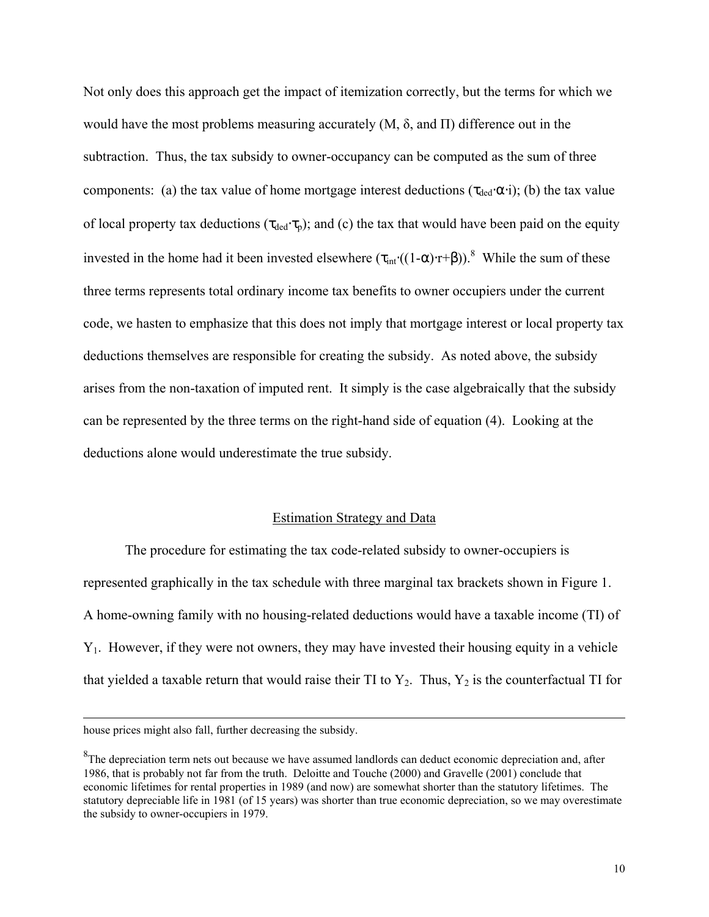Not only does this approach get the impact of itemization correctly, but the terms for which we would have the most problems measuring accurately  $(M, \delta, \text{ and } \Pi)$  difference out in the subtraction. Thus, the tax subsidy to owner-occupancy can be computed as the sum of three components: (a) the tax value of home mortgage interest deductions ( $\tau_{\text{ded}} \alpha_i$ ); (b) the tax value of local property tax deductions ( $\tau_{\text{ded}}\cdot\tau_{\text{p}}$ ); and (c) the tax that would have been paid on the equity invested in the home had it been invested elsewhere  $(\tau_{int}((1-\alpha)\cdot r+\beta))$ .<sup>8</sup> While the sum of these three terms represents total ordinary income tax benefits to owner occupiers under the current code, we hasten to emphasize that this does not imply that mortgage interest or local property tax deductions themselves are responsible for creating the subsidy. As noted above, the subsidy arises from the non-taxation of imputed rent. It simply is the case algebraically that the subsidy can be represented by the three terms on the right-hand side of equation (4). Looking at the deductions alone would underestimate the true subsidy.

## Estimation Strategy and Data

The procedure for estimating the tax code-related subsidy to owner-occupiers is represented graphically in the tax schedule with three marginal tax brackets shown in Figure 1. A home-owning family with no housing-related deductions would have a taxable income (TI) of Y1. However, if they were not owners, they may have invested their housing equity in a vehicle that yielded a taxable return that would raise their TI to  $Y_2$ . Thus,  $Y_2$  is the counterfactual TI for

house prices might also fall, further decreasing the subsidy.

 ${}^{8}$ The depreciation term nets out because we have assumed landlords can deduct economic depreciation and, after 1986, that is probably not far from the truth. Deloitte and Touche (2000) and Gravelle (2001) conclude that economic lifetimes for rental properties in 1989 (and now) are somewhat shorter than the statutory lifetimes. The statutory depreciable life in 1981 (of 15 years) was shorter than true economic depreciation, so we may overestimate the subsidy to owner-occupiers in 1979.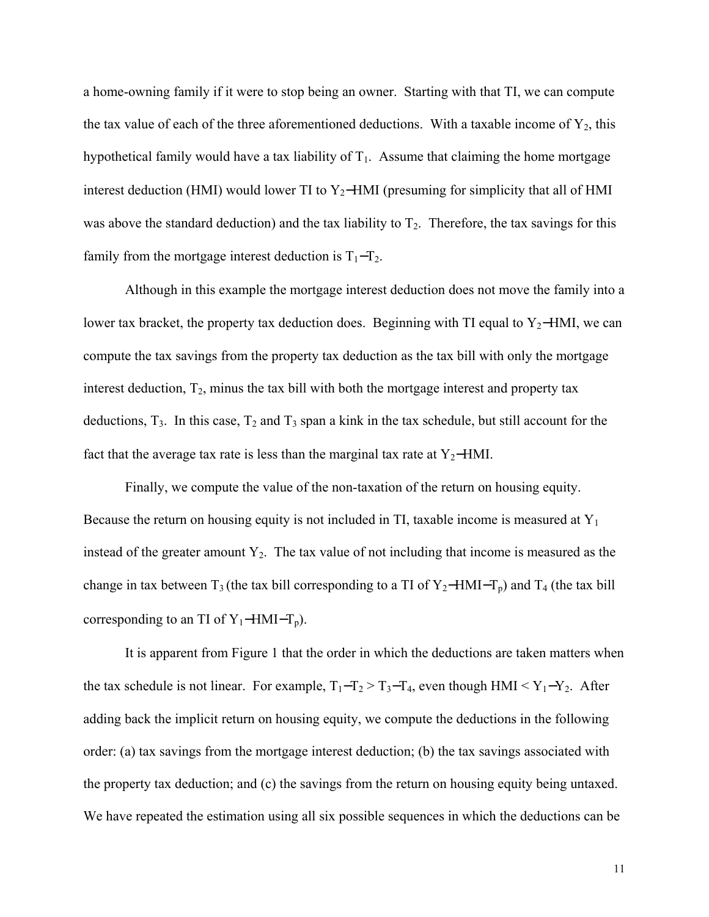a home-owning family if it were to stop being an owner. Starting with that TI, we can compute the tax value of each of the three aforementioned deductions. With a taxable income of  $Y_2$ , this hypothetical family would have a tax liability of  $T_1$ . Assume that claiming the home mortgage interest deduction (HMI) would lower TI to Y<sub>2</sub>−HMI (presuming for simplicity that all of HMI was above the standard deduction) and the tax liability to  $T_2$ . Therefore, the tax savings for this family from the mortgage interest deduction is  $T_1-T_2$ .

Although in this example the mortgage interest deduction does not move the family into a lower tax bracket, the property tax deduction does. Beginning with TI equal to Y<sub>2</sub>−HMI, we can compute the tax savings from the property tax deduction as the tax bill with only the mortgage interest deduction,  $T_2$ , minus the tax bill with both the mortgage interest and property tax deductions,  $T_3$ . In this case,  $T_2$  and  $T_3$  span a kink in the tax schedule, but still account for the fact that the average tax rate is less than the marginal tax rate at  $Y_2$ −HMI.

Finally, we compute the value of the non-taxation of the return on housing equity. Because the return on housing equity is not included in TI, taxable income is measured at  $Y_1$ instead of the greater amount  $Y_2$ . The tax value of not including that income is measured as the change in tax between  $T_3$  (the tax bill corresponding to a TI of Y<sub>2</sub>−HMI−T<sub>p</sub>) and T<sub>4</sub> (the tax bill corresponding to an TI of  $Y_1$ −HMI−T<sub>p</sub>).

It is apparent from Figure 1 that the order in which the deductions are taken matters when the tax schedule is not linear. For example,  $T_1 - T_2 > T_3 - T_4$ , even though HMI < Y<sub>1</sub>-Y<sub>2</sub>. After adding back the implicit return on housing equity, we compute the deductions in the following order: (a) tax savings from the mortgage interest deduction; (b) the tax savings associated with the property tax deduction; and (c) the savings from the return on housing equity being untaxed. We have repeated the estimation using all six possible sequences in which the deductions can be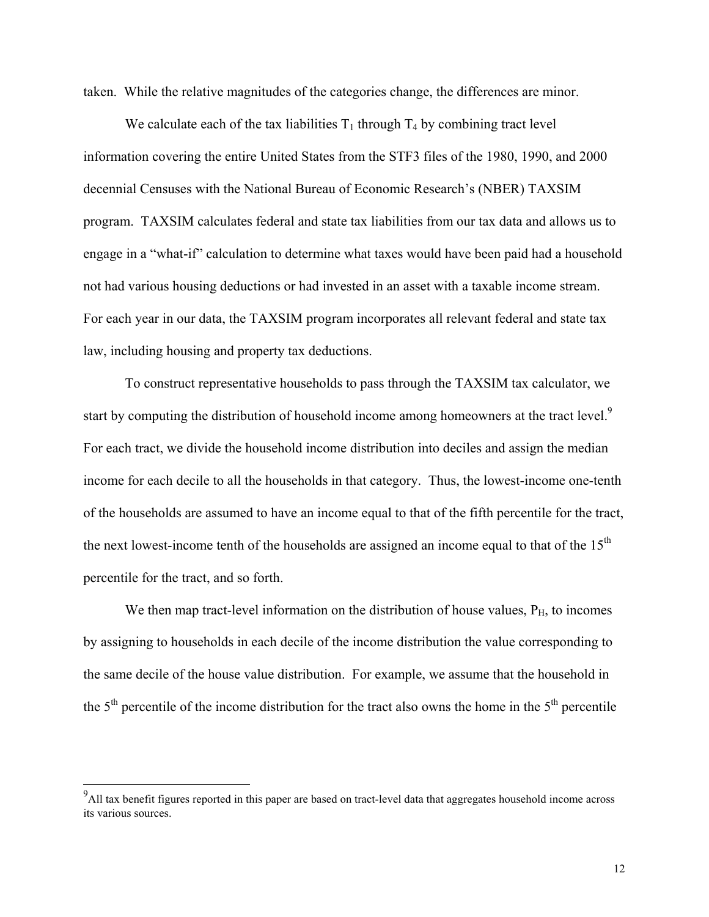taken. While the relative magnitudes of the categories change, the differences are minor.

We calculate each of the tax liabilities  $T_1$  through  $T_4$  by combining tract level information covering the entire United States from the STF3 files of the 1980, 1990, and 2000 decennial Censuses with the National Bureau of Economic Research's (NBER) TAXSIM program. TAXSIM calculates federal and state tax liabilities from our tax data and allows us to engage in a "what-if" calculation to determine what taxes would have been paid had a household not had various housing deductions or had invested in an asset with a taxable income stream. For each year in our data, the TAXSIM program incorporates all relevant federal and state tax law, including housing and property tax deductions.

 To construct representative households to pass through the TAXSIM tax calculator, we start by computing the distribution of household income among homeowners at the tract level.<sup>9</sup> For each tract, we divide the household income distribution into deciles and assign the median income for each decile to all the households in that category. Thus, the lowest-income one-tenth of the households are assumed to have an income equal to that of the fifth percentile for the tract, the next lowest-income tenth of the households are assigned an income equal to that of the  $15<sup>th</sup>$ percentile for the tract, and so forth.

We then map tract-level information on the distribution of house values,  $P_{H_2}$  to incomes by assigning to households in each decile of the income distribution the value corresponding to the same decile of the house value distribution. For example, we assume that the household in the  $5<sup>th</sup>$  percentile of the income distribution for the tract also owns the home in the  $5<sup>th</sup>$  percentile

<sup>&</sup>lt;sup>9</sup><br>All tax benefit figures reported in this paper are based on tract-level data that aggregates household income across its various sources.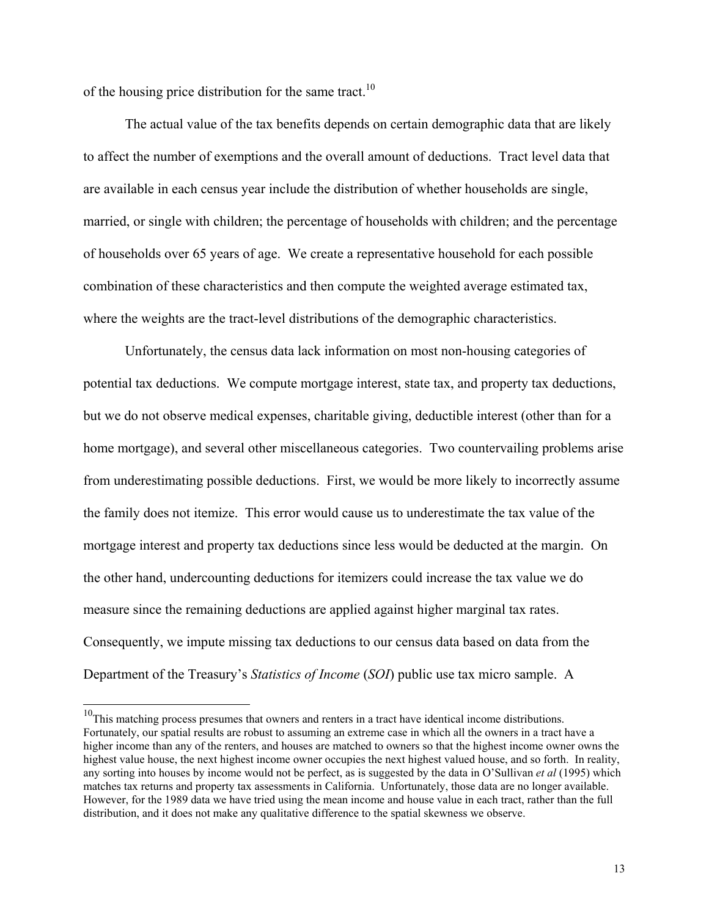of the housing price distribution for the same tract.<sup>10</sup>

 $\overline{a}$ 

The actual value of the tax benefits depends on certain demographic data that are likely to affect the number of exemptions and the overall amount of deductions. Tract level data that are available in each census year include the distribution of whether households are single, married, or single with children; the percentage of households with children; and the percentage of households over 65 years of age. We create a representative household for each possible combination of these characteristics and then compute the weighted average estimated tax, where the weights are the tract-level distributions of the demographic characteristics.

Unfortunately, the census data lack information on most non-housing categories of potential tax deductions. We compute mortgage interest, state tax, and property tax deductions, but we do not observe medical expenses, charitable giving, deductible interest (other than for a home mortgage), and several other miscellaneous categories. Two countervailing problems arise from underestimating possible deductions. First, we would be more likely to incorrectly assume the family does not itemize. This error would cause us to underestimate the tax value of the mortgage interest and property tax deductions since less would be deducted at the margin. On the other hand, undercounting deductions for itemizers could increase the tax value we do measure since the remaining deductions are applied against higher marginal tax rates. Consequently, we impute missing tax deductions to our census data based on data from the Department of the Treasury's *Statistics of Income* (*SOI*) public use tax micro sample. A

 $10$ This matching process presumes that owners and renters in a tract have identical income distributions. Fortunately, our spatial results are robust to assuming an extreme case in which all the owners in a tract have a higher income than any of the renters, and houses are matched to owners so that the highest income owner owns the highest value house, the next highest income owner occupies the next highest valued house, and so forth. In reality, any sorting into houses by income would not be perfect, as is suggested by the data in O'Sullivan *et al* (1995) which matches tax returns and property tax assessments in California. Unfortunately, those data are no longer available. However, for the 1989 data we have tried using the mean income and house value in each tract, rather than the full distribution, and it does not make any qualitative difference to the spatial skewness we observe.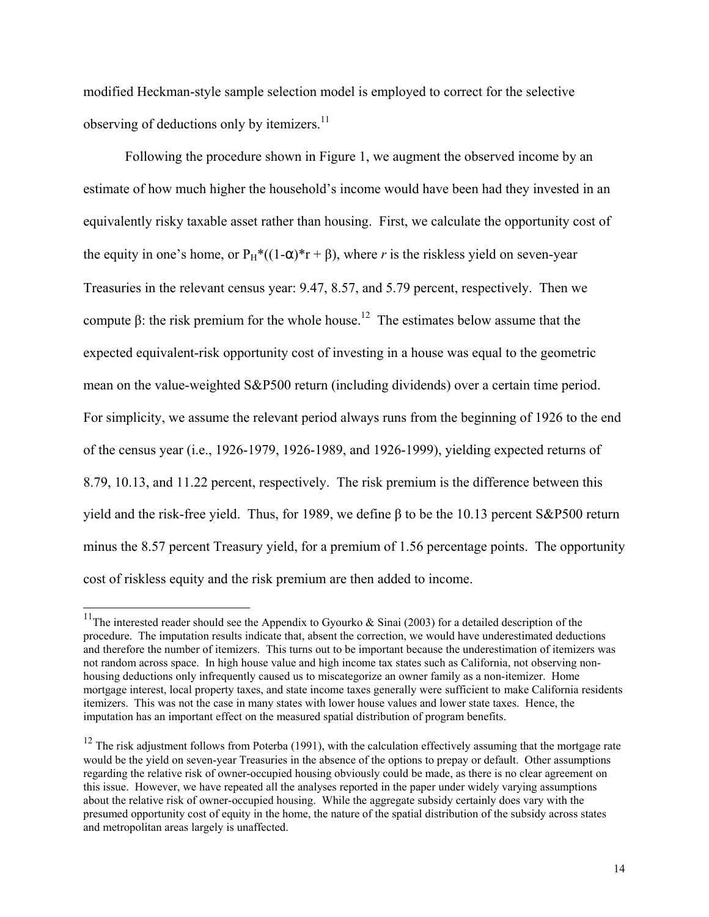modified Heckman-style sample selection model is employed to correct for the selective observing of deductions only by itemizers.<sup>11</sup>

Following the procedure shown in Figure 1, we augment the observed income by an estimate of how much higher the household's income would have been had they invested in an equivalently risky taxable asset rather than housing. First, we calculate the opportunity cost of the equity in one's home, or  $P_H^*((1-\alpha)^*r + \beta)$ , where *r* is the riskless yield on seven-year Treasuries in the relevant census year: 9.47, 8.57, and 5.79 percent, respectively. Then we compute β: the risk premium for the whole house.<sup>12</sup> The estimates below assume that the expected equivalent-risk opportunity cost of investing in a house was equal to the geometric mean on the value-weighted S&P500 return (including dividends) over a certain time period. For simplicity, we assume the relevant period always runs from the beginning of 1926 to the end of the census year (i.e., 1926-1979, 1926-1989, and 1926-1999), yielding expected returns of 8.79, 10.13, and 11.22 percent, respectively. The risk premium is the difference between this yield and the risk-free yield. Thus, for 1989, we define β to be the 10.13 percent S&P500 return minus the 8.57 percent Treasury yield, for a premium of 1.56 percentage points. The opportunity cost of riskless equity and the risk premium are then added to income.

<sup>&</sup>lt;sup>11</sup>The interested reader should see the Appendix to Gyourko & Sinai (2003) for a detailed description of the procedure. The imputation results indicate that, absent the correction, we would have underestimated deductions and therefore the number of itemizers. This turns out to be important because the underestimation of itemizers was not random across space. In high house value and high income tax states such as California, not observing nonhousing deductions only infrequently caused us to miscategorize an owner family as a non-itemizer. Home mortgage interest, local property taxes, and state income taxes generally were sufficient to make California residents itemizers. This was not the case in many states with lower house values and lower state taxes. Hence, the imputation has an important effect on the measured spatial distribution of program benefits.

 $12$  The risk adjustment follows from Poterba (1991), with the calculation effectively assuming that the mortgage rate would be the yield on seven-year Treasuries in the absence of the options to prepay or default. Other assumptions regarding the relative risk of owner-occupied housing obviously could be made, as there is no clear agreement on this issue. However, we have repeated all the analyses reported in the paper under widely varying assumptions about the relative risk of owner-occupied housing. While the aggregate subsidy certainly does vary with the presumed opportunity cost of equity in the home, the nature of the spatial distribution of the subsidy across states and metropolitan areas largely is unaffected.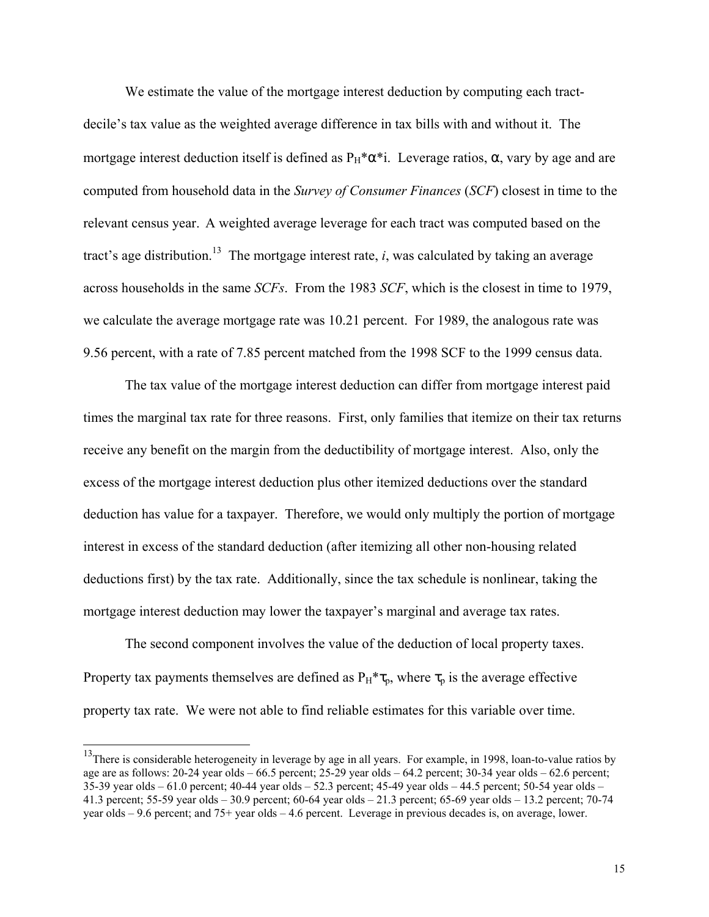We estimate the value of the mortgage interest deduction by computing each tractdecile's tax value as the weighted average difference in tax bills with and without it. The mortgage interest deduction itself is defined as  $P_H^* \alpha^*$ i. Leverage ratios,  $\alpha$ , vary by age and are computed from household data in the *Survey of Consumer Finances* (*SCF*) closest in time to the relevant census year. A weighted average leverage for each tract was computed based on the tract's age distribution.<sup>13</sup> The mortgage interest rate, *i*, was calculated by taking an average across households in the same *SCFs*. From the 1983 *SCF*, which is the closest in time to 1979, we calculate the average mortgage rate was 10.21 percent. For 1989, the analogous rate was 9.56 percent, with a rate of 7.85 percent matched from the 1998 SCF to the 1999 census data.

The tax value of the mortgage interest deduction can differ from mortgage interest paid times the marginal tax rate for three reasons. First, only families that itemize on their tax returns receive any benefit on the margin from the deductibility of mortgage interest. Also, only the excess of the mortgage interest deduction plus other itemized deductions over the standard deduction has value for a taxpayer. Therefore, we would only multiply the portion of mortgage interest in excess of the standard deduction (after itemizing all other non-housing related deductions first) by the tax rate. Additionally, since the tax schedule is nonlinear, taking the mortgage interest deduction may lower the taxpayer's marginal and average tax rates.

The second component involves the value of the deduction of local property taxes. Property tax payments themselves are defined as  $P_H^* \tau_p$ , where  $\tau_p$  is the average effective property tax rate. We were not able to find reliable estimates for this variable over time.

<sup>&</sup>lt;sup>13</sup>There is considerable heterogeneity in leverage by age in all years. For example, in 1998, loan-to-value ratios by age are as follows:  $20-24$  year olds  $-66.5$  percent;  $25-29$  year olds  $-64.2$  percent;  $30-34$  year olds  $-62.6$  percent; 35-39 year olds – 61.0 percent; 40-44 year olds – 52.3 percent; 45-49 year olds – 44.5 percent; 50-54 year olds – 41.3 percent; 55-59 year olds – 30.9 percent; 60-64 year olds – 21.3 percent; 65-69 year olds – 13.2 percent; 70-74 year olds – 9.6 percent; and 75+ year olds – 4.6 percent. Leverage in previous decades is, on average, lower.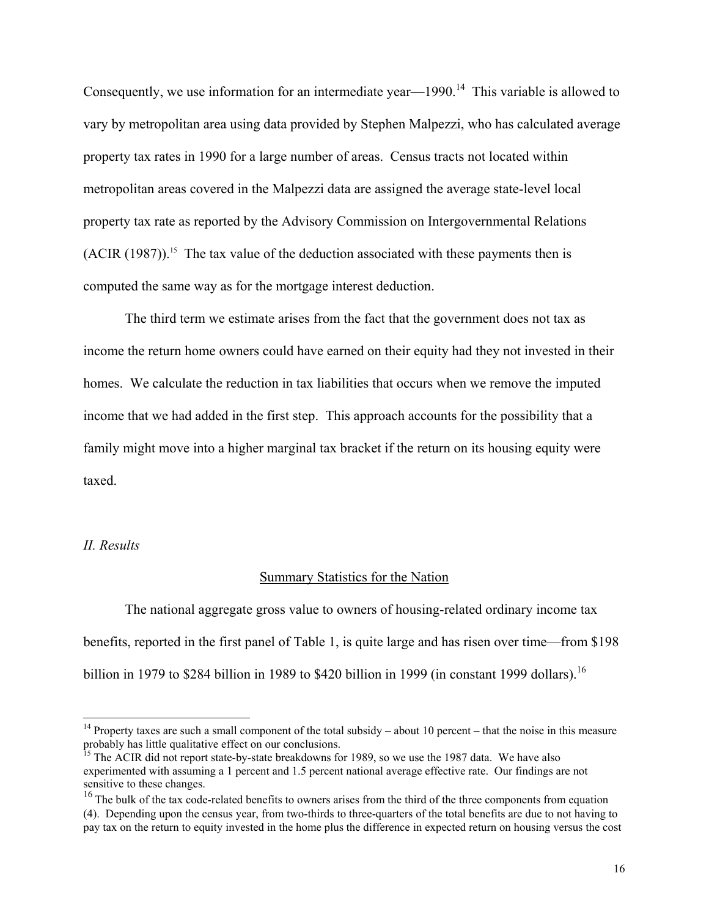Consequently, we use information for an intermediate year—1990.<sup>14</sup> This variable is allowed to vary by metropolitan area using data provided by Stephen Malpezzi, who has calculated average property tax rates in 1990 for a large number of areas. Census tracts not located within metropolitan areas covered in the Malpezzi data are assigned the average state-level local property tax rate as reported by the Advisory Commission on Intergovernmental Relations  $(ACIR (1987))$ .<sup>15</sup> The tax value of the deduction associated with these payments then is computed the same way as for the mortgage interest deduction.

The third term we estimate arises from the fact that the government does not tax as income the return home owners could have earned on their equity had they not invested in their homes. We calculate the reduction in tax liabilities that occurs when we remove the imputed income that we had added in the first step. This approach accounts for the possibility that a family might move into a higher marginal tax bracket if the return on its housing equity were taxed.

## *II. Results*

 $\overline{a}$ 

## Summary Statistics for the Nation

The national aggregate gross value to owners of housing-related ordinary income tax benefits, reported in the first panel of Table 1, is quite large and has risen over time—from \$198 billion in 1979 to \$284 billion in 1989 to \$420 billion in 1999 (in constant 1999 dollars).<sup>16</sup>

<sup>&</sup>lt;sup>14</sup> Property taxes are such a small component of the total subsidy – about 10 percent – that the noise in this measure probably has little qualitative effect on our conclusions.

<sup>&</sup>lt;sup>15</sup> The ACIR did not report state-by-state breakdowns for 1989, so we use the 1987 data. We have also experimented with assuming a 1 percent and 1.5 percent national average effective rate. Our findings are not sensitive to these changes.

<sup>&</sup>lt;sup>16</sup> The bulk of the tax code-related benefits to owners arises from the third of the three components from equation (4). Depending upon the census year, from two-thirds to three-quarters of the total benefits are due to not having to pay tax on the return to equity invested in the home plus the difference in expected return on housing versus the cost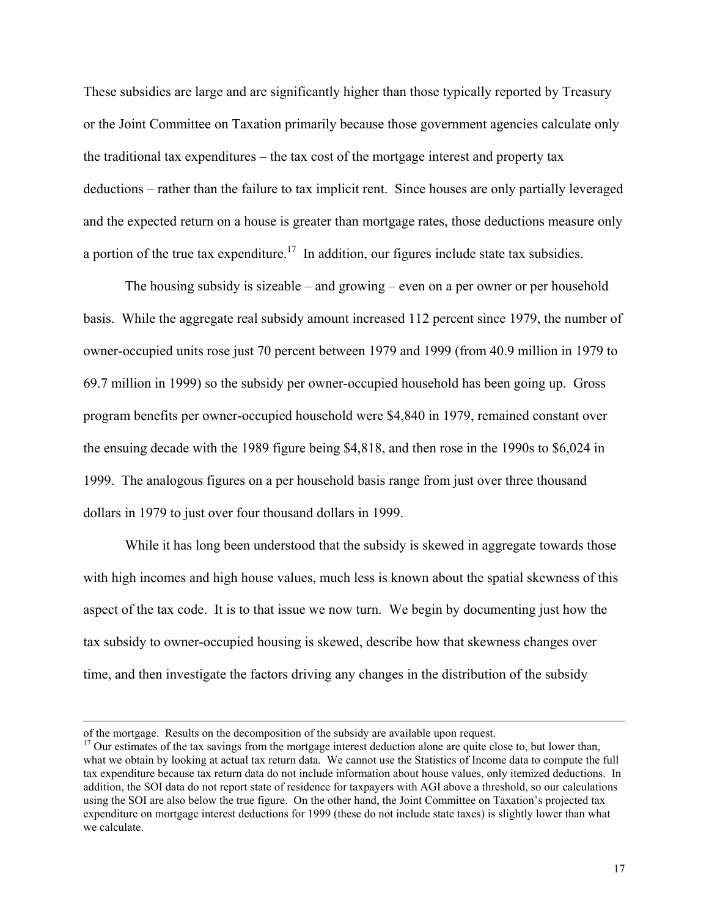These subsidies are large and are significantly higher than those typically reported by Treasury or the Joint Committee on Taxation primarily because those government agencies calculate only the traditional tax expenditures – the tax cost of the mortgage interest and property tax deductions – rather than the failure to tax implicit rent. Since houses are only partially leveraged and the expected return on a house is greater than mortgage rates, those deductions measure only a portion of the true tax expenditure.<sup>17</sup> In addition, our figures include state tax subsidies.

The housing subsidy is sizeable – and growing – even on a per owner or per household basis. While the aggregate real subsidy amount increased 112 percent since 1979, the number of owner-occupied units rose just 70 percent between 1979 and 1999 (from 40.9 million in 1979 to 69.7 million in 1999) so the subsidy per owner-occupied household has been going up. Gross program benefits per owner-occupied household were \$4,840 in 1979, remained constant over the ensuing decade with the 1989 figure being \$4,818, and then rose in the 1990s to \$6,024 in 1999. The analogous figures on a per household basis range from just over three thousand dollars in 1979 to just over four thousand dollars in 1999.

While it has long been understood that the subsidy is skewed in aggregate towards those with high incomes and high house values, much less is known about the spatial skewness of this aspect of the tax code. It is to that issue we now turn. We begin by documenting just how the tax subsidy to owner-occupied housing is skewed, describe how that skewness changes over time, and then investigate the factors driving any changes in the distribution of the subsidy

of the mortgage. Results on the decomposition of the subsidy are available upon request.

<sup>&</sup>lt;sup>17</sup> Our estimates of the tax savings from the mortgage interest deduction alone are quite close to, but lower than, what we obtain by looking at actual tax return data. We cannot use the Statistics of Income data to compute the full tax expenditure because tax return data do not include information about house values, only itemized deductions. In addition, the SOI data do not report state of residence for taxpayers with AGI above a threshold, so our calculations using the SOI are also below the true figure. On the other hand, the Joint Committee on Taxation's projected tax expenditure on mortgage interest deductions for 1999 (these do not include state taxes) is slightly lower than what we calculate.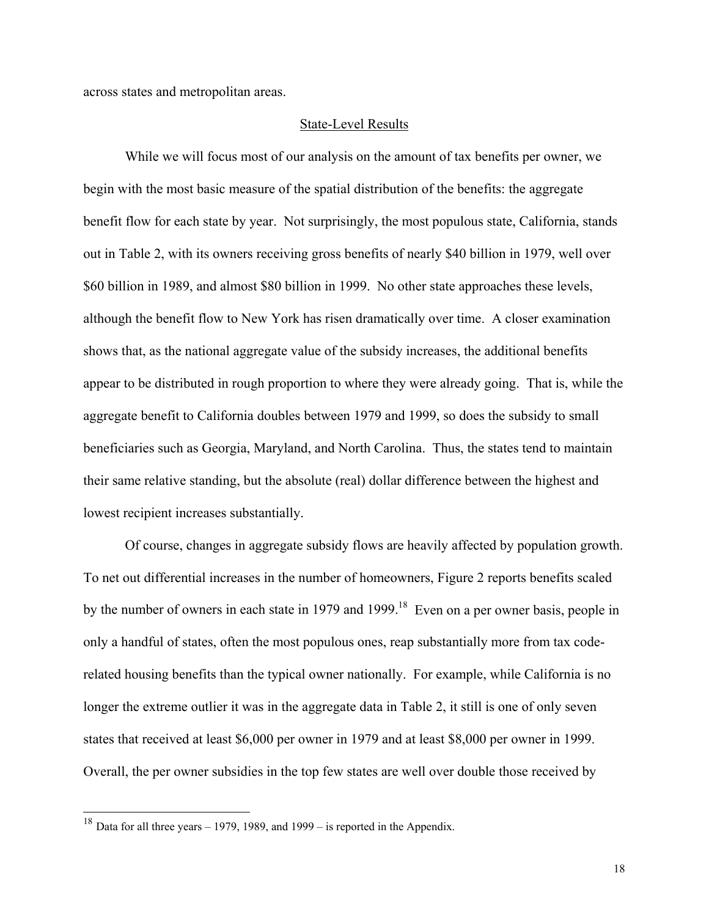across states and metropolitan areas.

## State-Level Results

 While we will focus most of our analysis on the amount of tax benefits per owner, we begin with the most basic measure of the spatial distribution of the benefits: the aggregate benefit flow for each state by year. Not surprisingly, the most populous state, California, stands out in Table 2, with its owners receiving gross benefits of nearly \$40 billion in 1979, well over \$60 billion in 1989, and almost \$80 billion in 1999. No other state approaches these levels, although the benefit flow to New York has risen dramatically over time. A closer examination shows that, as the national aggregate value of the subsidy increases, the additional benefits appear to be distributed in rough proportion to where they were already going. That is, while the aggregate benefit to California doubles between 1979 and 1999, so does the subsidy to small beneficiaries such as Georgia, Maryland, and North Carolina. Thus, the states tend to maintain their same relative standing, but the absolute (real) dollar difference between the highest and lowest recipient increases substantially.

 Of course, changes in aggregate subsidy flows are heavily affected by population growth. To net out differential increases in the number of homeowners, Figure 2 reports benefits scaled by the number of owners in each state in 1979 and 1999.<sup>18</sup> Even on a per owner basis, people in only a handful of states, often the most populous ones, reap substantially more from tax coderelated housing benefits than the typical owner nationally. For example, while California is no longer the extreme outlier it was in the aggregate data in Table 2, it still is one of only seven states that received at least \$6,000 per owner in 1979 and at least \$8,000 per owner in 1999. Overall, the per owner subsidies in the top few states are well over double those received by

 $\overline{a}$ 

18

<sup>&</sup>lt;sup>18</sup> Data for all three years – 1979, 1989, and 1999 – is reported in the Appendix.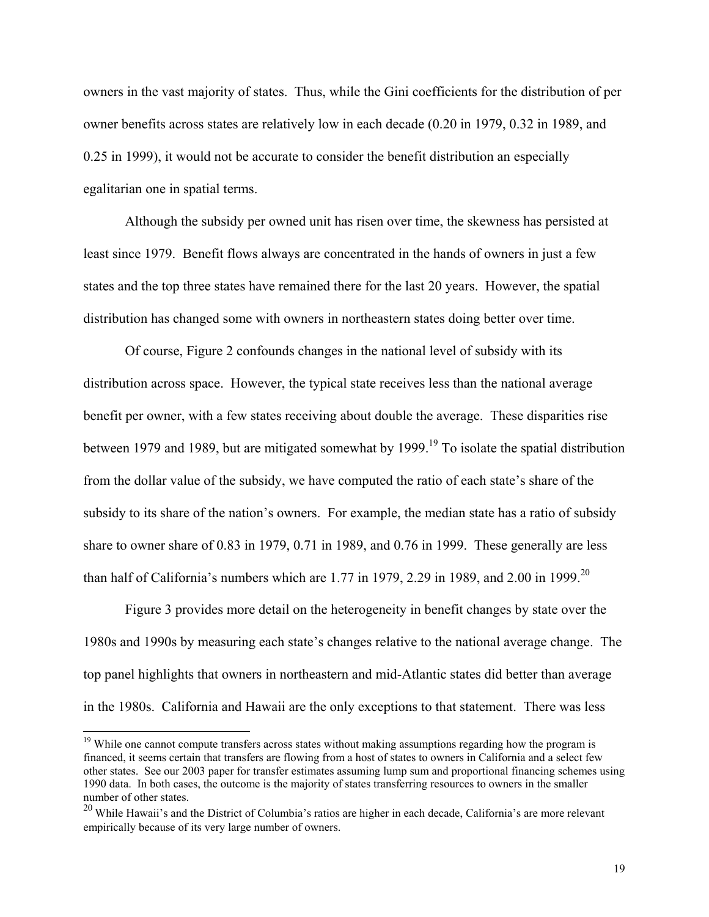owners in the vast majority of states. Thus, while the Gini coefficients for the distribution of per owner benefits across states are relatively low in each decade (0.20 in 1979, 0.32 in 1989, and 0.25 in 1999), it would not be accurate to consider the benefit distribution an especially egalitarian one in spatial terms.

 Although the subsidy per owned unit has risen over time, the skewness has persisted at least since 1979. Benefit flows always are concentrated in the hands of owners in just a few states and the top three states have remained there for the last 20 years. However, the spatial distribution has changed some with owners in northeastern states doing better over time.

 Of course, Figure 2 confounds changes in the national level of subsidy with its distribution across space. However, the typical state receives less than the national average benefit per owner, with a few states receiving about double the average. These disparities rise between 1979 and 1989, but are mitigated somewhat by 1999.<sup>19</sup> To isolate the spatial distribution from the dollar value of the subsidy, we have computed the ratio of each state's share of the subsidy to its share of the nation's owners. For example, the median state has a ratio of subsidy share to owner share of 0.83 in 1979, 0.71 in 1989, and 0.76 in 1999. These generally are less than half of California's numbers which are 1.77 in 1979, 2.29 in 1989, and 2.00 in 1999.<sup>20</sup>

 Figure 3 provides more detail on the heterogeneity in benefit changes by state over the 1980s and 1990s by measuring each state's changes relative to the national average change. The top panel highlights that owners in northeastern and mid-Atlantic states did better than average in the 1980s. California and Hawaii are the only exceptions to that statement. There was less

<sup>&</sup>lt;sup>19</sup> While one cannot compute transfers across states without making assumptions regarding how the program is financed, it seems certain that transfers are flowing from a host of states to owners in California and a select few other states. See our 2003 paper for transfer estimates assuming lump sum and proportional financing schemes using 1990 data. In both cases, the outcome is the majority of states transferring resources to owners in the smaller number of other states.

 $^{20}$  While Hawaii's and the District of Columbia's ratios are higher in each decade, California's are more relevant empirically because of its very large number of owners.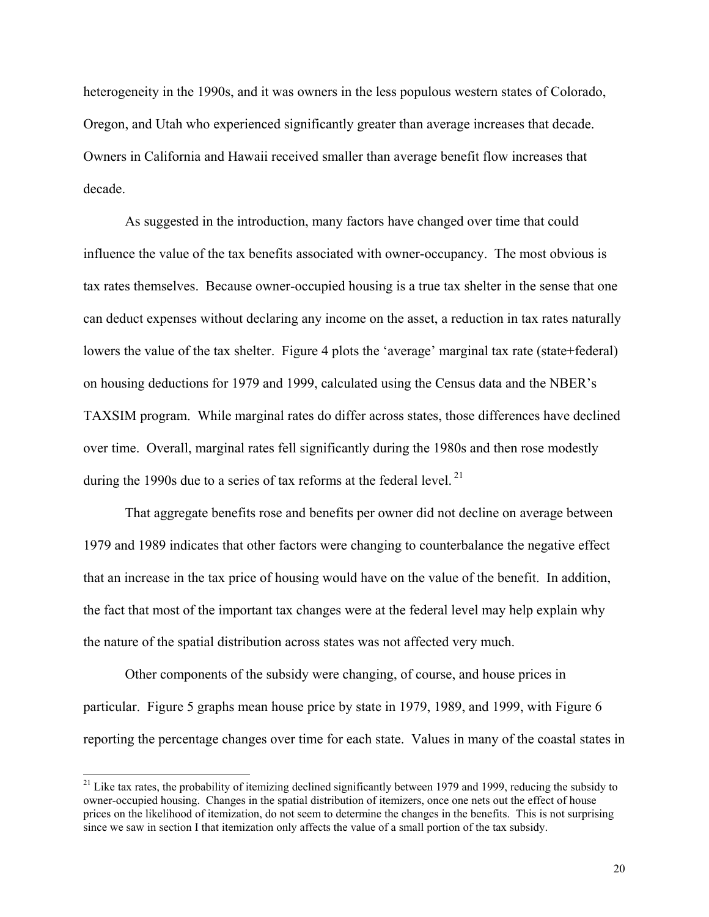heterogeneity in the 1990s, and it was owners in the less populous western states of Colorado, Oregon, and Utah who experienced significantly greater than average increases that decade. Owners in California and Hawaii received smaller than average benefit flow increases that decade.

 As suggested in the introduction, many factors have changed over time that could influence the value of the tax benefits associated with owner-occupancy. The most obvious is tax rates themselves. Because owner-occupied housing is a true tax shelter in the sense that one can deduct expenses without declaring any income on the asset, a reduction in tax rates naturally lowers the value of the tax shelter. Figure 4 plots the 'average' marginal tax rate (state+federal) on housing deductions for 1979 and 1999, calculated using the Census data and the NBER's TAXSIM program. While marginal rates do differ across states, those differences have declined over time. Overall, marginal rates fell significantly during the 1980s and then rose modestly during the 1990s due to a series of tax reforms at the federal level.<sup>21</sup>

 That aggregate benefits rose and benefits per owner did not decline on average between 1979 and 1989 indicates that other factors were changing to counterbalance the negative effect that an increase in the tax price of housing would have on the value of the benefit. In addition, the fact that most of the important tax changes were at the federal level may help explain why the nature of the spatial distribution across states was not affected very much.

 Other components of the subsidy were changing, of course, and house prices in particular. Figure 5 graphs mean house price by state in 1979, 1989, and 1999, with Figure 6 reporting the percentage changes over time for each state. Values in many of the coastal states in

<sup>&</sup>lt;sup>21</sup> Like tax rates, the probability of itemizing declined significantly between 1979 and 1999, reducing the subsidy to owner-occupied housing. Changes in the spatial distribution of itemizers, once one nets out the effect of house prices on the likelihood of itemization, do not seem to determine the changes in the benefits. This is not surprising since we saw in section I that itemization only affects the value of a small portion of the tax subsidy.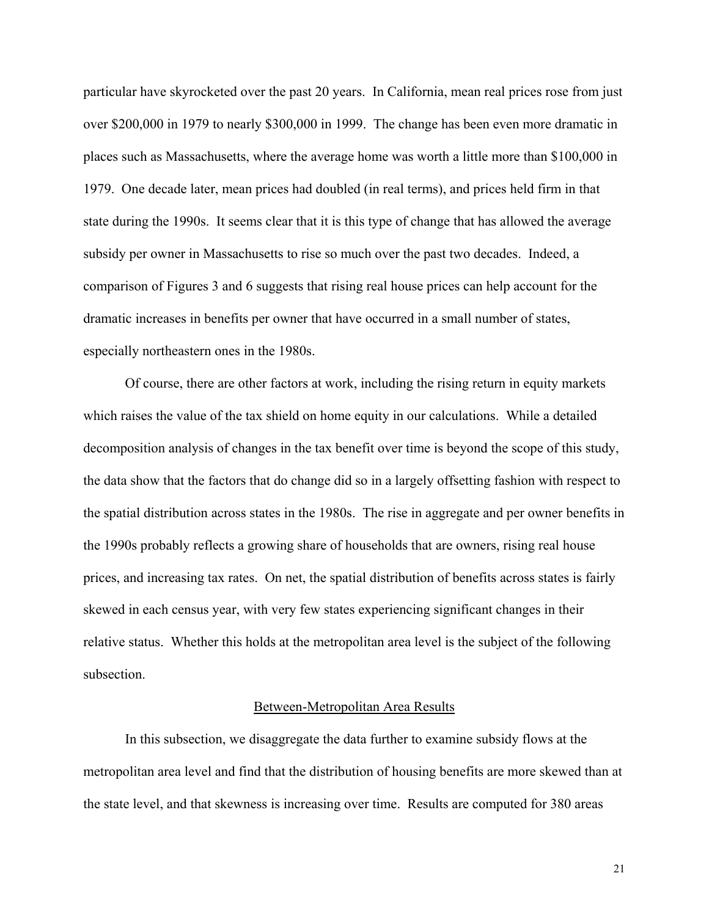particular have skyrocketed over the past 20 years. In California, mean real prices rose from just over \$200,000 in 1979 to nearly \$300,000 in 1999. The change has been even more dramatic in places such as Massachusetts, where the average home was worth a little more than \$100,000 in 1979. One decade later, mean prices had doubled (in real terms), and prices held firm in that state during the 1990s. It seems clear that it is this type of change that has allowed the average subsidy per owner in Massachusetts to rise so much over the past two decades. Indeed, a comparison of Figures 3 and 6 suggests that rising real house prices can help account for the dramatic increases in benefits per owner that have occurred in a small number of states, especially northeastern ones in the 1980s.

 Of course, there are other factors at work, including the rising return in equity markets which raises the value of the tax shield on home equity in our calculations. While a detailed decomposition analysis of changes in the tax benefit over time is beyond the scope of this study, the data show that the factors that do change did so in a largely offsetting fashion with respect to the spatial distribution across states in the 1980s. The rise in aggregate and per owner benefits in the 1990s probably reflects a growing share of households that are owners, rising real house prices, and increasing tax rates. On net, the spatial distribution of benefits across states is fairly skewed in each census year, with very few states experiencing significant changes in their relative status. Whether this holds at the metropolitan area level is the subject of the following subsection.

## Between-Metropolitan Area Results

In this subsection, we disaggregate the data further to examine subsidy flows at the metropolitan area level and find that the distribution of housing benefits are more skewed than at the state level, and that skewness is increasing over time. Results are computed for 380 areas

21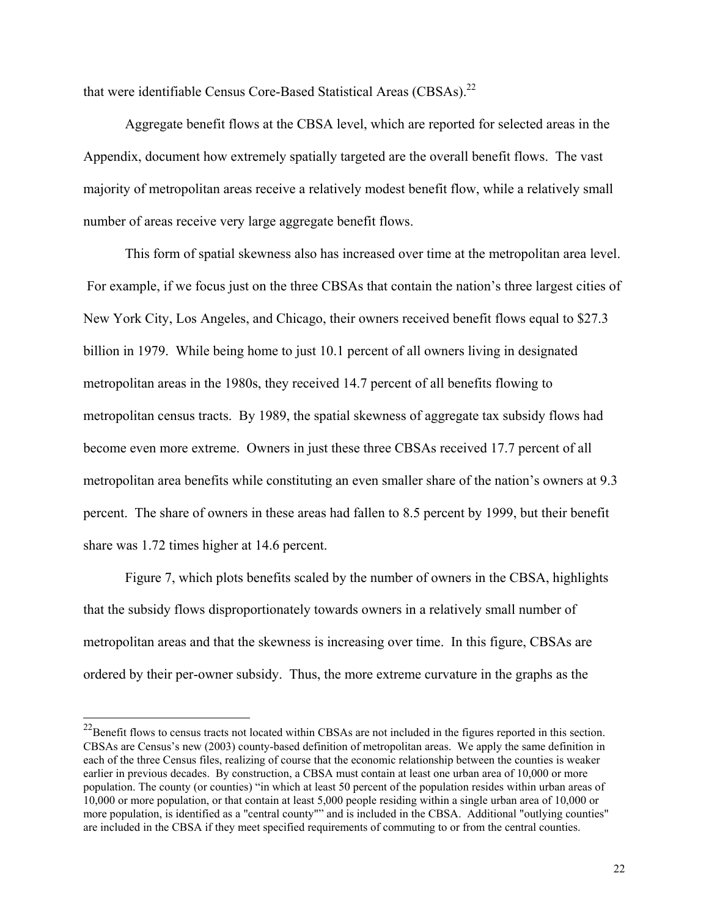that were identifiable Census Core-Based Statistical Areas (CBSAs).<sup>22</sup>

Aggregate benefit flows at the CBSA level, which are reported for selected areas in the Appendix, document how extremely spatially targeted are the overall benefit flows. The vast majority of metropolitan areas receive a relatively modest benefit flow, while a relatively small number of areas receive very large aggregate benefit flows.

This form of spatial skewness also has increased over time at the metropolitan area level. For example, if we focus just on the three CBSAs that contain the nation's three largest cities of New York City, Los Angeles, and Chicago, their owners received benefit flows equal to \$27.3 billion in 1979. While being home to just 10.1 percent of all owners living in designated metropolitan areas in the 1980s, they received 14.7 percent of all benefits flowing to metropolitan census tracts. By 1989, the spatial skewness of aggregate tax subsidy flows had become even more extreme. Owners in just these three CBSAs received 17.7 percent of all metropolitan area benefits while constituting an even smaller share of the nation's owners at 9.3 percent. The share of owners in these areas had fallen to 8.5 percent by 1999, but their benefit share was 1.72 times higher at 14.6 percent.

Figure 7, which plots benefits scaled by the number of owners in the CBSA, highlights that the subsidy flows disproportionately towards owners in a relatively small number of metropolitan areas and that the skewness is increasing over time. In this figure, CBSAs are ordered by their per-owner subsidy. Thus, the more extreme curvature in the graphs as the

<sup>&</sup>lt;sup>22</sup>Benefit flows to census tracts not located within CBSAs are not included in the figures reported in this section. CBSAs are Census's new (2003) county-based definition of metropolitan areas. We apply the same definition in each of the three Census files, realizing of course that the economic relationship between the counties is weaker earlier in previous decades. By construction, a CBSA must contain at least one urban area of 10,000 or more population. The county (or counties) "in which at least 50 percent of the population resides within urban areas of 10,000 or more population, or that contain at least 5,000 people residing within a single urban area of 10,000 or more population, is identified as a "central county"" and is included in the CBSA. Additional "outlying counties" are included in the CBSA if they meet specified requirements of commuting to or from the central counties.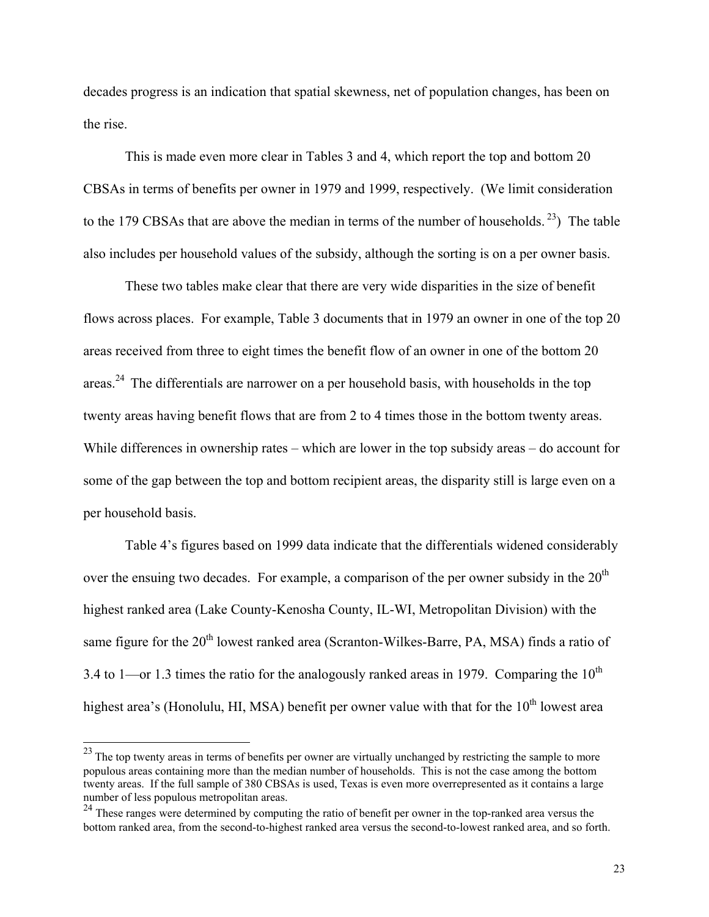decades progress is an indication that spatial skewness, net of population changes, has been on the rise.

This is made even more clear in Tables 3 and 4, which report the top and bottom 20 CBSAs in terms of benefits per owner in 1979 and 1999, respectively. (We limit consideration to the 179 CBSAs that are above the median in terms of the number of households.<sup>23</sup>) The table also includes per household values of the subsidy, although the sorting is on a per owner basis.

These two tables make clear that there are very wide disparities in the size of benefit flows across places. For example, Table 3 documents that in 1979 an owner in one of the top 20 areas received from three to eight times the benefit flow of an owner in one of the bottom 20 areas.<sup>24</sup> The differentials are narrower on a per household basis, with households in the top twenty areas having benefit flows that are from 2 to 4 times those in the bottom twenty areas. While differences in ownership rates – which are lower in the top subsidy areas – do account for some of the gap between the top and bottom recipient areas, the disparity still is large even on a per household basis.

Table 4's figures based on 1999 data indicate that the differentials widened considerably over the ensuing two decades. For example, a comparison of the per owner subsidy in the  $20<sup>th</sup>$ highest ranked area (Lake County-Kenosha County, IL-WI, Metropolitan Division) with the same figure for the 20<sup>th</sup> lowest ranked area (Scranton-Wilkes-Barre, PA, MSA) finds a ratio of 3.4 to 1—or 1.3 times the ratio for the analogously ranked areas in 1979. Comparing the  $10^{th}$ highest area's (Honolulu, HI, MSA) benefit per owner value with that for the  $10<sup>th</sup>$  lowest area

 $\overline{\phantom{a}}$ 

 $^{23}$  The top twenty areas in terms of benefits per owner are virtually unchanged by restricting the sample to more populous areas containing more than the median number of households. This is not the case among the bottom twenty areas. If the full sample of 380 CBSAs is used, Texas is even more overrepresented as it contains a large number of less populous metropolitan areas.

<sup>&</sup>lt;sup>24</sup> These ranges were determined by computing the ratio of benefit per owner in the top-ranked area versus the bottom ranked area, from the second-to-highest ranked area versus the second-to-lowest ranked area, and so forth.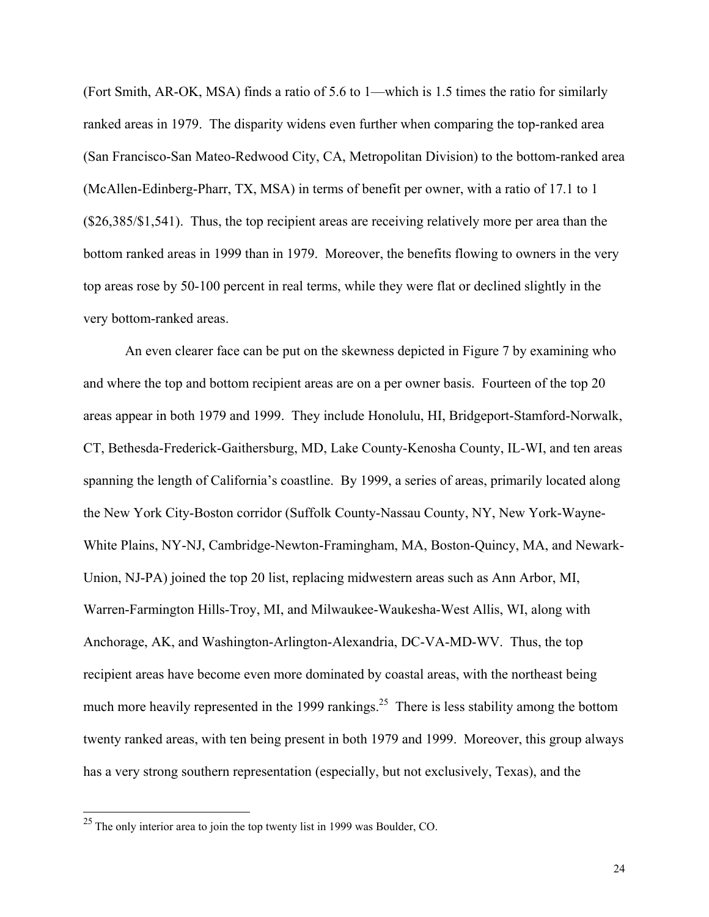(Fort Smith, AR-OK, MSA) finds a ratio of 5.6 to 1—which is 1.5 times the ratio for similarly ranked areas in 1979. The disparity widens even further when comparing the top-ranked area (San Francisco-San Mateo-Redwood City, CA, Metropolitan Division) to the bottom-ranked area (McAllen-Edinberg-Pharr, TX, MSA) in terms of benefit per owner, with a ratio of 17.1 to 1 (\$26,385/\$1,541). Thus, the top recipient areas are receiving relatively more per area than the bottom ranked areas in 1999 than in 1979. Moreover, the benefits flowing to owners in the very top areas rose by 50-100 percent in real terms, while they were flat or declined slightly in the very bottom-ranked areas.

An even clearer face can be put on the skewness depicted in Figure 7 by examining who and where the top and bottom recipient areas are on a per owner basis. Fourteen of the top 20 areas appear in both 1979 and 1999. They include Honolulu, HI, Bridgeport-Stamford-Norwalk, CT, Bethesda-Frederick-Gaithersburg, MD, Lake County-Kenosha County, IL-WI, and ten areas spanning the length of California's coastline. By 1999, a series of areas, primarily located along the New York City-Boston corridor (Suffolk County-Nassau County, NY, New York-Wayne-White Plains, NY-NJ, Cambridge-Newton-Framingham, MA, Boston-Quincy, MA, and Newark-Union, NJ-PA) joined the top 20 list, replacing midwestern areas such as Ann Arbor, MI, Warren-Farmington Hills-Troy, MI, and Milwaukee-Waukesha-West Allis, WI, along with Anchorage, AK, and Washington-Arlington-Alexandria, DC-VA-MD-WV. Thus, the top recipient areas have become even more dominated by coastal areas, with the northeast being much more heavily represented in the 1999 rankings.<sup>25</sup> There is less stability among the bottom twenty ranked areas, with ten being present in both 1979 and 1999. Moreover, this group always has a very strong southern representation (especially, but not exclusively, Texas), and the

 $\overline{a}$ 

24

 $^{25}$  The only interior area to join the top twenty list in 1999 was Boulder, CO.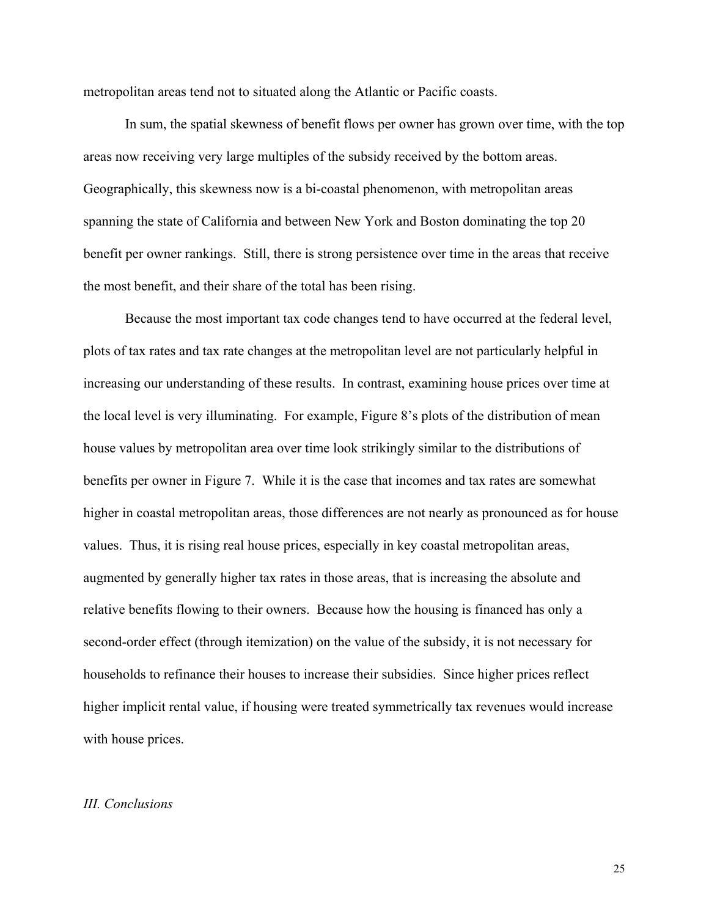metropolitan areas tend not to situated along the Atlantic or Pacific coasts.

In sum, the spatial skewness of benefit flows per owner has grown over time, with the top areas now receiving very large multiples of the subsidy received by the bottom areas. Geographically, this skewness now is a bi-coastal phenomenon, with metropolitan areas spanning the state of California and between New York and Boston dominating the top 20 benefit per owner rankings. Still, there is strong persistence over time in the areas that receive the most benefit, and their share of the total has been rising.

Because the most important tax code changes tend to have occurred at the federal level, plots of tax rates and tax rate changes at the metropolitan level are not particularly helpful in increasing our understanding of these results. In contrast, examining house prices over time at the local level is very illuminating. For example, Figure 8's plots of the distribution of mean house values by metropolitan area over time look strikingly similar to the distributions of benefits per owner in Figure 7. While it is the case that incomes and tax rates are somewhat higher in coastal metropolitan areas, those differences are not nearly as pronounced as for house values. Thus, it is rising real house prices, especially in key coastal metropolitan areas, augmented by generally higher tax rates in those areas, that is increasing the absolute and relative benefits flowing to their owners. Because how the housing is financed has only a second-order effect (through itemization) on the value of the subsidy, it is not necessary for households to refinance their houses to increase their subsidies. Since higher prices reflect higher implicit rental value, if housing were treated symmetrically tax revenues would increase with house prices.

## *III. Conclusions*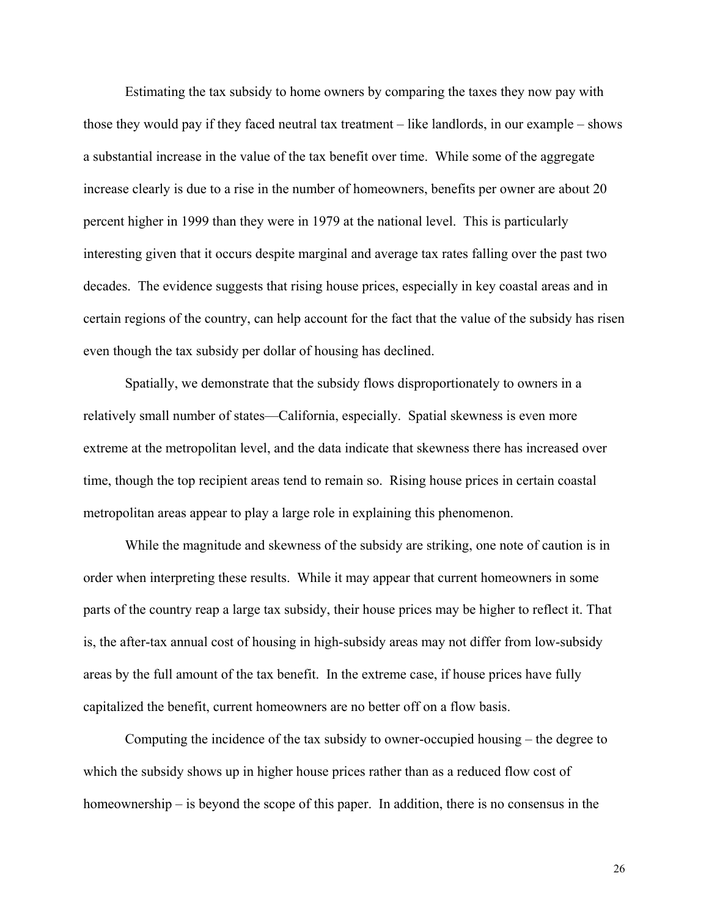Estimating the tax subsidy to home owners by comparing the taxes they now pay with those they would pay if they faced neutral tax treatment – like landlords, in our example – shows a substantial increase in the value of the tax benefit over time. While some of the aggregate increase clearly is due to a rise in the number of homeowners, benefits per owner are about 20 percent higher in 1999 than they were in 1979 at the national level. This is particularly interesting given that it occurs despite marginal and average tax rates falling over the past two decades. The evidence suggests that rising house prices, especially in key coastal areas and in certain regions of the country, can help account for the fact that the value of the subsidy has risen even though the tax subsidy per dollar of housing has declined.

 Spatially, we demonstrate that the subsidy flows disproportionately to owners in a relatively small number of states—California, especially. Spatial skewness is even more extreme at the metropolitan level, and the data indicate that skewness there has increased over time, though the top recipient areas tend to remain so. Rising house prices in certain coastal metropolitan areas appear to play a large role in explaining this phenomenon.

 While the magnitude and skewness of the subsidy are striking, one note of caution is in order when interpreting these results. While it may appear that current homeowners in some parts of the country reap a large tax subsidy, their house prices may be higher to reflect it. That is, the after-tax annual cost of housing in high-subsidy areas may not differ from low-subsidy areas by the full amount of the tax benefit. In the extreme case, if house prices have fully capitalized the benefit, current homeowners are no better off on a flow basis.

 Computing the incidence of the tax subsidy to owner-occupied housing – the degree to which the subsidy shows up in higher house prices rather than as a reduced flow cost of homeownership – is beyond the scope of this paper. In addition, there is no consensus in the

26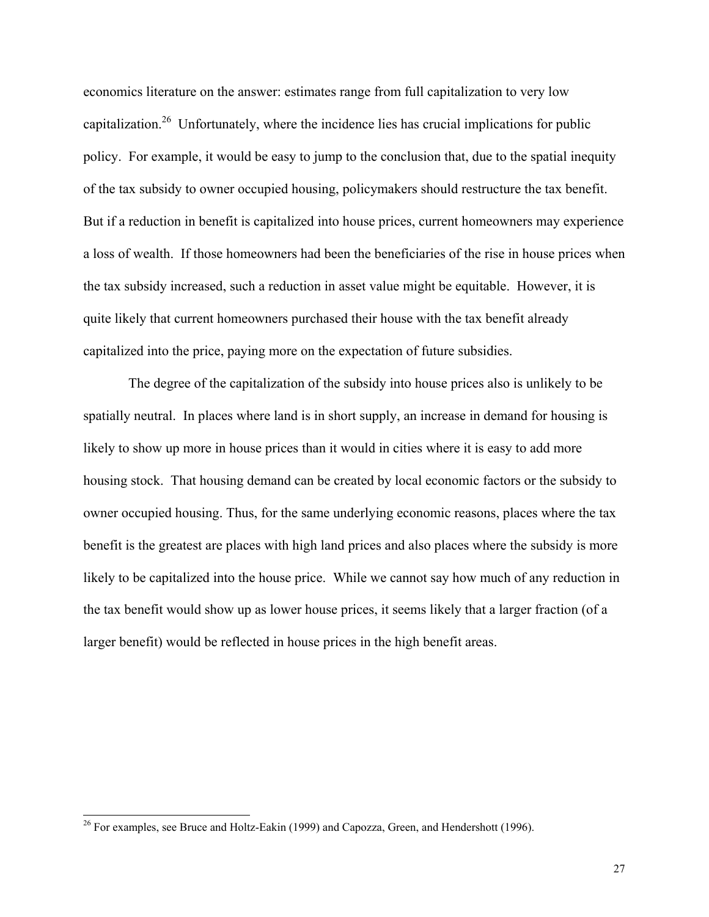economics literature on the answer: estimates range from full capitalization to very low capitalization.<sup>26</sup> Unfortunately, where the incidence lies has crucial implications for public policy. For example, it would be easy to jump to the conclusion that, due to the spatial inequity of the tax subsidy to owner occupied housing, policymakers should restructure the tax benefit. But if a reduction in benefit is capitalized into house prices, current homeowners may experience a loss of wealth. If those homeowners had been the beneficiaries of the rise in house prices when the tax subsidy increased, such a reduction in asset value might be equitable. However, it is quite likely that current homeowners purchased their house with the tax benefit already capitalized into the price, paying more on the expectation of future subsidies.

 The degree of the capitalization of the subsidy into house prices also is unlikely to be spatially neutral. In places where land is in short supply, an increase in demand for housing is likely to show up more in house prices than it would in cities where it is easy to add more housing stock. That housing demand can be created by local economic factors or the subsidy to owner occupied housing. Thus, for the same underlying economic reasons, places where the tax benefit is the greatest are places with high land prices and also places where the subsidy is more likely to be capitalized into the house price. While we cannot say how much of any reduction in the tax benefit would show up as lower house prices, it seems likely that a larger fraction (of a larger benefit) would be reflected in house prices in the high benefit areas.

 $\overline{\phantom{a}}$ 

 $26$  For examples, see Bruce and Holtz-Eakin (1999) and Capozza, Green, and Hendershott (1996).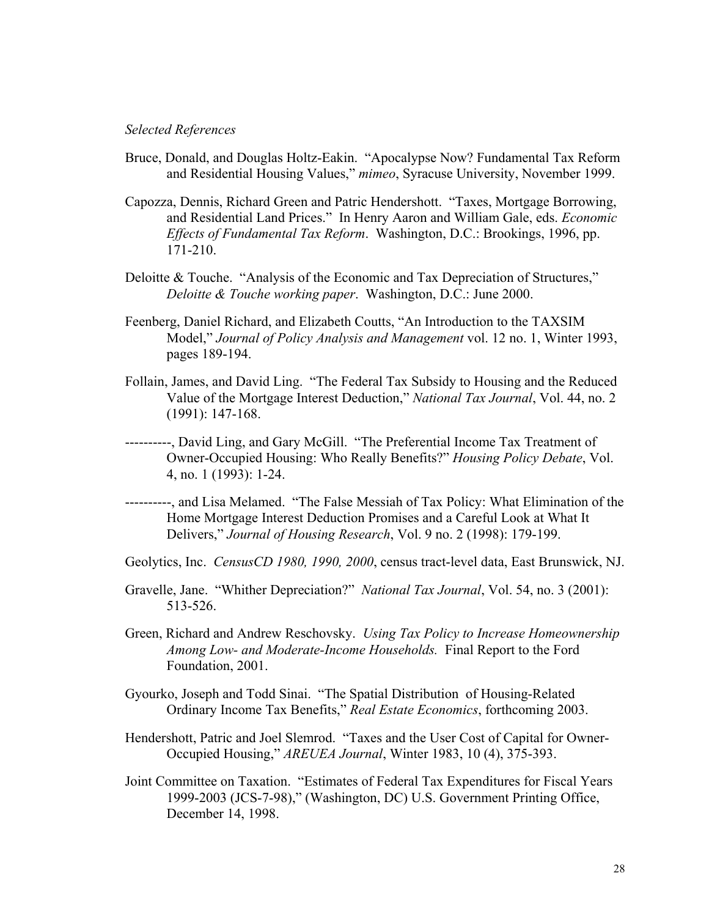## *Selected References*

- Bruce, Donald, and Douglas Holtz-Eakin. "Apocalypse Now? Fundamental Tax Reform and Residential Housing Values," *mimeo*, Syracuse University, November 1999.
- Capozza, Dennis, Richard Green and Patric Hendershott. "Taxes, Mortgage Borrowing, and Residential Land Prices." In Henry Aaron and William Gale, eds. *Economic Effects of Fundamental Tax Reform*. Washington, D.C.: Brookings, 1996, pp. 171-210.
- Deloitte & Touche. "Analysis of the Economic and Tax Depreciation of Structures," *Deloitte & Touche working paper*. Washington, D.C.: June 2000.
- Feenberg, Daniel Richard, and Elizabeth Coutts, "An Introduction to the TAXSIM Model," *Journal of Policy Analysis and Management* vol. 12 no. 1, Winter 1993, pages 189-194.
- Follain, James, and David Ling. "The Federal Tax Subsidy to Housing and the Reduced Value of the Mortgage Interest Deduction," *National Tax Journal*, Vol. 44, no. 2 (1991): 147-168.
- ----------, David Ling, and Gary McGill. "The Preferential Income Tax Treatment of Owner-Occupied Housing: Who Really Benefits?" *Housing Policy Debate*, Vol. 4, no. 1 (1993): 1-24.
- ----------, and Lisa Melamed. "The False Messiah of Tax Policy: What Elimination of the Home Mortgage Interest Deduction Promises and a Careful Look at What It Delivers," *Journal of Housing Research*, Vol. 9 no. 2 (1998): 179-199.
- Geolytics, Inc. *CensusCD 1980, 1990, 2000*, census tract-level data, East Brunswick, NJ.
- Gravelle, Jane. "Whither Depreciation?" *National Tax Journal*, Vol. 54, no. 3 (2001): 513-526.
- Green, Richard and Andrew Reschovsky. *Using Tax Policy to Increase Homeownership Among Low- and Moderate-Income Households.* Final Report to the Ford Foundation, 2001.
- Gyourko, Joseph and Todd Sinai. "The Spatial Distribution of Housing-Related Ordinary Income Tax Benefits," *Real Estate Economics*, forthcoming 2003.
- Hendershott, Patric and Joel Slemrod. "Taxes and the User Cost of Capital for Owner-Occupied Housing," *AREUEA Journal*, Winter 1983, 10 (4), 375-393.
- Joint Committee on Taxation. "Estimates of Federal Tax Expenditures for Fiscal Years 1999-2003 (JCS-7-98)," (Washington, DC) U.S. Government Printing Office, December 14, 1998.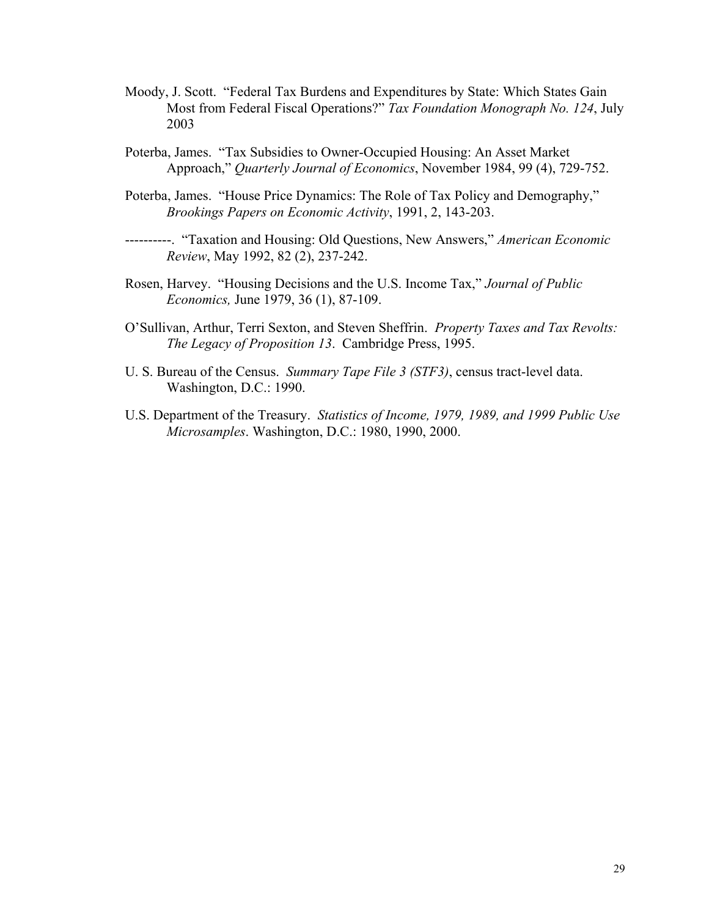- Moody, J. Scott. "Federal Tax Burdens and Expenditures by State: Which States Gain Most from Federal Fiscal Operations?" *Tax Foundation Monograph No. 124*, July 2003
- Poterba, James. "Tax Subsidies to Owner-Occupied Housing: An Asset Market Approach," *Quarterly Journal of Economics*, November 1984, 99 (4), 729-752.
- Poterba, James. "House Price Dynamics: The Role of Tax Policy and Demography," *Brookings Papers on Economic Activity*, 1991, 2, 143-203.

----------. "Taxation and Housing: Old Questions, New Answers," *American Economic Review*, May 1992, 82 (2), 237-242.

- Rosen, Harvey. "Housing Decisions and the U.S. Income Tax," *Journal of Public Economics,* June 1979, 36 (1), 87-109.
- O'Sullivan, Arthur, Terri Sexton, and Steven Sheffrin. *Property Taxes and Tax Revolts: The Legacy of Proposition 13*. Cambridge Press, 1995.
- U. S. Bureau of the Census. *Summary Tape File 3 (STF3)*, census tract-level data. Washington, D.C.: 1990.
- U.S. Department of the Treasury. *Statistics of Income, 1979, 1989, and 1999 Public Use Microsamples*. Washington, D.C.: 1980, 1990, 2000.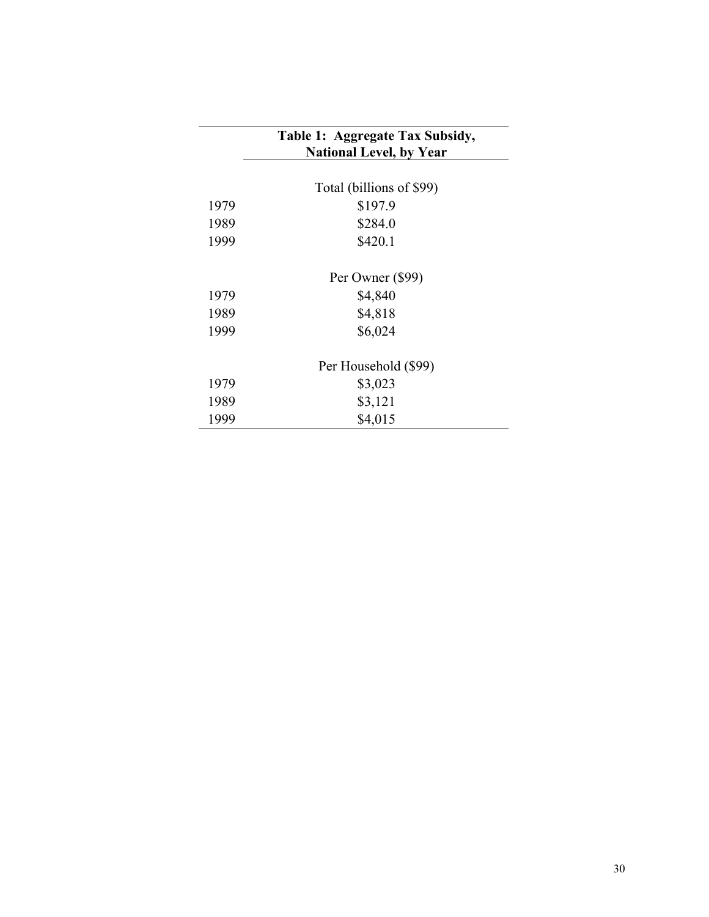|      | Table 1: Aggregate Tax Subsidy,<br><b>National Level, by Year</b> |
|------|-------------------------------------------------------------------|
|      | Total (billions of \$99)                                          |
| 1979 | \$197.9                                                           |
| 1989 | \$284.0                                                           |
| 1999 | \$420.1                                                           |
|      | Per Owner (\$99)                                                  |
| 1979 | \$4,840                                                           |
| 1989 | \$4,818                                                           |
| 1999 | \$6,024                                                           |
|      | Per Household (\$99)                                              |
| 1979 | \$3,023                                                           |
| 1989 | \$3,121                                                           |
| 1999 | \$4,015                                                           |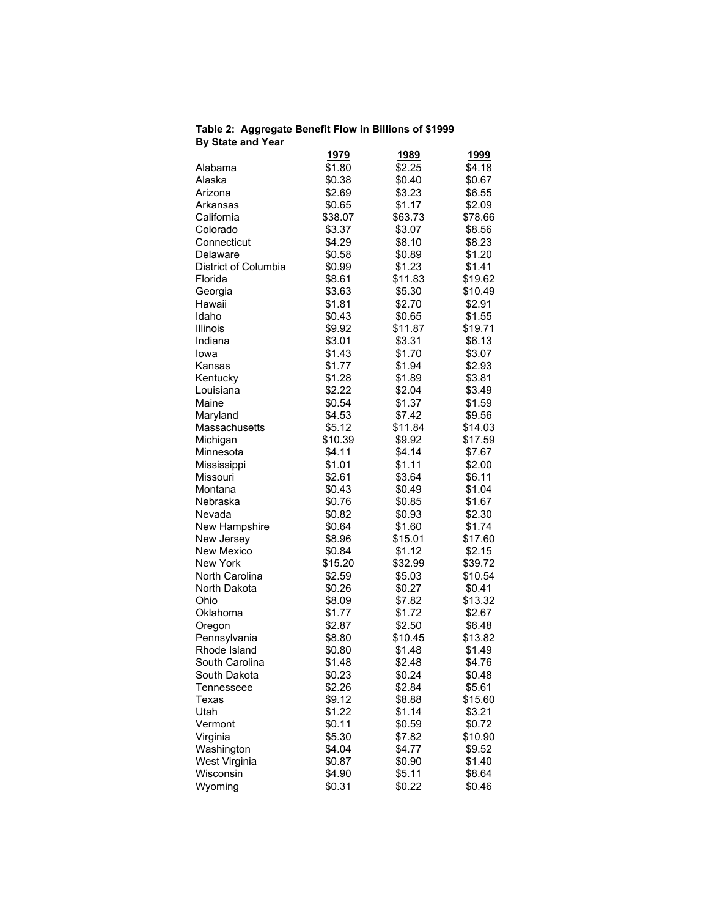### **Table 2: Aggregate Benefit Flow in Billions of \$1999 By State and Year**

|                      | <u>1979</u> | <u> 1989</u> | <u> 1999</u> |
|----------------------|-------------|--------------|--------------|
| Alabama              | \$1.80      | \$2.25       | \$4.18       |
| Alaska               | \$0.38      | \$0.40       | \$0.67       |
| Arizona              | \$2.69      | \$3.23       | \$6.55       |
| Arkansas             | \$0.65      | \$1.17       | \$2.09       |
| California           | \$38.07     | \$63.73      | \$78.66      |
| Colorado             | \$3.37      | \$3.07       | \$8.56       |
| Connecticut          | \$4.29      | \$8.10       | \$8.23       |
| Delaware             | \$0.58      | \$0.89       | \$1.20       |
| District of Columbia | \$0.99      | \$1.23       | \$1.41       |
| Florida              | \$8.61      | \$11.83      | \$19.62      |
| Georgia              | \$3.63      | \$5.30       | \$10.49      |
| Hawaii               | \$1.81      | \$2.70       | \$2.91       |
| Idaho                | \$0.43      | \$0.65       | \$1.55       |
| Illinois             | \$9.92      | \$11.87      | \$19.71      |
| Indiana              | \$3.01      | \$3.31       | \$6.13       |
| lowa                 | \$1.43      | \$1.70       | \$3.07       |
| Kansas               | \$1.77      | \$1.94       | \$2.93       |
| Kentucky             | \$1.28      | \$1.89       | \$3.81       |
| Louisiana            | \$2.22      | \$2.04       | \$3.49       |
| Maine                | \$0.54      | \$1.37       | \$1.59       |
| Maryland             | \$4.53      | \$7.42       | \$9.56       |
| Massachusetts        | \$5.12      | \$11.84      | \$14.03      |
| Michigan             | \$10.39     | \$9.92       | \$17.59      |
| Minnesota            | \$4.11      | \$4.14       | \$7.67       |
| Mississippi          | \$1.01      | \$1.11       | \$2.00       |
| Missouri             | \$2.61      | \$3.64       | \$6.11       |
| Montana              | \$0.43      | \$0.49       | \$1.04       |
| Nebraska             | \$0.76      | \$0.85       | \$1.67       |
| Nevada               | \$0.82      | \$0.93       | \$2.30       |
| New Hampshire        | \$0.64      | \$1.60       | \$1.74       |
| New Jersey           | \$8.96      | \$15.01      | \$17.60      |
| New Mexico           | \$0.84      | \$1.12       | \$2.15       |
| <b>New York</b>      | \$15.20     | \$32.99      | \$39.72      |
| North Carolina       | \$2.59      | \$5.03       | \$10.54      |
| North Dakota         | \$0.26      | \$0.27       | \$0.41       |
| Ohio                 | \$8.09      | \$7.82       | \$13.32      |
| Oklahoma             | \$1.77      | \$1.72       | \$2.67       |
| Oregon               | \$2.87      | \$2.50       | \$6.48       |
| Pennsylvania         | \$8.80      | \$10.45      | \$13.82      |
| Rhode Island         | \$0.80      | \$1.48       | \$1.49       |
| South Carolina       | \$1.48      | \$2.48       | \$4.76       |
| South Dakota         | \$0.23      | \$0.24       | \$0.48       |
| Tennesseee           | \$2.26      | \$2.84       | \$5.61       |
| Texas                | \$9.12      | \$8.88       | \$15.60      |
| Utah                 | \$1.22      | \$1.14       | \$3.21       |
| Vermont              | \$0.11      | \$0.59       | \$0.72       |
| Virginia             | \$5.30      | \$7.82       | \$10.90      |
| Washington           | \$4.04      | \$4.77       | \$9.52       |
| West Virginia        | \$0.87      | \$0.90       | \$1.40       |
| Wisconsin            | \$4.90      | \$5.11       | \$8.64       |
| Wyoming              | \$0.31      | \$0.22       | \$0.46       |
|                      |             |              |              |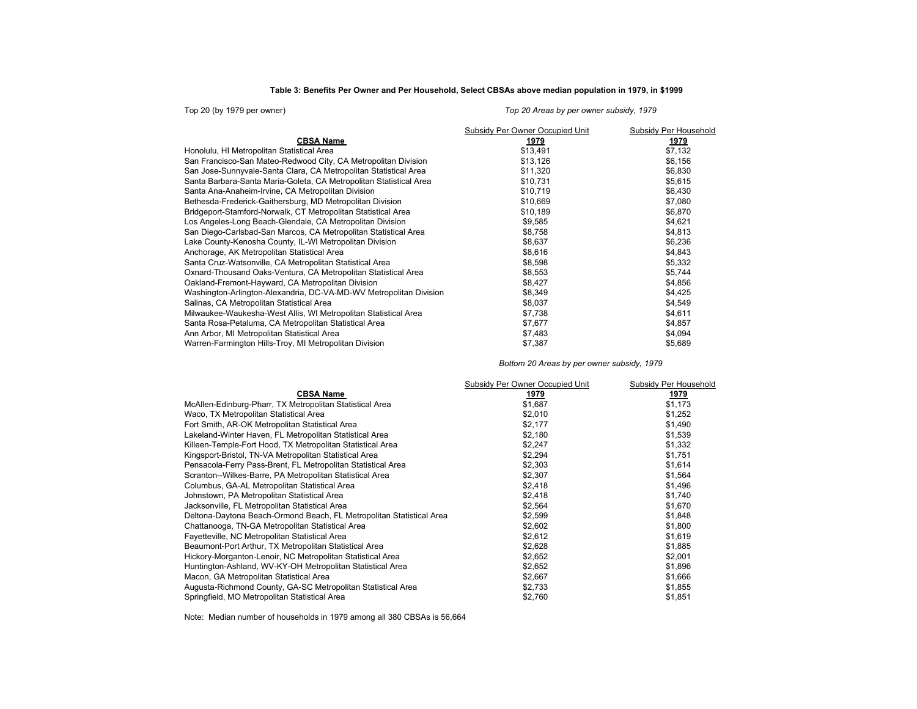### **Table 3: Benefits Per Owner and Per Household, Select CBSAs above median population in 1979, in \$1999**

| Top 20 (by 1979 per owner)                                         | Top 20 Areas by per owner subsidy, 1979 |                       |  |  |  |  |  |
|--------------------------------------------------------------------|-----------------------------------------|-----------------------|--|--|--|--|--|
|                                                                    | Subsidy Per Owner Occupied Unit         | Subsidy Per Household |  |  |  |  |  |
| <b>CBSA Name</b>                                                   | 1979                                    | 1979                  |  |  |  |  |  |
| Honolulu, HI Metropolitan Statistical Area                         | \$13,491                                | \$7,132               |  |  |  |  |  |
| San Francisco-San Mateo-Redwood City, CA Metropolitan Division     | \$13,126                                | \$6,156               |  |  |  |  |  |
| San Jose-Sunnyvale-Santa Clara, CA Metropolitan Statistical Area   | \$11,320                                | \$6,830               |  |  |  |  |  |
| Santa Barbara-Santa Maria-Goleta, CA Metropolitan Statistical Area | \$10,731                                | \$5,615               |  |  |  |  |  |
| Santa Ana-Anaheim-Irvine, CA Metropolitan Division                 | \$10,719                                | \$6,430               |  |  |  |  |  |
| Bethesda-Frederick-Gaithersburg, MD Metropolitan Division          | \$10,669                                | \$7,080               |  |  |  |  |  |
| Bridgeport-Stamford-Norwalk, CT Metropolitan Statistical Area      | \$10,189                                | \$6,870               |  |  |  |  |  |
| Los Angeles-Long Beach-Glendale, CA Metropolitan Division          | \$9,585                                 | \$4,621               |  |  |  |  |  |
| San Diego-Carlsbad-San Marcos, CA Metropolitan Statistical Area    | \$8,758                                 | \$4,813               |  |  |  |  |  |
| Lake County-Kenosha County, IL-WI Metropolitan Division            | \$8,637                                 | \$6,236               |  |  |  |  |  |
| Anchorage, AK Metropolitan Statistical Area                        | \$8,616                                 | \$4,843               |  |  |  |  |  |
| Santa Cruz-Watsonville, CA Metropolitan Statistical Area           | \$8,598                                 | \$5,332               |  |  |  |  |  |
| Oxnard-Thousand Oaks-Ventura, CA Metropolitan Statistical Area     | \$8,553                                 | \$5,744               |  |  |  |  |  |
| Oakland-Fremont-Hayward, CA Metropolitan Division                  | \$8,427                                 | \$4,856               |  |  |  |  |  |
| Washington-Arlington-Alexandria, DC-VA-MD-WV Metropolitan Division | \$8,349                                 | \$4,425               |  |  |  |  |  |
| Salinas, CA Metropolitan Statistical Area                          | \$8,037                                 | \$4,549               |  |  |  |  |  |
| Milwaukee-Waukesha-West Allis, WI Metropolitan Statistical Area    | \$7,738                                 | \$4,611               |  |  |  |  |  |
| Santa Rosa-Petaluma, CA Metropolitan Statistical Area              | \$7,677                                 | \$4,857               |  |  |  |  |  |
| Ann Arbor, MI Metropolitan Statistical Area                        | \$7,483                                 | \$4,094               |  |  |  |  |  |
| Warren-Farmington Hills-Troy, MI Metropolitan Division             | \$7,387                                 | \$5,689               |  |  |  |  |  |

*Bottom 20 Areas by per owner subsidy, 1979*

|                                                                      | Subsidy Per Owner Occupied Unit | Subsidy Per Household |
|----------------------------------------------------------------------|---------------------------------|-----------------------|
| <b>CBSA Name</b>                                                     | 1979                            | 1979                  |
| McAllen-Edinburg-Pharr, TX Metropolitan Statistical Area             | \$1,687                         | \$1,173               |
| Waco, TX Metropolitan Statistical Area                               | \$2,010                         | \$1,252               |
| Fort Smith, AR-OK Metropolitan Statistical Area                      | \$2,177                         | \$1,490               |
| Lakeland-Winter Haven, FL Metropolitan Statistical Area              | \$2,180                         | \$1,539               |
| Killeen-Temple-Fort Hood, TX Metropolitan Statistical Area           | \$2,247                         | \$1,332               |
| Kingsport-Bristol, TN-VA Metropolitan Statistical Area               | \$2,294                         | \$1,751               |
| Pensacola-Ferry Pass-Brent, FL Metropolitan Statistical Area         | \$2,303                         | \$1,614               |
| Scranton--Wilkes-Barre, PA Metropolitan Statistical Area             | \$2,307                         | \$1,564               |
| Columbus, GA-AL Metropolitan Statistical Area                        | \$2,418                         | \$1,496               |
| Johnstown, PA Metropolitan Statistical Area                          | \$2,418                         | \$1,740               |
| Jacksonville, FL Metropolitan Statistical Area                       | \$2,564                         | \$1,670               |
| Deltona-Daytona Beach-Ormond Beach, FL Metropolitan Statistical Area | \$2,599                         | \$1,848               |
| Chattanooga, TN-GA Metropolitan Statistical Area                     | \$2,602                         | \$1,800               |
| Fayetteville, NC Metropolitan Statistical Area                       | \$2,612                         | \$1,619               |
| Beaumont-Port Arthur, TX Metropolitan Statistical Area               | \$2,628                         | \$1,885               |
| Hickory-Morganton-Lenoir, NC Metropolitan Statistical Area           | \$2,652                         | \$2,001               |
| Huntington-Ashland, WV-KY-OH Metropolitan Statistical Area           | \$2,652                         | \$1,896               |
| Macon, GA Metropolitan Statistical Area                              | \$2,667                         | \$1,666               |
| Augusta-Richmond County, GA-SC Metropolitan Statistical Area         | \$2,733                         | \$1,855               |
| Springfield, MO Metropolitan Statistical Area                        | \$2,760                         | \$1,851               |

Note: Median number of households in 1979 among all 380 CBSAs is 56,664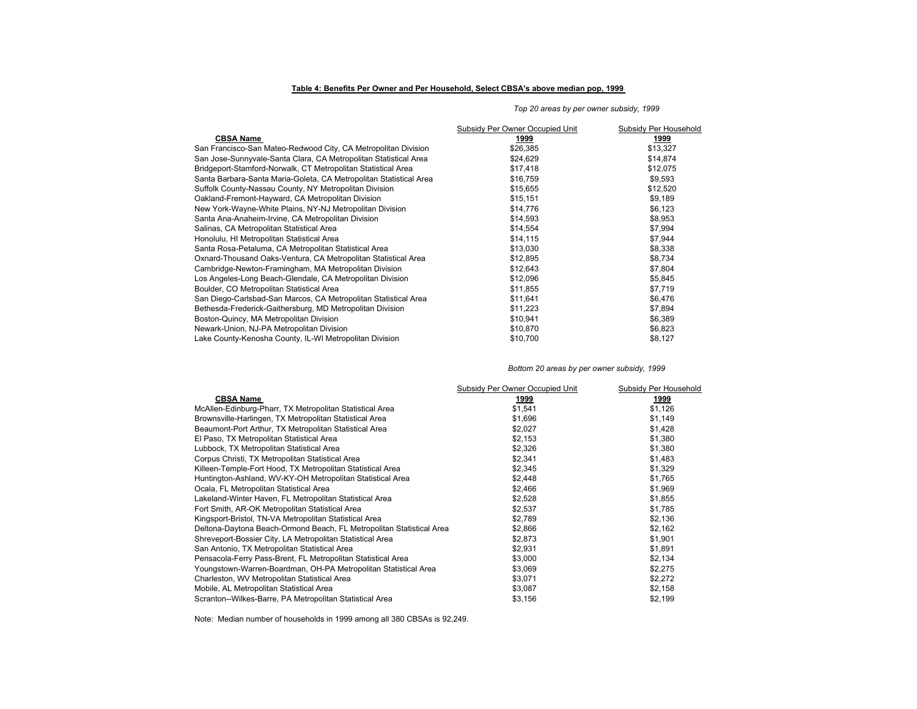#### **Table 4: Benefits Per Owner and Per Household, Select CBSA's above median pop, 1999**

#### **CBSA Name 1999 1999** San Francisco-San Mateo-Redwood City, CA Metropolitan Division  $$26,385$  \$13,327 \$13,327 San Jose-Sunnyvale-Santa Clara, CA Metropolitan Statistical Area  $$24,629$  \$14,874 \$14,874 Bridgeport-Stamford-Norwalk, CT Metropolitan Statistical Area **517 1999** \$17,418 \$17,075<br>Santa Barbara-Santa Maria-Goleta, CA Metropolitan Statistical Area \$16,759 \$16,759 \$9,593 Santa Barbara-Santa Maria-Goleta, CA Metropolitan Statistical Area  $$16,759$ Suffolk County-Nassau County, NY Metropolitan Division 612,520 \$15,655 \$15,655 \$12,520 Oakland-Fremont-Hayward, CA Metropolitan Division \$15,151 \$9,189 New York-Wayne-White Plains, NY-NJ Metropolitan Division 514,776 \$6,123 \$6,123<br>Santa Ana-Anaheim-Irvine, CA Metropolitan Division \$14,593 \$8,953 Santa Ana-Anaheim-Irvine, CA Metropolitan Division Salinas, CA Metropolitan Statistical Area  $$14,554$  \$7,994 Honolulu, HI Metropolitan Statistical Area 67,944 (115 - 114,115 \$7,944 (115 - 114,115 \$7,944 )<br>Santa Rosa-Petaluma. CA Metropolitan Statistical Area 114 (129) \$13,030 (129) \$8,338 (13,030 \$8,338 ) Santa Rosa-Petaluma, CA Metropolitan Statistical Area 513,031 \$13,030 \$8,338<br>188.734 \$12,895 \$12,895 \$8,734 \$8,734 \$8,734 Oxnard-Thousand Oaks-Ventura, CA Metropolitan Statistical Area  $$12,895$ <br>Cambridge-Newton-Framingham, MA Metropolitan Division  $$12,643$ Cambridge-Newton-Framingham, MA Metropolitan Division  $$12,643$ Los Angeles-Long Beach-Glendale, CA Metropolitan Division <br>Boulder. CO Metropolitan Statistical Area **by any 120 and 120 and 120 and 131**,855 \$5,845 \$7.719 Boulder, CO Metropolitan Statistical Area 67,719<br>
San Diego-Carlsbad-San Marcos, CA Metropolitan Statistical Area 611,641 \$11,641 \$6,476 San Diego-Carlsbad-San Marcos, CA Metropolitan Statistical Area **\$11,641** \$6,476<br>Bethesda-Frederick-Gaithersburg, MD Metropolitan Division \$1,223 \$6,476 \$11,223 Bethesda-Frederick-Gaithersburg, MD Metropolitan Division  $$11,223$ Boston-Quincy, MA Metropolitan Division 6.389 (1999) 810,941 \$6,389 Newark-Union, NJ-PA Metropolitan Division \$10,870 \$6,823 Lake County-Kenosha County, IL-WI Metropolitan Division Subsidy Per Owner Occupied Unit Subsidy Per Household

#### *Top 20 areas by per owner subsidy, 1999*

#### *Bottom 20 areas by per owner subsidy, 1999*

|                                                                      | Subsidy Per Owner Occupied Unit | Subsidy Per Household |
|----------------------------------------------------------------------|---------------------------------|-----------------------|
| <b>CBSA Name</b>                                                     | 1999                            | 1999                  |
| McAllen-Edinburg-Pharr, TX Metropolitan Statistical Area             | \$1,541                         | \$1,126               |
| Brownsville-Harlingen, TX Metropolitan Statistical Area              | \$1,696                         | \$1,149               |
| Beaumont-Port Arthur, TX Metropolitan Statistical Area               | \$2,027                         | \$1,428               |
| El Paso, TX Metropolitan Statistical Area                            | \$2,153                         | \$1,380               |
| Lubbock, TX Metropolitan Statistical Area                            | \$2,326                         | \$1,380               |
| Corpus Christi, TX Metropolitan Statistical Area                     | \$2,341                         | \$1,483               |
| Killeen-Temple-Fort Hood, TX Metropolitan Statistical Area           | \$2,345                         | \$1,329               |
| Huntington-Ashland, WV-KY-OH Metropolitan Statistical Area           | \$2,448                         | \$1,765               |
| Ocala, FL Metropolitan Statistical Area                              | \$2,466                         | \$1,969               |
| Lakeland-Winter Haven, FL Metropolitan Statistical Area              | \$2,528                         | \$1,855               |
| Fort Smith, AR-OK Metropolitan Statistical Area                      | \$2,537                         | \$1,785               |
| Kingsport-Bristol, TN-VA Metropolitan Statistical Area               | \$2,789                         | \$2,136               |
| Deltona-Daytona Beach-Ormond Beach, FL Metropolitan Statistical Area | \$2,866                         | \$2,162               |
| Shreveport-Bossier City, LA Metropolitan Statistical Area            | \$2,873                         | \$1,901               |
| San Antonio, TX Metropolitan Statistical Area                        | \$2,931                         | \$1,891               |
| Pensacola-Ferry Pass-Brent, FL Metropolitan Statistical Area         | \$3,000                         | \$2,134               |
| Youngstown-Warren-Boardman, OH-PA Metropolitan Statistical Area      | \$3,069                         | \$2,275               |
| Charleston, WV Metropolitan Statistical Area                         | \$3,071                         | \$2,272               |
| Mobile, AL Metropolitan Statistical Area                             | \$3,087                         | \$2,158               |
| Scranton--Wilkes-Barre, PA Metropolitan Statistical Area             | \$3,156                         | \$2,199               |

Note: Median number of households in 1999 among all 380 CBSAs is 92,249.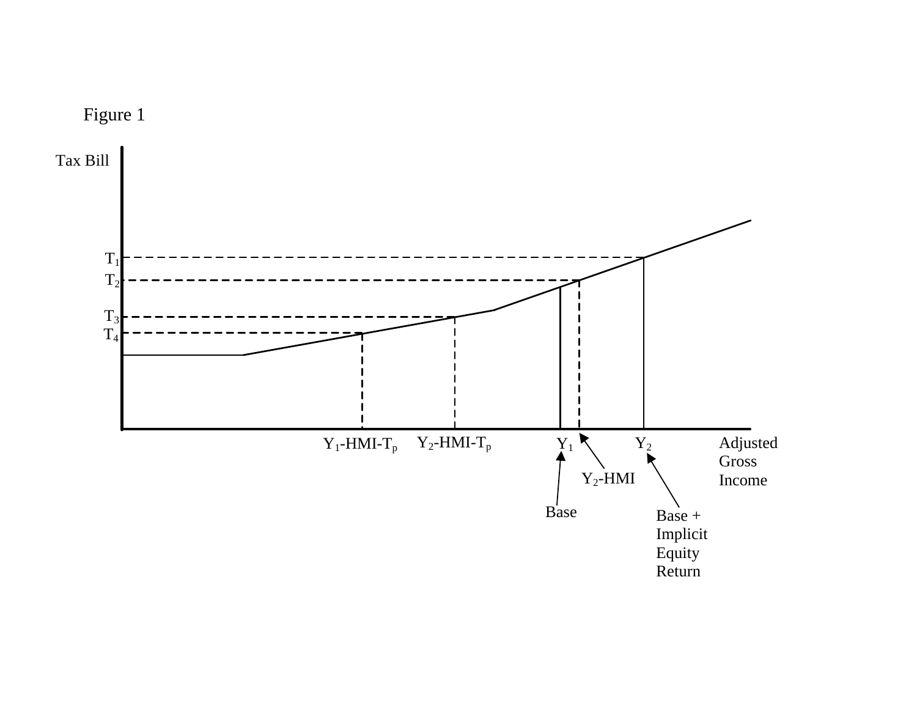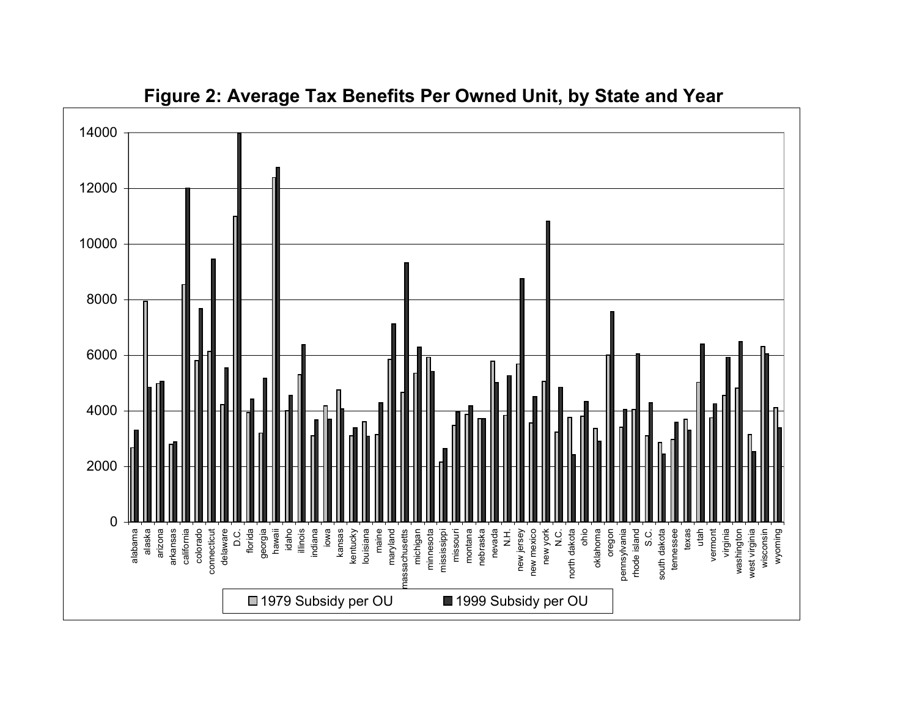

**Figure 2: Average Tax Benefits Per Owned Unit, by State and Year**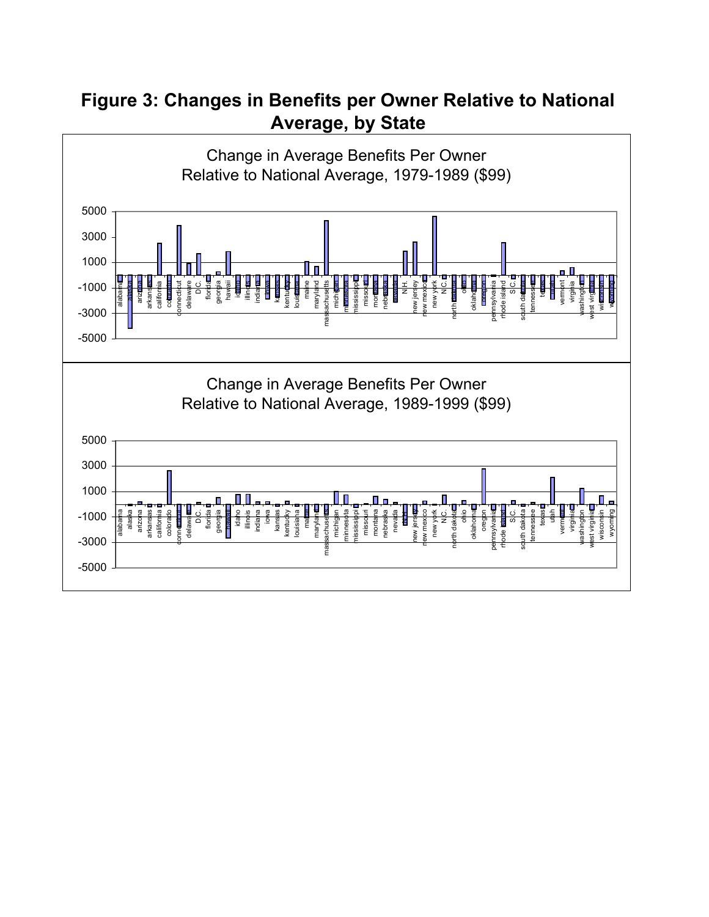# **Figure 3: Changes in Benefits per Owner Relative to National Average, by State**

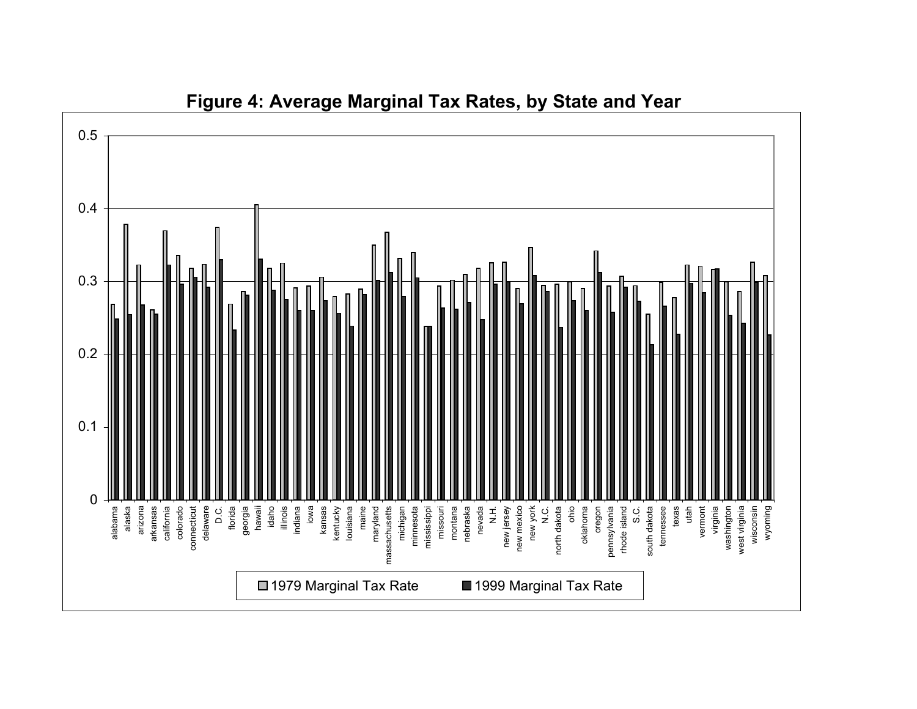

# **Figure 4: Average Marginal Tax Rates, by State and Year**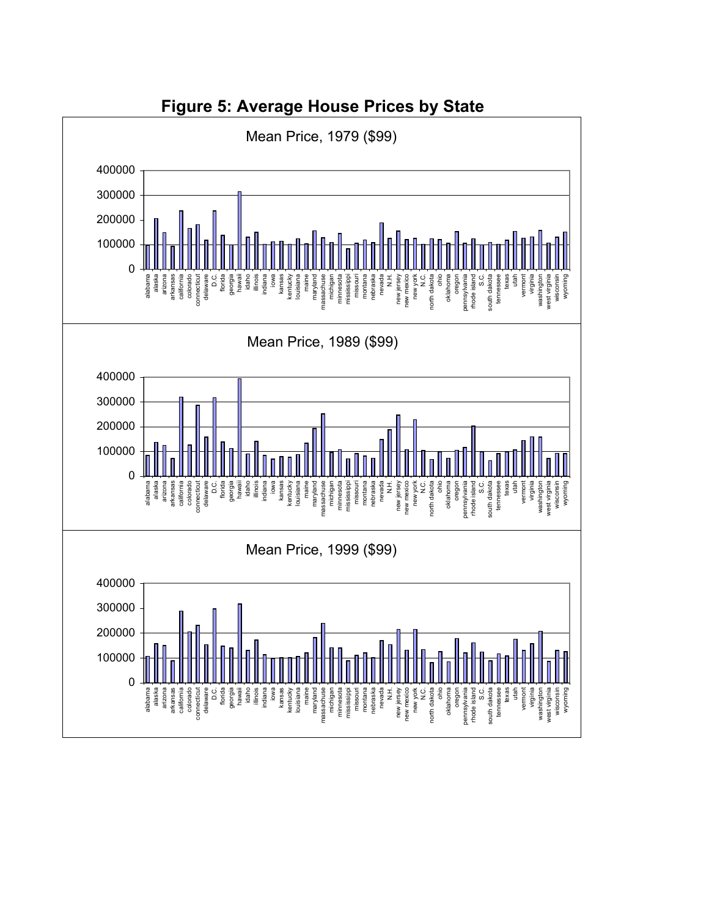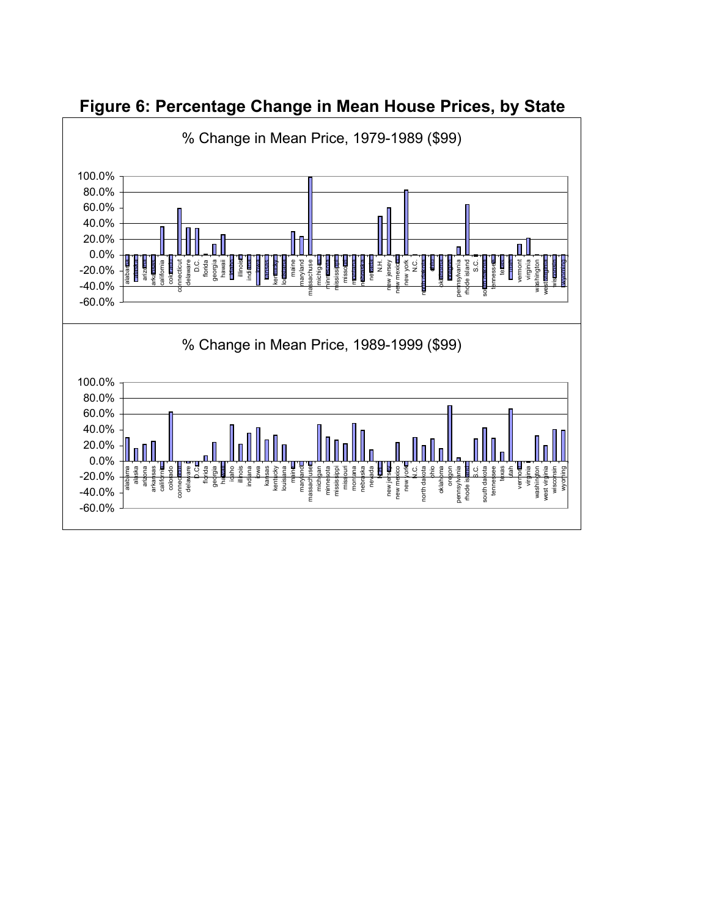

**Figure 6: Percentage Change in Mean House Prices, by State**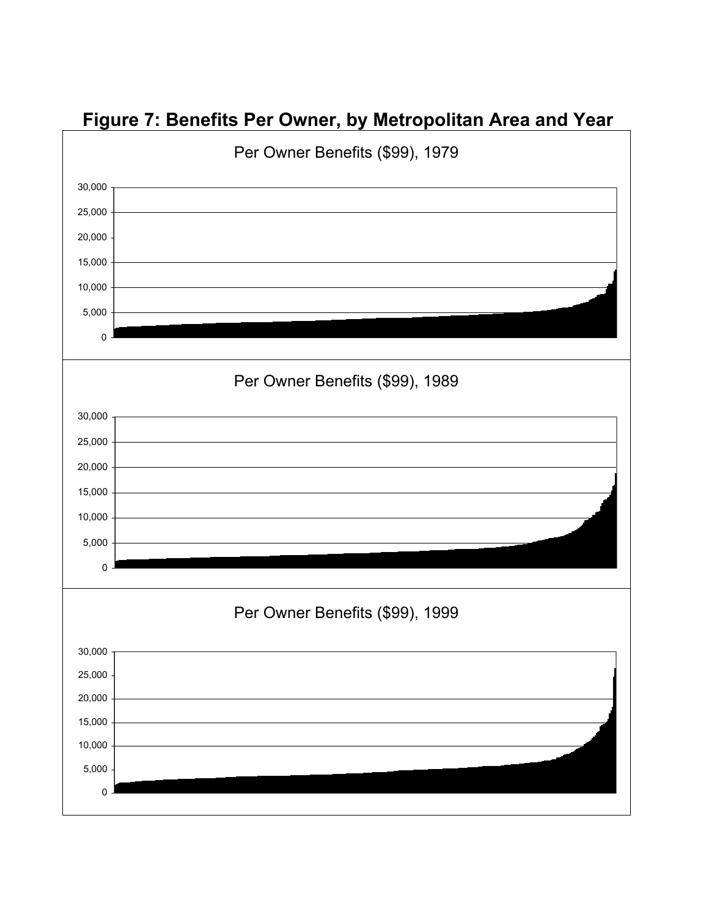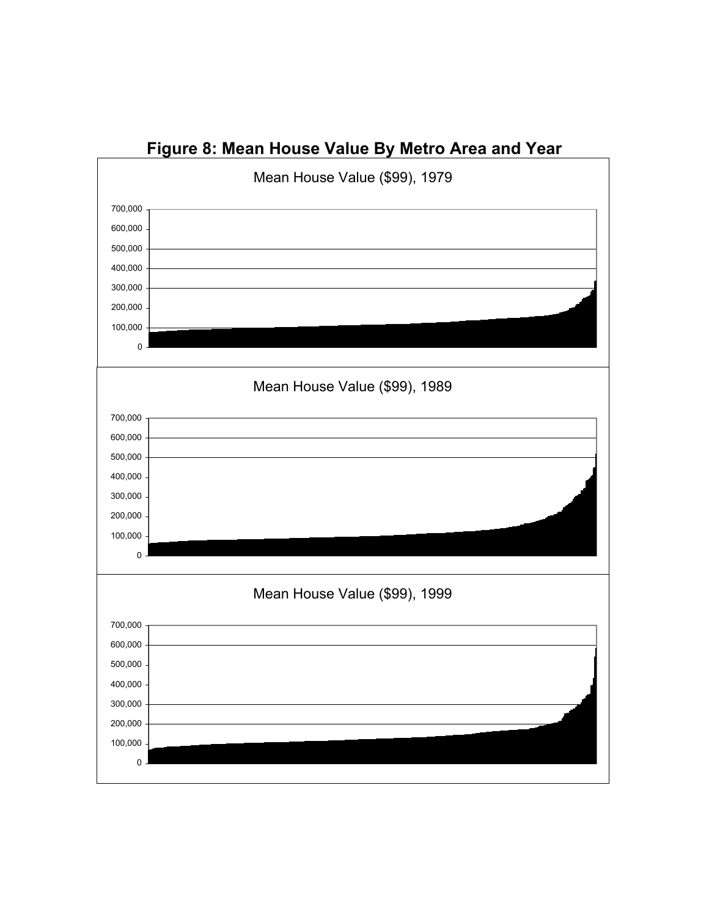

# **Figure 8: Mean House Value By Metro Area and Year**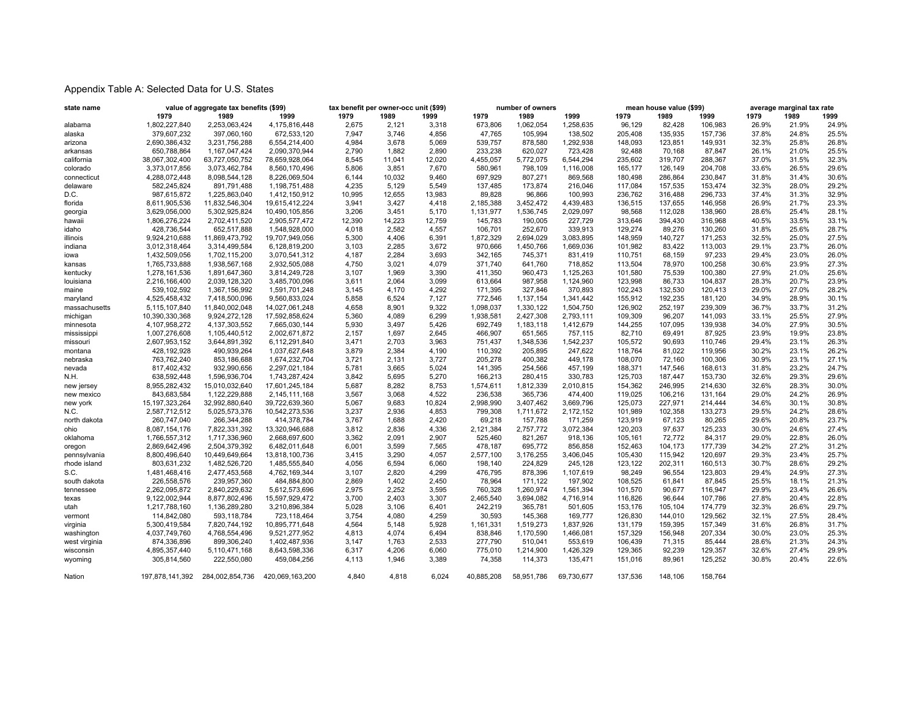## Appendix Table A: Selected Data for U.S. States

| state name    |                   | value of aggregate tax benefits (\$99) |                 | tax benefit per owner-occ unit (\$99) |        |        |            | number of owners |            |         | mean house value (\$99) |         | average marginal tax rate |       |       |
|---------------|-------------------|----------------------------------------|-----------------|---------------------------------------|--------|--------|------------|------------------|------------|---------|-------------------------|---------|---------------------------|-------|-------|
|               | 1979              | 1989                                   | 1999            | 1979                                  | 1989   | 1999   | 1979       | 1989             | 1999       | 1979    | 1989                    | 1999    | 1979                      | 1989  | 1999  |
| alabama       | 1,802,227,840     | 2,253,063,424                          | 4,175,816,448   | 2,675                                 | 2,121  | 3,318  | 673,806    | 1,062,054        | 1,258,635  | 96,129  | 82,428                  | 106,983 | 26.9%                     | 21.9% | 24.9% |
| alaska        | 379,607,232       | 397,060,160                            | 672,533,120     | 7,947                                 | 3,746  | 4,856  | 47,765     | 105,994          | 138,502    | 205,408 | 135,935                 | 157,736 | 37.8%                     | 24.8% | 25.5% |
| arizona       | 2,690,386,432     | 3,231,756,288                          | 6,554,214,400   | 4,984                                 | 3,678  | 5,069  | 539,757    | 878,580          | 1,292,938  | 148,093 | 123,851                 | 149,931 | 32.3%                     | 25.8% | 26.8% |
| arkansas      | 650,788,864       | 1, 167, 047, 424                       | 2,090,370,944   | 2,790                                 | 1,882  | 2,890  | 233,238    | 620,027          | 723,428    | 92,488  | 70,168                  | 87,847  | 26.1%                     | 21.0% | 25.5% |
| california    | 38,067,302,400    | 63,727,050,752                         | 78,659,928,064  | 8,545                                 | 11,041 | 12,020 | 4,455,057  | 5,772,075        | 6,544,294  | 235,602 | 319,707                 | 288,367 | 37.0%                     | 31.5% | 32.3% |
| colorado      | 3,373,017,856     | 3,073,462,784                          | 8,560,170,496   | 5,806                                 | 3,851  | 7,670  | 580,961    | 798,109          | 1,116,008  | 165,177 | 126,149                 | 204,708 | 33.6%                     | 26.5% | 29.6% |
| connecticut   | 4,288,072,448     | 8,098,544,128                          | 8,226,069,504   | 6,144                                 | 10,032 | 9,460  | 697,929    | 807,271          | 869,568    | 180,498 | 286,864                 | 230,847 | 31.8%                     | 31.4% | 30.6% |
| delaware      | 582,245,824       | 891,791,488                            | 1,198,751,488   | 4,235                                 | 5,129  | 5,549  | 137,485    | 173,874          | 216,046    | 117,084 | 157,535                 | 153,474 | 32.3%                     | 28.0% | 29.2% |
| D.C.          | 987,615,872       | 1,225,863,040                          | 1,412,150,912   | 10,995                                | 12,655 | 13,983 | 89,828     | 96,866           | 100,993    | 236,762 | 316,488                 | 296,733 | 37.4%                     | 31.3% | 32.9% |
| florida       | 8,611,905,536     | 11,832,546,304                         | 19,615,412,224  | 3,941                                 | 3,427  | 4,418  | 2,185,388  | 3,452,472        | 4,439,483  | 136,515 | 137,655                 | 146,958 | 26.9%                     | 21.7% | 23.3% |
| georgia       | 3,629,056,000     | 5,302,925,824                          | 10,490,105,856  | 3,206                                 | 3,451  | 5,170  | 1,131,977  | 1,536,745        | 2,029,097  | 98,568  | 112,028                 | 138,960 | 28.6%                     | 25.4% | 28.1% |
| hawaii        | 1,806,276,224     | 2,702,411,520                          | 2,905,577,472   | 12,390                                | 14,223 | 12,759 | 145,783    | 190,005          | 227,729    | 313,646 | 394,430                 | 316,968 | 40.5%                     | 33.5% | 33.1% |
| idaho         | 428,736,544       | 652,517,888                            | 1,548,928,000   | 4,018                                 | 2,582  | 4,557  | 106,701    | 252,670          | 339,913    | 129,274 | 89,276                  | 130,260 | 31.8%                     | 25.6% | 28.7% |
| illinois      | 9,924,210,688     | 11,869,473,792                         | 19,707,949,056  | 5,300                                 | 4,406  | 6,391  | 1,872,329  | 2,694,029        | 3,083,895  | 148,959 | 140,727                 | 171,253 | 32.5%                     | 25.0% | 27.5% |
| indiana       | 3,012,318,464     | 3,314,499,584                          | 6,128,819,200   | 3,103                                 | 2,285  | 3,672  | 970,666    | 1,450,766        | 1,669,036  | 101,982 | 83,422                  | 113,003 | 29.1%                     | 23.7% | 26.0% |
| iowa          | 1,432,509,056     | 1,702,115,200                          | 3,070,541,312   | 4,187                                 | 2,284  | 3,693  | 342,165    | 745,371          | 831,419    | 110,751 | 68,159                  | 97,233  | 29.4%                     | 23.0% | 26.0% |
| kansas        | 1,765,733,888     | 1,938,567,168                          | 2,932,505,088   | 4,750                                 | 3,021  | 4,079  | 371,740    | 641,760          | 718,852    | 113,504 | 78,970                  | 100,258 | 30.6%                     | 23.9% | 27.3% |
| kentucky      | 1,278,161,536     | 1,891,647,360                          | 3,814,249,728   | 3,107                                 | 1,969  | 3,390  | 411,350    | 960,473          | 1,125,263  | 101,580 | 75,539                  | 100,380 | 27.9%                     | 21.0% | 25.6% |
| louisiana     | 2,216,166,400     | 2,039,128,320                          | 3,485,700,096   | 3,611                                 | 2,064  | 3,099  | 613,664    | 987,958          | 1,124,960  | 123,998 | 86,733                  | 104,837 | 28.3%                     | 20.7% | 23.9% |
| maine         | 539,102,592       | 1,367,156,992                          | 1,591,701,248   | 3,145                                 | 4,170  | 4,292  | 171,395    | 327,846          | 370,893    | 102,243 | 132,530                 | 120,413 | 29.0%                     | 27.0% | 28.2% |
| maryland      | 4,525,458,432     | 7,418,500,096                          | 9,560,833,024   | 5,858                                 | 6,524  | 7,127  | 772,546    | 1,137,154        | 1,341,442  | 155,912 | 192,235                 | 181,120 | 34.9%                     | 28.9% | 30.1% |
| massachusetts | 5,115,107,840     | 11,840,002,048                         | 14,027,061,248  | 4,658                                 | 8,901  | 9,322  | 1,098,037  | 1,330,122        | 1,504,750  | 126,902 | 252,197                 | 239,309 | 36.7%                     | 33.7% | 31.2% |
| michigan      | 10,390,330,368    | 9,924,272,128                          | 17,592,858,624  | 5,360                                 | 4,089  | 6,299  | 1,938,581  | 2,427,308        | 2,793,111  | 109,309 | 96,207                  | 141,093 | 33.1%                     | 25.5% | 27.9% |
| minnesota     | 4,107,958,272     | 4, 137, 303, 552                       | 7,665,030,144   | 5,930                                 | 3,497  | 5,426  | 692,749    | 1,183,118        | 1,412,679  | 144,255 | 107,095                 | 139,938 | 34.0%                     | 27.9% | 30.5% |
| mississippi   | 1,007,276,608     | 1,105,440,512                          | 2,002,671,872   | 2,157                                 | 1,697  | 2,645  | 466,907    | 651,565          | 757,115    | 82,710  | 69,491                  | 87,925  | 23.9%                     | 19.9% | 23.8% |
| missouri      | 2,607,953,152     | 3,644,891,392                          | 6,112,291,840   | 3,471                                 | 2,703  | 3,963  | 751,437    | 1,348,536        | 1,542,237  | 105,572 | 90,693                  | 110,746 | 29.4%                     | 23.1% | 26.3% |
| montana       | 428,192,928       | 490,939,264                            | 1,037,627,648   | 3,879                                 | 2,384  | 4,190  | 110,392    | 205,895          | 247,622    | 118,764 | 81,022                  | 119,956 | 30.2%                     | 23.1% | 26.2% |
| nebraska      | 763,762,240       | 853,186,688                            | 1,674,232,704   | 3,721                                 | 2,131  | 3,727  | 205,278    | 400,382          | 449,178    | 108,070 | 72,160                  | 100,306 | 30.9%                     | 23.1% | 27.1% |
| nevada        | 817,402,432       | 932,990,656                            | 2,297,021,184   | 5,781                                 | 3,665  | 5,024  | 141,395    | 254,566          | 457,199    | 188,371 | 147,546                 | 168,613 | 31.8%                     | 23.2% | 24.7% |
| N.H.          | 638,592,448       | 1,596,936,704                          | 1,743,287,424   | 3,842                                 | 5,695  | 5,270  | 166,213    | 280,415          | 330,783    | 125,703 | 187,447                 | 153,730 | 32.6%                     | 29.3% | 29.6% |
| new jersey    | 8,955,282,432     | 15,010,032,640                         | 17,601,245,184  | 5,687                                 | 8,282  | 8,753  | 1,574,611  | 1,812,339        | 2,010,815  | 154,362 | 246,995                 | 214,630 | 32.6%                     | 28.3% | 30.0% |
| new mexico    | 843,683,584       | 1,122,229,888                          | 2,145,111,168   | 3,567                                 | 3,068  | 4,522  | 236,538    | 365,736          | 474,400    | 119,025 | 106,216                 | 131,164 | 29.0%                     | 24.2% | 26.9% |
| new york      | 15, 197, 323, 264 | 32,992,880,640                         | 39,722,639,360  | 5,067                                 | 9,683  | 10,824 | 2,998,990  | 3,407,462        | 3,669,796  | 125,073 | 227,971                 | 214,444 | 34.6%                     | 30.1% | 30.8% |
| N.C.          | 2,587,712,512     | 5,025,573,376                          | 10,542,273,536  | 3,237                                 | 2,936  | 4,853  | 799,308    | 1,711,672        | 2,172,152  | 101,989 | 102,358                 | 133,273 | 29.5%                     | 24.2% | 28.6% |
| north dakota  | 260,747,040       | 266,344,288                            | 414,378,784     | 3,767                                 | 1,688  | 2,420  | 69,218     | 157,788          | 171,259    | 123,919 | 67,123                  | 80,265  | 29.6%                     | 20.8% | 23.7% |
| ohio          | 8,087,154,176     | 7,822,331,392                          | 13,320,946,688  | 3,812                                 | 2,836  | 4,336  | 2,121,384  | 2,757,772        | 3,072,384  | 120,203 | 97,637                  | 125,233 | 30.0%                     | 24.6% | 27.4% |
| oklahoma      | 1,766,557,312     | 1,717,336,960                          | 2,668,697,600   | 3,362                                 | 2,091  | 2,907  | 525,460    | 821,267          | 918,136    | 105,161 | 72,772                  | 84,317  | 29.0%                     | 22.8% | 26.0% |
| oregon        | 2,869,642,496     | 2,504,379,392                          | 6,482,011,648   | 6,001                                 | 3,599  | 7,565  | 478,187    | 695,772          | 856,858    | 152,463 | 104,173                 | 177,739 | 34.2%                     | 27.2% | 31.2% |
| pennsylvania  | 8,800,496,640     | 10,449,649,664                         | 13,818,100,736  | 3,415                                 | 3,290  | 4,057  | 2,577,100  | 3,176,255        | 3,406,045  | 105,430 | 115,942                 | 120,697 | 29.3%                     | 23.4% | 25.7% |
| rhode island  | 803,631,232       | 1,482,526,720                          | 1,485,555,840   | 4,056                                 | 6,594  | 6,060  | 198,140    | 224,829          | 245,128    | 123,122 | 202,311                 | 160,513 | 30.7%                     | 28.6% | 29.2% |
| S.C.          | 1,481,468,416     | 2,477,453,568                          | 4,762,169,344   | 3,107                                 | 2,820  | 4,299  | 476,795    | 878,396          | 1,107,619  | 98,249  | 96,554                  | 123,803 | 29.4%                     | 24.9% | 27.3% |
| south dakota  | 226,558,576       | 239,957,360                            | 484,884,800     | 2,869                                 | 1,402  | 2,450  | 78,964     | 171,122          | 197,902    | 108,525 | 61,841                  | 87,845  | 25.5%                     | 18.1% | 21.3% |
| tennessee     | 2,262,095,872     | 2,840,229,632                          | 5,612,573,696   | 2,975                                 | 2,252  | 3,595  | 760,328    | 1,260,974        | 1,561,394  | 101,570 | 90,677                  | 116,947 | 29.9%                     | 23.4% | 26.6% |
| texas         | 9,122,002,944     | 8,877,802,496                          | 15,597,929,472  | 3,700                                 | 2,403  | 3,307  | 2,465,540  | 3,694,082        | 4,716,914  | 116,826 | 96,644                  | 107,786 | 27.8%                     | 20.4% | 22.8% |
| utah          | 1,217,788,160     | 1,136,289,280                          | 3,210,896,384   | 5,028                                 | 3,106  | 6,401  | 242,219    | 365,781          | 501,605    | 153,176 | 105,104                 | 174,779 | 32.3%                     | 26.6% | 29.7% |
| vermont       | 114,842,080       | 593,118,784                            | 723,118,464     | 3,754                                 | 4,080  | 4,259  | 30,593     | 145,368          | 169,777    | 126,830 | 144,010                 | 129,562 | 32.1%                     | 27.5% | 28.4% |
| virginia      | 5,300,419,584     | 7,820,744,192                          | 10,895,771,648  | 4,564                                 | 5,148  | 5,928  | 1,161,331  | 1,519,273        | 1,837,926  | 131,179 | 159,395                 | 157,349 | 31.6%                     | 26.8% | 31.7% |
| washington    | 4,037,749,760     | 4,768,554,496                          | 9,521,277,952   | 4,813                                 | 4,074  | 6,494  | 838,846    | 1,170,590        | 1,466,081  | 157,329 | 156,948                 | 207,334 | 30.0%                     | 23.0% | 25.3% |
| west virginia | 874,336,896       | 899,306,240                            | 1,402,487,936   | 3,147                                 | 1,763  | 2,533  | 277,790    | 510,041          | 553,619    | 106,439 | 71,315                  | 85,444  | 28.6%                     | 21.3% | 24.3% |
| wisconsin     | 4,895,357,440     | 5,110,471,168                          | 8,643,598,336   | 6,317                                 | 4,206  | 6,060  | 775,010    | 1,214,900        | 1,426,329  | 129,365 | 92,239                  | 129,357 | 32.6%                     | 27.4% | 29.9% |
| wyoming       | 305,814,560       | 222,550,080                            | 459,084,256     | 4,113                                 | 1,946  | 3,389  | 74,358     | 114,373          | 135,471    | 151,016 | 89,961                  | 125,252 | 30.8%                     | 20.4% | 22.6% |
| Nation        | 197,878,141,392   | 284,002,854,736                        | 420,069,163,200 | 4,840                                 | 4,818  | 6,024  | 40,885,208 | 58,951,786       | 69,730,677 | 137,536 | 148,106                 | 158,764 |                           |       |       |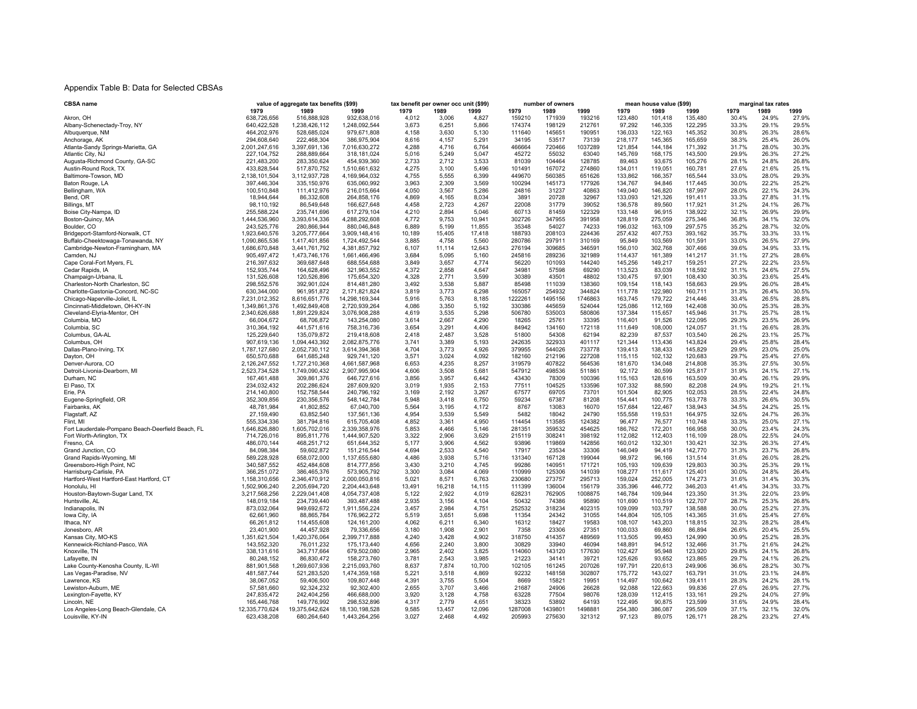### Appendix Table B: Data for Selected CBSAs

| CBSA name                                         | value of aggregate tax benefits (\$99) |                | tax benefit per owner occ unit (\$99) |        |        | number of owners |         |         | mean house value (\$99) |         |         | marginal tax rates |       |       |       |
|---------------------------------------------------|----------------------------------------|----------------|---------------------------------------|--------|--------|------------------|---------|---------|-------------------------|---------|---------|--------------------|-------|-------|-------|
|                                                   | 1979                                   | 1989           | 1999                                  | 1979   | 1989   | 1999             | 1979    | 1989    | 1999                    | 1979    | 1989    | 1999               | 1979  | 1989  | 1999  |
| Akron, OH                                         | 638,726,656                            | 516,888,928    | 932,638,016                           | 4,012  | 3,006  | 4,827            | 159210  | 171939  | 193216                  | 123,480 | 101,418 | 135,480            | 30.4% | 24.9% | 27.9% |
| Albany-Schenectady-Troy, NY                       | 640,422,528                            | 1,238,426,112  | 1,248,092,544                         | 3,673  | 6,251  | 5,866            | 174374  | 198129  | 212761                  | 97,292  | 146,335 | 122,295            | 33.3% | 29.1% | 29.5% |
| Albuquerque, NM                                   | 464,202,976                            | 528,685,024    | 979,671,808                           | 4,158  | 3,630  | 5,130            | 111640  | 145651  | 190951                  | 136,033 | 122,163 | 145,352            | 30.8% | 26.3% | 28.6% |
| Anchorage, AK                                     | 294,608,640                            | 222,468,304    | 386,975,904                           | 8,616  | 4,157  | 5,291            | 34195   | 53517   | 73139                   | 218,177 | 145,365 | 165,659            | 38.3% | 25.4% | 26.0% |
| Atlanta-Sandy Springs-Marietta, GA                | 2,001,247,616                          | 3,397,691,136  | 7,016,630,272                         | 4,288  | 4,716  | 6,764            | 466664  | 720466  | 1037289                 | 121,854 | 144,184 | 171,392            | 31.7% | 28.0% | 30.3% |
| Atlantic City, NJ                                 | 227, 104, 752                          | 288,889,664    | 318,181,024                           | 5,016  | 5,249  | 5,047            | 45272   | 55032   | 63040                   | 145,769 | 168,175 | 143,500            | 29.9% | 26.3% | 27.2% |
| Augusta-Richmond County, GA-SC                    | 221,483,200                            | 283,350,624    | 454,939,360                           | 2,733  | 2,712  | 3,533            | 81039   | 104464  | 128785                  | 89,463  | 93,675  | 105,276            | 28.1% | 24.8% | 26.8% |
| Austin-Round Rock, TX                             | 433,828,544                            | 517,870,752    | 1,510,661,632                         | 4,275  | 3,100  | 5,496            | 101491  | 167072  | 274860                  | 134,011 | 119,051 | 160,781            | 27.6% | 21.6% | 25.1% |
| Baltimore-Towson, MD                              | 2,138,101,504                          | 3,112,937,728  | 4,169,964,032                         | 4,755  | 5,555  | 6,399            | 449670  | 560385  | 651626                  | 133,862 | 166,357 | 165,544            | 33.0% | 28.0% | 29.3% |
| Baton Rouge, LA                                   | 397,446,304                            | 335, 150, 976  | 635,060,992                           | 3,963  | 2,309  | 3,569            | 100294  | 145173  | 177926                  | 134,767 | 94,846  | 117,445            | 30.0% | 22.2% | 25.2% |
|                                                   |                                        | 111,412,976    |                                       | 4,050  | 3,567  | 5,286            | 24816   | 31237   | 40863                   |         |         | 187,997            | 28.0% | 22.1% | 24.3% |
| Bellingham, WA                                    | 100,510,848                            |                | 216,015,664                           |        |        | 8,034            |         | 20728   |                         | 149,040 | 146,820 |                    |       |       |       |
| Bend, OR                                          | 18,944,644                             | 86,332,608     | 264,858,176                           | 4,869  | 4,165  |                  | 3891    |         | 32967                   | 133,093 | 121,326 | 191,411            | 33.3% | 27.8% | 31.1% |
| Billings, MT                                      | 98,110,192                             | 86,549,648     | 166,627,648                           | 4,458  | 2,723  | 4,267            | 22008   | 31779   | 39052                   | 136,578 | 89,560  | 117,921            | 31.2% | 24.1% | 26.7% |
| Boise City-Nampa, ID                              | 255,588,224                            | 235,741,696    | 617,279,104                           | 4,210  | 2,894  | 5,046            | 60713   | 81459   | 122329                  | 133,148 | 96,915  | 138,922            | 32.1% | 26.9% | 29.9% |
| Boston-Quincy, MA                                 | 1,444,536,960                          | 3,393,614,336  | 4,288,292,608                         | 4,772  | 9,753  | 10,941           | 302726  | 347955  | 391958                  | 128,819 | 275,059 | 275,346            | 36.8% | 34.1% | 32.0% |
| Boulder, CO                                       | 243,525,776                            | 280,866,944    | 880,046,848                           | 6,889  | 5,199  | 11,855           | 35348   | 54027   | 74233                   | 196,032 | 163,109 | 297,575            | 35.2% | 28.7% | 32.0% |
| Bridgeport-Stamford-Norwalk, CT                   | 1,923,640,576                          | 3,205,777,664  | 3,909,148,416                         | 10,189 | 15,405 | 17,418           | 188793  | 208103  | 224436                  | 257,432 | 407,753 | 393,162            | 35.7% | 33.3% | 33.1% |
| Buffalo-Cheektowaga-Tonawanda, NY                 | 1,090,865,536                          | 1,417,401,856  | 1,724,492,544                         | 3,885  | 4,758  | 5,560            | 280786  | 297911  | 310169                  | 95,849  | 103,569 | 101,591            | 33.0% | 26.5% | 27.9% |
| Cambridge-Newton-Framingham, MA                   | 1,686,670,848                          | 3,441,761,792  | 4,381,857,792                         | 6,107  | 11,114 | 12,643           | 276194  | 309685  | 346591                  | 156,010 | 302,768 | 307,466            | 39.6% | 34.9% | 33.1% |
| Camden, NJ                                        | 905,497,472                            | 1,473,746,176  | 1,661,466,496                         | 3,684  | 5,095  | 5,160            | 245816  | 289236  | 321989                  | 114,437 | 161,389 | 141,217            | 31.1% | 27.2% | 28.6% |
| Cape Coral-Fort Myers, FL                         | 216,397,632                            | 369,687,648    | 688,554,688                           | 3.849  | 3,657  | 4,774            | 56220   | 101093  | 144240                  | 145,256 | 149,217 | 159,251            | 27.2% | 22.2% | 23.5% |
| Cedar Rapids, IA                                  | 152,935,744                            | 164,628,496    | 321,963,552                           | 4,372  | 2,858  | 4,647            | 34981   | 57598   | 69290                   | 113,523 | 83,039  | 118,592            | 31.1% | 24.6% | 27.5% |
| Champaign-Urbana, IL                              | 131,526,608                            | 120,526,896    | 175,654,320                           | 4,328  | 2,771  | 3,599            | 30389   | 43501   | 48802                   | 130,475 | 97,901  | 108,430            | 30.3% | 23.6% | 25.4% |
| Charleston-North Charleston, SC                   | 298,552,576                            | 392,901,024    | 814,481,280                           | 3,492  | 3,538  | 5,887            | 85498   | 111039  | 138360                  | 109,154 | 118,143 | 158,663            | 29.9% | 26.0% | 28.4% |
| Charlotte-Gastonia-Concord, NC-SC                 | 630,344,000                            | 961,951,872    | 2,171,821,824                         | 3,819  | 3,773  | 6,298            | 165057  | 254932  | 344824                  | 111,778 | 122,980 | 160,711            | 31.3% | 26.4% | 30.5% |
| Chicago-Naperville-Joliet, IL                     | 7,231,012,352                          | 8,616,651,776  | 14,298,169,344                        | 5,916  | 5,763  | 8,185            | 1222261 | 1495156 | 1746863                 | 163,745 | 179,722 | 214,446            | 33.4% | 26.5% | 28.8% |
| Cincinnati-Middletown, OH-KY-IN                   | 1,349,861,376                          | 1,492,849,408  | 2,720,939,264                         | 4.086  | 3.350  | 5.192            | 330386  | 445659  | 524044                  | 125,086 | 112,169 | 142,408            | 30.0% | 25.3% | 28.3% |
| Cleveland-Elyria-Mentor, OH                       | 2,340,626,688                          | 1,891,229,824  | 3,076,908,288                         | 4.619  | 3.535  | 5,298            | 506780  | 535003  | 580806                  | 137,384 | 115,657 | 145,946            | 31.7% | 25.7% | 28.1% |
| Columbia, MO                                      | 66,004,672                             | 68,706,872     | 143,254,080                           | 3,614  | 2,667  | 4,290            | 18265   | 25761   | 33395                   | 116,401 | 91,526  | 122,095            | 29.3% | 23.5% | 26.9% |
| Columbia, SC                                      | 310,364,192                            | 441,571,616    | 758,316,736                           | 3,654  | 3,291  | 4,406            | 84942   | 134160  | 172118                  | 111,649 | 108,000 | 124,057            | 31.1% | 26.6% | 28.3% |
| Columbus, GA-AL                                   | 125,229,640                            | 135,079,872    | 219,418,608                           | 2,418  | 2,487  | 3,528            | 51800   | 54308   | 62194                   | 82,239  | 87,537  | 103,540            | 26.2% | 23.1% | 25.7% |
| Columbus, OH                                      | 907,619,136                            | 1,094,443,392  | 2,082,875,776                         | 3,741  | 3,389  | 5,193            | 242635  | 322933  | 401117                  | 121,344 | 113,436 | 143,824            | 29.4% | 25.8% | 28.4% |
| Dallas-Plano-Irving, TX                           | 1,787,127,680                          | 2.052.730.112  | 3.614.394.368                         | 4,704  | 3.773  | 4,926            | 379955  | 544026  | 733778                  | 139.413 | 138.433 | 145.829            | 29.9% | 23.0% | 25.0% |
|                                                   | 650,570,688                            | 641,685,248    | 929.741.120                           | 3,571  | 3.024  | 4,092            | 182160  | 212196  | 227208                  | 115,115 | 102,132 | 120,683            | 29.7% | 25.4% | 27.6% |
| Dayton, OH                                        |                                        |                |                                       |        |        |                  |         |         |                         |         |         |                    |       |       |       |
| Denver-Aurora, CO                                 | 2,126,247,552                          | 1,727,210,368  | 4,661,587,968                         | 6,653  | 4,235  | 8,257            | 319579  | 407822  | 564536                  | 181,670 | 134,048 | 214,808            | 35.3% | 27.5% | 30.5% |
| Detroit-Livonia-Dearborn, MI                      | 2,523,734,528                          | 1,749,090,432  | 2,907,995,904                         | 4,606  | 3,508  | 5,681            | 547912  | 498536  | 511861                  | 92,172  | 80,599  | 125,817            | 31.9% | 24.1% | 27.1% |
| Durham, NC                                        | 167,461,488                            | 309,861,376    | 646,727,616                           | 3,856  | 3,957  | 6,442            | 43430   | 78309   | 100396                  | 115,163 | 128,616 | 163,509            | 30.4% | 26.1% | 29.9% |
| El Paso, TX                                       | 234,032,432                            | 202,286,624    | 287,609,920                           | 3,019  | 1,935  | 2,153            | 77511   | 104525  | 133596                  | 107,332 | 88,590  | 82,208             | 24.9% | 19.2% | 21.1% |
| Erie, PA                                          | 214,140,800                            | 152,758,544    | 240,796,192                           | 3,169  | 2,192  | 3,267            | 67577   | 69705   | 73701                   | 101,504 | 82,905  | 102,053            | 28.5% | 22.4% | 24.8% |
| Eugene-Springfield, OR                            | 352,309,856                            | 230,356,576    | 548, 142, 784                         | 5.948  | 3.418  | 6.750            | 59234   | 67387   | 81208                   | 154,441 | 100,775 | 163,778            | 33.3% | 26.6% | 30.5% |
| Fairbanks, AK                                     | 48,781,984                             | 41,802,852     | 67.040.700                            | 5.564  | 3.195  | 4,172            | 8767    | 13083   | 16070                   | 157,684 | 122.467 | 138,943            | 34.5% | 24.2% | 25.1% |
| Flagstaff, AZ                                     | 27,159,490                             | 63,852,540     | 137,561,136                           | 4,954  | 3,539  | 5,549            | 5482    | 18042   | 24790                   | 155,558 | 119,531 | 164,975            | 32.6% | 24.7% | 26.3% |
| Flint, MI                                         | 555,334,336                            | 381,794,816    | 615,705,408                           | 4,852  | 3,361  | 4,950            | 114454  | 113585  | 124382                  | 96,477  | 76,577  | 110,748            | 33.3% | 25.0% | 27.1% |
| Fort Lauderdale-Pompano Beach-Deerfield Beach, FL | 1,646,826,880                          | 1,605,702,016  | 2,339,358,976                         | 5,853  | 4,466  | 5.146            | 281351  | 359532  | 454625                  | 186,762 | 172,201 | 166,958            | 30.0% | 23.4% | 24.3% |
| Fort Worth-Arlington, TX                          | 714,726,016                            | 895,811,776    | 1,444,907,520                         | 3.322  | 2,906  | 3,629            | 215119  | 308241  | 398192                  | 112,082 | 112,403 | 116,109            | 28.0% | 22.5% | 24.0% |
| Fresno, CA                                        | 486.070.144                            | 468,251,712    | 651.644.352                           | 5.177  | 3.906  | 4.562            | 93896   | 119869  | 142856                  | 160.012 | 132.301 | 130.421            | 32.3% | 26.3% | 27.4% |
| Grand Junction, CO                                | 84,098,384                             | 59,602,872     | 151,216,544                           | 4,694  | 2,533  | 4,540            | 17917   | 23534   | 33306                   | 146,049 | 94,419  | 142,770            | 31.3% | 23.7% | 26.8% |
| Grand Rapids-Wyoming, MI                          | 589,228,928                            | 658,072,000    | 1,137,655,680                         | 4,486  | 3,938  | 5,716            | 131340  | 167128  | 199044                  | 98,972  | 96,166  | 131,514            | 31.6% | 26.0% | 28.2% |
| Greensboro-High Point, NC                         | 340,587,552                            | 452,484,608    | 814,777,856                           | 3,430  | 3,210  | 4,745            | 99286   | 140951  | 171721                  | 105,193 | 109,639 | 129,803            | 30.3% | 25.3% | 29.1% |
| Harrisburg-Carlisle, PA                           | 366,251,072                            | 386,465,376    | 573,905,792                           | 3,300  | 3,084  | 4,069            | 110999  | 125306  | 141039                  | 108,277 | 111,617 | 125,401            | 30.0% | 24.8% | 26.4% |
| Hartford-West Hartford-East Hartford, CT          | 1,158,310,656                          | 2,346,470,912  | 2,000,050,816                         | 5,021  | 8,571  | 6,763            | 230680  | 273757  | 295713                  | 159,024 | 252,005 | 174,273            | 31.6% | 31.4% | 30.3% |
| Honolulu, HI                                      | 1.502.906.240                          | 2.205.694.720  | 2.204.443.648                         | 13.491 | 16.218 | 14.115           | 111399  | 136004  | 156179                  | 335.396 | 446.772 | 346.203            | 41.4% | 34.3% | 33.7% |
| Houston-Baytown-Sugar Land, TX                    | 3,217,568,256                          | 2.229.041.408  | 4,054,737,408                         | 5.122  | 2.922  | 4.019            | 628231  | 762905  | 1008875                 | 146.784 | 109.944 | 123,350            | 31.3% | 22.0% | 23.9% |
| Huntsville, AL                                    | 148,019,184                            | 234,739,440    | 393,487,488                           | 2.935  | 3.156  | 4,104            | 50432   | 74386   | 95890                   | 101,690 | 110,519 | 122,707            | 28.7% | 25.3% | 26.8% |
| Indianapolis, IN                                  | 873,032,064                            | 949,692,672    | 1,911,556,224                         | 3,457  | 2,984  | 4,751            | 252532  | 318234  | 402315                  | 109,099 | 103,797 | 138,588            | 30.0% | 25.2% | 27.3% |
| Iowa City, IA                                     | 62,661,960                             | 88,865,784     | 176,962,272                           | 5,519  | 3,651  | 5,698            | 11354   | 24342   | 31055                   | 144,804 | 105,105 | 143,365            | 31.6% | 25.4% | 27.6% |
| Ithaca, NY                                        | 66,261,812                             | 114,455,608    | 124, 161, 200                         | 4,062  | 6,211  | 6.340            | 16312   | 18427   | 19583                   | 108,107 | 143,203 | 118,815            | 32.3% | 28.2% | 28.4% |
| Jonesboro, AR                                     | 23.401.900                             | 44.457.928     | 79.336.656                            | 3.180  | 1.908  | 2.901            | 7358    | 23306   | 27351                   | 100.033 | 69,860  | 86.894             | 26.6% | 20.4% | 25.5% |
| Kansas City, MO-KS                                | 1,351,621,504                          | 1,420,376,064  | 2.399.717.888                         | 4,240  | 3.428  | 4.902            | 318750  | 414357  | 489569                  | 113,505 | 99,453  | 124,990            | 30.9% | 25.2% | 28.3% |
|                                                   |                                        |                | 175.173.440                           |        |        |                  |         | 33940   | 46094                   |         |         |                    | 31.7% | 21.6% | 24.2% |
| Kennewick-Richland-Pasco, WA                      | 143,552,320                            | 76,011,232     |                                       | 4,656  | 2,240  | 3,800            | 30829   |         |                         | 148,891 | 94,512  | 132,466            |       |       |       |
| Knoxville, TN                                     | 338, 131, 616                          | 343,717,664    | 679,502,080                           | 2,965  | 2,402  | 3,825            | 114060  | 143120  | 177630                  | 102,427 | 95,948  | 123,920            | 29.8% | 24.1% | 26.8% |
| Lafayette, IN                                     | 80,248,152                             | 86,830,472     | 158,273,760                           | 3,781  | 2,543  | 3,985            | 21223   | 34141   | 39721                   | 125,626 | 93,652  | 123,865            | 29.7% | 24.1% | 26.2% |
| Lake County-Kenosha County, IL-WI                 | 881.901.568                            | 1,269,607,936  | 2,215,093,760                         | 8.637  | 7,874  | 10.700           | 102105  | 161245  | 207026                  | 197,791 | 220,613 | 249.906            | 36.6% | 28.2% | 30.7% |
| Las Vegas-Paradise, NV                            | 481,587,744                            | 521,283,520    | 1,474,359,168                         | 5.221  | 3,518  | 4,869            | 92232   | 148158  | 302807                  | 175,772 | 143,027 | 163,791            | 31.0% | 23.1% | 24.8% |
| Lawrence, KS                                      | 38.067.052                             | 59.406.500     | 109.807.448                           | 4.391  | 3.755  | 5.504            | 8669    | 15821   | 19951                   | 114,497 | 100.642 | 139.411            | 28.3% | 24.2% | 28.1% |
| Lewiston-Auburn, ME                               | 57.581.660                             | 92.324.232     | 92,302,400                            | 2.655  | 3.707  | 3.466            | 21687   | 24906   | 26628                   | 92.088  | 122.663 | 99,836             | 27.6% | 26.9% | 27.7% |
| Lexington-Fayette, KY                             | 247,835,472                            | 242,404,256    | 466,688,000                           | 3.920  | 3.128  | 4.758            | 63228   | 77504   | 98076                   | 128,039 | 112,415 | 133,161            | 29.2% | 24.0% | 27.9% |
| Lincoln, NE                                       | 165,446,768                            | 149,776,992    | 298,532,896                           | 4,317  | 2,779  | 4,651            | 38323   | 53892   | 64193                   | 122,495 | 90,875  | 123,599            | 31.6% | 24.9% | 28.4% |
| Los Angeles-Long Beach-Glendale, CA               | 12,335,770,624                         | 19.375.642.624 | 18.130.198.528                        | 9.585  | 13,457 | 12.096           | 1287008 | 1439801 | 1498881                 | 254,380 | 386.087 | 295,509            | 37.1% | 32.1% | 32.0% |
| Louisville, KY-IN                                 | 623,438,208                            | 680,264,640    | 1,443,264,256                         | 3.027  | 2.468  | 4.492            | 205993  | 275630  | 321312                  | 97,123  | 89,075  | 126,171            | 28.2% | 23.2% | 27.4% |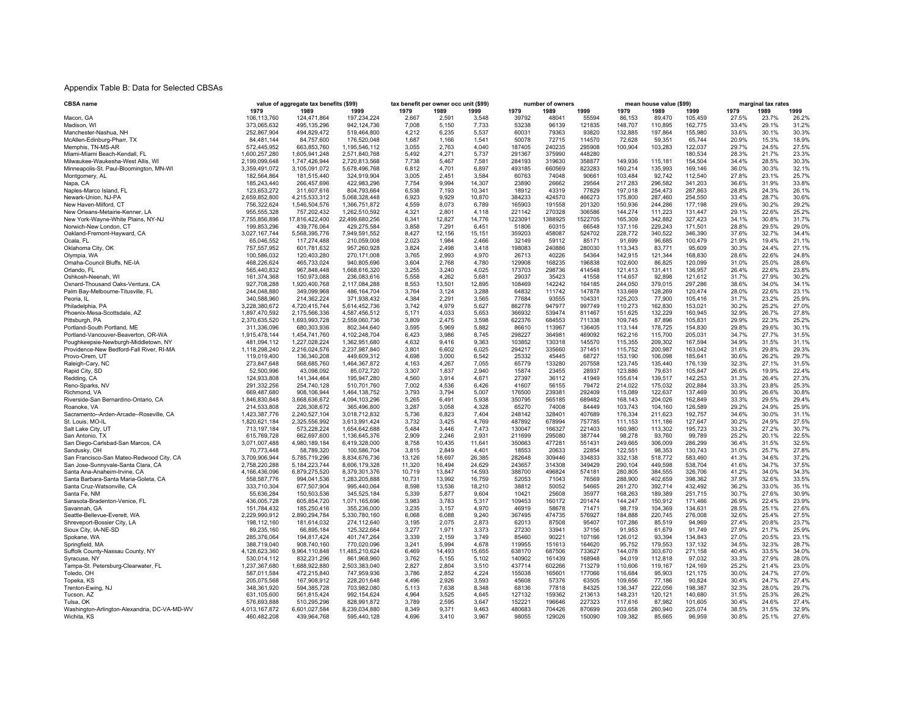### Appendix Table B: Data for Selected CBSAs

| CBSA name                                    | value of aggregate tax benefits (\$99) |                  | tax benefit per owner occ unit (\$99) |        |                 |                 | number of owners |         | mean house value (\$99) |         |         | marginal tax rates |       |       |                |
|----------------------------------------------|----------------------------------------|------------------|---------------------------------------|--------|-----------------|-----------------|------------------|---------|-------------------------|---------|---------|--------------------|-------|-------|----------------|
|                                              | 1979                                   | 1989             | 1999                                  | 1979   | 1989            | 1999            | 1979             | 1989    | 1999                    | 1979    | 1989    | 1999               | 1979  | 1989  | 1999           |
| Macon, GA                                    | 106,113,760                            | 124,471,864      | 197,234,224                           | 2,667  | 2,591           | 3,548           | 39792            | 48041   | 55594                   | 86,153  | 89,470  | 105,459            | 27.5% | 23.7% | 26.2%          |
| Madison, WI                                  | 373,065,632                            | 495, 135, 296    | 942, 124, 736                         | 7,008  | 5,150           | 7,733           | 53238            | 96139   | 121835                  | 148,707 | 110,895 | 162,775            | 33.4% | 29.1% | 31.2%          |
| Manchester-Nashua, NH                        | 252,867,904                            | 494,829,472      | 519,464,800                           | 4,212  | 6,235           | 5,537           | 60031            | 79363   | 93820                   | 132,885 | 197,864 | 155,980            | 33.6% | 30.1% | 30.3%          |
| McAllen-Edinburg-Pharr, TX                   | 84,481,144                             | 84,757,600       | 176,520,048                           | 1,687  | 1,166           | 1,541           | 50078            | 72715   | 114570                  | 72,628  | 59,351  | 65,744             | 20.9% | 15.3% | 18.9%          |
| Memphis, TN-MS-AR                            | 572,445,952                            | 663,853,760      | 1,195,546,112                         | 3,055  | 2,763           | 4,040           | 187405           | 240235  | 295908                  | 100,904 | 103,283 | 122,037            | 29.7% | 24.5% | 27.5%          |
| Miami-Miami Beach-Kendall, FL                | 1,600,257,280                          | 1,605,941,248    | 2,571,840,768                         | 5,492  | 4,271           | 5,737           | 291367           | 375990  | 448280                  |         |         | 180,534            | 28.3% | 21.7% | 23.3%          |
| Milwaukee-Waukesha-West Allis, WI            | 2,199,099,648                          | 1,747,426,944    | 2,720,813,568                         | 7,738  | 5,467           | 7,581           | 284193           | 319630  | 358877                  | 149,936 | 115,181 | 154,504            | 34.4% | 28.5% | 30.3%          |
| Minneapolis-St. Paul-Bloomington, MN-WI      | 3,359,491,072                          | 3,105,091,072    | 5,678,496,768                         | 6,812  | 4,701           | 6,897           | 493185           | 660569  | 823283                  | 160,214 | 135,993 | 169,146            | 36.0% | 30.3% | 32.1%          |
| Montgomery, AL                               | 182,564,864                            | 181,515,440      | 324,919,904                           | 3,005  | 2,451           | 3,584           | 60763            | 74048   | 90661                   | 103,484 | 92,742  | 112,540            | 27.8% | 23.1% | 25.7%          |
| Napa, CA                                     | 185,243,440                            | 266,457,696      | 422,983,296                           | 7,754  | 9,994           | 14,307          | 23890            | 26662   | 29564                   | 217,283 | 296,582 | 341,203            | 36.6% | 31.9% | 33.8%          |
| Naples-Marco Island, FL                      | 123,653,272                            | 311,607,616      | 804,793,664                           | 6.538  | 7,193           | 10.341          | 18912            | 43319   | 77829                   | 197,018 | 254,473 | 287,863            | 28.8% | 24.3% | 26.1%          |
| Newark-Union, NJ-PA                          | 2,659,852,800                          | 4,215,533,312    | 5,068,328,448                         | 6.923  | 9,929           | 10,870          | 384233           | 424570  | 466273                  | 175,800 | 287,460 | 254,550            | 33.4% | 28.7% | 30.6%          |
| New Haven-Milford, CT                        | 756,322,624                            | 1.546.504.576    | 1.366.751.872                         | 4.559  | 8.073           | 6.789           | 165903           | 191558  | 201320                  | 150.936 | 244.286 | 177.198            | 29.6% | 30.2% | 29.2%          |
| New Orleans-Metairie-Kenner, LA              | 955,555,328                            | 757,202,432      | 1,262,510,592                         | 4,321  | 2.801           | 4.118           | 221142           | 270328  | 306586                  | 144,274 | 111.223 | 131.447            | 29.1% | 22.6% | 25.2%          |
| New York-Wayne-White Plains, NY-NJ           | 7,755,856,896                          | 17,816,422,400   | 22,499,680,256                        | 6,341  | 12,827          | 14,776          | 1223091          | 1388925 | 1522705                 | 165,309 | 342,882 | 327,423            | 34.1% | 30.8% | 31.7%          |
|                                              |                                        | 439,776,064      |                                       | 3,858  |                 |                 |                  | 60315   | 66548                   |         | 229,243 |                    | 28.8% | 29.5% | 29.0%          |
| Norwich-New London, CT                       | 199,853,296<br>3,027,167,744           | 5,568,395,776    | 429,275,584                           | 8,427  | 7,291<br>12,156 | 6,451<br>15,151 | 51806<br>359203  | 458087  | 524702                  | 137,116 | 340,522 | 171,501            | 37.6% | 32.7% | 34.4%          |
| Oakland-Fremont-Hayward, CA                  |                                        |                  | 7,949,591,552                         |        |                 |                 |                  |         |                         | 228,772 |         | 346,390            |       |       |                |
| Ocala, FL                                    | 65,046,552                             | 117,274,488      | 210.059.008                           | 2.023  | 1,984           | 2.466           | 32149            | 59112   | 85171                   | 91,699  | 96,685  | 100,479            | 21.9% | 19.4% | 21.1%          |
| Oklahoma City, OK                            | 757.557.952                            | 601.781.632      | 957.260.928                           | 3.824  | 2.498           | 3.418           | 198083           | 240886  | 280030                  | 113.343 | 83.771  | 95,609             | 30.3% | 24.4% | 27.1%          |
| Olympia, WA                                  | 100.586.032                            | 120.403.280      | 270.171.008                           | 3.765  | 2.993           | 4.970           | 26713            | 40226   | 54364                   | 142.915 | 121.344 | 168,830            | 28.6% | 22.6% | 24.8%          |
| Omaha-Council Bluffs, NE-IA                  | 468,226,624                            | 465,733,024      | 940,805,696                           | 3.604  | 2,768           | 4,780           | 129908           | 168235  | 196838                  | 102,600 | 86,825  | 120,099            | 31.0% | 25.0% | 28.6%          |
| Orlando, FL                                  | 565,440,832                            | 967,848,448      | 1,668,616,320                         | 3,255  | 3,240           | 4,025           | 173703           | 298736  | 414548                  | 121,413 | 131,411 | 136,957            | 26.4% | 22.6% | 23.8%          |
| Oshkosh-Neenah, WI                           | 161,374,368                            | 150,973,088      | 236,083,616                           | 5,558  | 4,262           | 5,681           | 29037            | 35423   | 41558                   | 114,657 | 92,898  | 121,612            | 31.7% | 27.9% | 30.2%          |
| Oxnard-Thousand Oaks-Ventura, CA             | 927,708,288                            | 1,920,400,768    | 2,117,084,288                         | 8,553  | 13,501          | 12,895          | 108469           | 142242  | 164185                  | 244,050 | 379,015 | 297,286            | 38.6% | 34.0% | 34.1%          |
| Palm Bay-Melbourne-Titusville, FL            | 244,048,880                            | 349,099,968      | 486, 164, 704                         | 3,764  | 3,124           | 3,288           | 64832            | 111742  | 147878                  | 133,669 | 128,269 | 120,474            | 28.0% | 22.6% | 23.1%          |
| Peoria, IL                                   | 340,588,960                            | 214,362,224      | 371,938,432                           | 4,384  | 2,291           | 3,565           | 77684            | 93555   | 104331                  | 125,203 | 77,900  | 105,416            | 31.7% | 23.2% | 25.9%          |
| Philadelphia, PA                             | 3,228,380,672                          | 4,720,415,744    | 5,614,452,736                         | 3.742  | 4.979           | 5.627           | 862778           | 947977  | 997749                  | 110,273 | 162,830 | 153,021            | 30.2% | 25.2% | 27.0%          |
| Phoenix-Mesa-Scottsdale, AZ                  | 1,897,470,592                          | 2,175,566,336    | 4,587,456,512                         | 5,171  | 4.033           | 5,653           | 366932           | 539474  | 811467                  | 151,625 | 132,229 | 160,945            | 32.9% | 26.7% | 27.8%          |
| Pittsburgh, PA                               | 2,370,635,520                          | 1,693,993,728    | 2,559,060,736                         | 3,809  | 2,475           | 3,598           | 622376           | 684553  | 711338                  | 109,745 | 87,896  | 105,831            | 29.9% | 22.3% | 25.2%          |
| Portland-South Portland, ME                  | 311,336,096                            | 680,303,936      | 802,344,640                           | 3,595  | 5,969           | 5,882           | 86610            | 113967  | 136405                  | 113,144 | 178,725 | 154,830            | 29.8% | 29.6% | 30.1%          |
| Portland-Vancouver-Beaverton, OR-WA          | 1,915,478,144                          | 1,454,741,760    | 4,102,248,704                         | 6,423  | 3,986           | 8,745           | 298227           | 364981  | 469092                  | 162,216 | 115,700 | 205,031            | 34.7% | 27.7% | 31.5%          |
| Poughkeepsie-Newburgh-Middletown, NY         | 481,094,112                            | 1,227,028,224    | 1,362,951,680                         | 4,632  | 9,416           | 9,363           | 103852           | 130318  | 145570                  | 115,355 | 209,302 | 167,594            | 34.9% | 31.5% | 31.1%          |
| Providence-New Bedford-Fall River, RI-MA     | 1,118,298,240                          | 2,216,024,576    | 2,237,987,840                         | 3.801  | 6.602           | 6,025           | 294217           | 335660  | 371451                  | 115,752 | 200,987 | 163,042            | 31.6% | 29.8% | 29.3%          |
| Provo-Orem, UT                               | 119,019,400                            | 136,340,208      | 449,609,312                           | 4,698  | 3.000           | 6,542           | 25332            | 45445   | 68727                   | 153,190 | 106,098 | 185,641            | 30.6% | 26.2% | 29.7%          |
| Raleigh-Cary, NC                             | 273,847,648                            | 568,685,760      | 1,464,367,872                         | 4,163  | 4,267           | 7,055           | 65779            | 133280  | 207558                  | 123,745 | 135,440 | 176,139            | 32.3% | 27.1% | 31.5%          |
| Rapid City, SD                               | 52,500,996                             | 43,098,092       | 85,072,720                            | 3,307  | 1,837           | 2,940           | 15874            | 23455   | 28937                   | 123,886 | 79,631  | 105,847            | 26.6% | 19.9% | 22.4%          |
| Redding, CA                                  | 124,933,808                            | 141,344,464      | 195,947,280                           | 4,560  | 3,914           | 4,671           | 27397            | 36112   | 41949                   | 155,614 | 139,517 | 142,253            | 31.3% | 26.4% | 27.3%          |
| Reno-Sparks, NV                              | 291,332,256                            | 254,740,128      | 510,701,760                           | 7.002  | 4,536           | 6,426           | 41607            | 56155   | 79472                   | 214,022 | 175,032 | 202.884            | 33.3% | 23.8% | 25.3%          |
| Richmond, VA                                 | 669,487,680                            | 908,106,944      | 1,464,138,752                         | 3.793  | 3,794           | 5,007           | 176500           | 239381  | 292409                  | 115,089 | 122,637 | 137,469            | 30.9% | 26.6% | 30.8%          |
| Riverside-San Bernardino-Ontario, CA         | 1,846,830,848                          | 3,668,636,672    | 4,094,103,296                         | 5.265  | 6.491           | 5.938           | 350795           | 565185  | 689482                  | 168.143 | 204.026 | 162.849            | 33.3% | 29.5% | 29.4%          |
| Roanoke, VA                                  | 214,533,808                            | 226.308.672      | 365.496.800                           | 3.287  | 3.058           | 4,328           | 65270            | 74008   | 84449                   | 103,743 | 104.160 | 126,589            | 29.2% | 24.9% | 25.9%          |
| Sacramento--Arden-Arcade--Roseville, CA      | 1,423,387,776                          | 2,240,527,104    | 3,018,712,832                         | 5.736  | 6,823           | 7,404           | 248142           | 328401  | 407689                  | 176,334 | 211,623 | 192,757            | 34.6% | 30.0% | 31.1%          |
|                                              |                                        |                  |                                       |        | 3,425           | 4,769           | 487892           | 678994  | 757785                  |         |         |                    | 30.2% | 24.9% | 27.5%          |
| St. Louis, MO-IL                             | 1,820,621,184                          | 2,325,556,992    | 3,613,991,424                         | 3,732  |                 |                 |                  |         |                         | 111,153 | 111,186 | 127,647            |       |       |                |
| Salt Lake City, UT                           | 713,197,184                            | 573,228,224      | 1,654,642,688                         | 5.484  | 3,446           | 7.473           | 130047           | 166327  | 221403                  | 160,980 | 113,302 | 195,723            | 33.2% | 27.2% | 30.7%<br>22.5% |
| San Antonio, TX                              | 615,769,728                            | 662,697,600      | 1,136,645,376                         | 2.909  | 2,246           | 2.931           | 211699           | 295080  | 387744                  | 98,278  | 93,760  | 99.789             | 25.2% | 20.1% |                |
| San Diego-Carlsbad-San Marcos, CA            | 3.071.007.488                          | 4.980.189.184    | 6.419.328.000                         | 8.758  | 10.435          | 11.641          | 350663           | 477281  | 551431                  | 249.665 | 306.009 | 286.299            | 36.4% | 31.5% | 32.5%          |
| Sandusky, OH                                 | 70,773,448                             | 58,789,320       | 100,586,704                           | 3,815  | 2,849           | 4,401           | 18553            | 20633   | 22854                   | 122,551 | 98,353  | 130,743            | 31.0% | 25.7% | 27.8%          |
| San Francisco-San Mateo-Redwood City, CA     | 3,709,906,944                          | 5,785,719,296    | 8,834,676,736                         | 13,126 | 18,697          | 26,385          | 282648           | 309446  | 334833                  | 332,138 | 518,772 | 583,460            | 41.3% | 34.6% | 37.2%          |
| San Jose-Sunnyvale-Santa Clara, CA           | 2,758,220,288                          | 5, 184, 223, 744 | 8,606,179,328                         | 11,320 | 16,494          | 24,629          | 243657           | 314308  | 349429                  | 290,104 | 449,598 | 538,704            | 41.6% | 34.7% | 37.5%          |
| Santa Ana-Anaheim-Irvine, CA                 | 4,166,436,096                          | 6,879,275,520    | 8,379,301,376                         | 10,719 | 13,847          | 14,593          | 388700           | 496824  | 574181                  | 280,805 | 384,555 | 326,706            | 41.2% | 34.0% | 34.3%          |
| Santa Barbara-Santa Maria-Goleta, CA         | 558,587,776                            | 994,041,536      | 1,283,205,888                         | 10,731 | 13,992          | 16,759          | 52053            | 71043   | 76569                   | 288,900 | 402,659 | 398,362            | 37.9% | 32.6% | 33.5%          |
| Santa Cruz-Watsonville, CA                   | 333,710,304                            | 677,507,904      | 995,440,064                           | 8,598  | 13,536          | 18,210          | 38812            | 50052   | 54665                   | 261,270 | 392,714 | 432,492            | 36.2% | 33.0% | 35.1%          |
| Santa Fe, NM                                 | 55,636,284                             | 150,503,536      | 345,525,184                           | 5,339  | 5,877           | 9,604           | 10421            | 25608   | 35977                   | 168,263 | 189,389 | 251,715            | 30.7% | 27.6% | 30.9%          |
| Sarasota-Bradenton-Venice, FL                | 436,005,728                            | 605,854,720      | 1,071,165,696                         | 3,983  | 3,783           | 5,317           | 109453           | 160172  | 201474                  | 144,247 | 150,912 | 171,466            | 26.9% | 22.4% | 23.9%          |
| Savannah, GA                                 | 151,784,432                            | 185,250,416      | 355,236,000                           | 3,235  | 3,157           | 4,970           | 46919            | 58678   | 71471                   | 98,719  | 104,369 | 134,631            | 28.5% | 25.1% | 27.6%          |
| Seattle-Bellevue-Everett, WA                 | 2,229,990,912                          | 2,890,294,784    | 5,330,780,160                         | 6,068  | 6,088           | 9,240           | 367495           | 474735  | 576927                  | 184,888 | 220,745 | 276,008            | 32.6% | 25.4% | 27.5%          |
| Shreveport-Bossier City, LA                  | 198,112,160                            | 181,614,032      | 274,112,640                           | 3,195  | 2,075           | 2,873           | 62013            | 87508   | 95407                   | 107,286 | 85,519  | 94,969             | 27.4% | 20.8% | 23.7%          |
| Sioux City, IA-NE-SD                         | 89,235,160                             | 66,895,184       | 125,322,664                           | 3,277  | 1,971           | 3,373           | 27230            | 33941   | 37156                   | 91,953  | 61,679  | 91,749             | 27.9% | 21.7% | 25.9%          |
| Spokane, WA                                  | 285,376,064                            | 194,817,424      | 401,747,264                           | 3,339  | 2,159           | 3,749           | 85460            | 90221   | 107166                  | 126,012 | 93,394  | 134,843            | 27.0% | 20.5% | 23.1%          |
| Springfield, MA                              | 388,719,040                            | 908.740.160      | 770,020,096                           | 3,241  | 5.994           | 4,678           | 119955           | 151613  | 164620                  | 95,752  | 179,553 | 137.132            | 34.5% | 32.3% | 28.7%          |
| Suffolk County-Nassau County, NY             | 4,128,623,360                          | 9,964,110,848    | 11,485,210,624                        | 6,469  | 14,493          | 15,655          | 638170           | 687506  | 733627                  | 144,078 | 303,670 | 271,158            | 40.4% | 33.5% | 34.0%          |
| Syracuse, NY                                 | 530,014,112                            | 832,231,296      | 861,968,960                           | 3,762  | 5,155           | 5,102           | 140902           | 161439  | 168948                  | 94,019  | 112,818 | 97,032             | 33.3% | 27.9% | 28.0%          |
| Tampa-St. Petersburg-Clearwater, FL          | 1,237,367,680                          | 1,688,922,880    | 2,503,383,040                         | 2,827  | 2,804           | 3,510           | 437714           | 602266  | 713279                  | 110,606 | 119,167 | 124,169            | 25.2% | 21.4% | 23.0%          |
| Toledo, OH                                   | 587,011,584                            | 472,215,840      | 747,959,936                           | 3,786  | 2,852           | 4,224           | 155038           | 165601  | 177066                  | 116,684 | 95,903  | 121,175            | 30.0% | 24.7% | 27.0%          |
| Topeka, KS                                   | 205,075,568                            | 167,908,912      | 228, 201, 648                         | 4,496  | 2,926           | 3,593           | 45608            | 57376   | 63505                   | 109,656 | 77,186  | 90.824             | 30.4% | 24.7% | 27.4%          |
| Trenton-Ewing, NJ                            | 348.361.920                            | 594.385.728      | 703.982.080                           | 5.113  | 7.638           | 8.348           | 68136            | 77818   | 84325                   | 136.347 | 222.056 | 198.387            | 32.3% | 28.0% | 29.7%          |
| Tucson, AZ                                   | 631.105.600                            | 561.815.424      | 992.154.624                           | 4.964  | 3.525           | 4.645           | 127132           | 159362  | 213613                  | 148.231 | 120.121 | 140.680            | 31.5% | 25.3% | 26.2%          |
| Tulsa, OK                                    | 576,693,888                            | 510,295,296      | 828,991,872                           | 3.789  | 2.595           | 3.647           | 152221           | 196646  | 227323                  | 117,616 | 87.982  | 101,605            | 30.4% | 24.6% | 27.4%          |
| Washington-Arlington-Alexandria, DC-VA-MD-WV | 4,013,167,872                          | 6,601,027,584    | 8,239,034,880                         | 8,349  | 9,371           | 9,463           | 480683           | 704426  | 870699                  | 203,658 | 260,940 | 225,074            | 38.5% | 31.5% | 32.9%          |
| Wichita, KS                                  | 460,482,208                            | 439,964,768      | 595,440,128                           | 4,696  | 3,410           | 3.967           | 98055            | 129026  | 150090                  | 109,382 | 85,665  | 96,959             | 30.8% | 25.1% | 27.6%          |
|                                              |                                        |                  |                                       |        |                 |                 |                  |         |                         |         |         |                    |       |       |                |